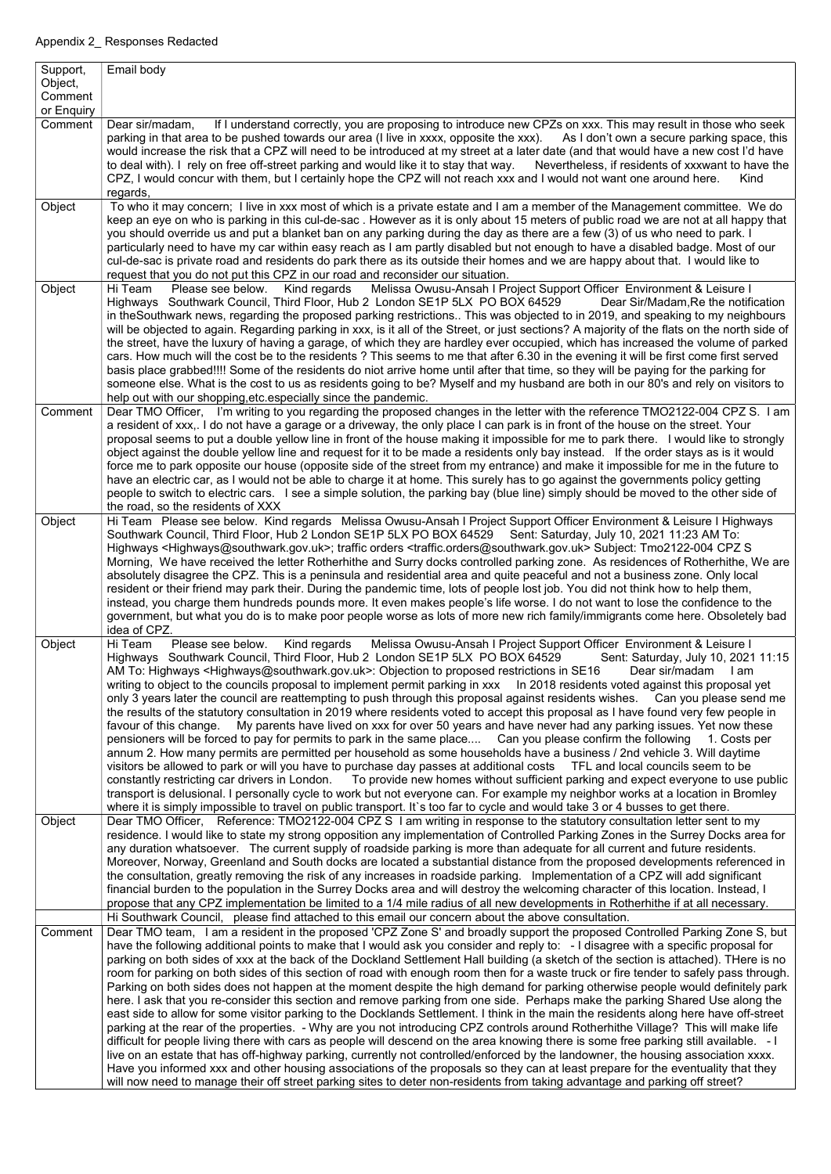| Support,<br>Object,<br>Comment | Email body                                                                                                                                                                                                                                                                                                                                                                                                                                                                                                                                                                                                                                                                                                                                                                                                                                                                                                                                                                                                                                                                                                                                                                                                                                                                                                                                                                                                                                                                                                                                                                                                                                                                                                                                                  |
|--------------------------------|-------------------------------------------------------------------------------------------------------------------------------------------------------------------------------------------------------------------------------------------------------------------------------------------------------------------------------------------------------------------------------------------------------------------------------------------------------------------------------------------------------------------------------------------------------------------------------------------------------------------------------------------------------------------------------------------------------------------------------------------------------------------------------------------------------------------------------------------------------------------------------------------------------------------------------------------------------------------------------------------------------------------------------------------------------------------------------------------------------------------------------------------------------------------------------------------------------------------------------------------------------------------------------------------------------------------------------------------------------------------------------------------------------------------------------------------------------------------------------------------------------------------------------------------------------------------------------------------------------------------------------------------------------------------------------------------------------------------------------------------------------------|
| or Enquiry<br>Comment          | If I understand correctly, you are proposing to introduce new CPZs on xxx. This may result in those who seek<br>Dear sir/madam,<br>parking in that area to be pushed towards our area (I live in xxxx, opposite the xxx). As I don't own a secure parking space, this<br>would increase the risk that a CPZ will need to be introduced at my street at a later date (and that would have a new cost I'd have                                                                                                                                                                                                                                                                                                                                                                                                                                                                                                                                                                                                                                                                                                                                                                                                                                                                                                                                                                                                                                                                                                                                                                                                                                                                                                                                                |
|                                | to deal with). I rely on free off-street parking and would like it to stay that way.<br>Nevertheless, if residents of xxxwant to have the<br>CPZ, I would concur with them, but I certainly hope the CPZ will not reach xxx and I would not want one around here.<br>Kind<br>regards,                                                                                                                                                                                                                                                                                                                                                                                                                                                                                                                                                                                                                                                                                                                                                                                                                                                                                                                                                                                                                                                                                                                                                                                                                                                                                                                                                                                                                                                                       |
| Object                         | To who it may concern; I live in xxx most of which is a private estate and I am a member of the Management committee. We do<br>keep an eye on who is parking in this cul-de-sac. However as it is only about 15 meters of public road we are not at all happy that<br>you should override us and put a blanket ban on any parking during the day as there are a few (3) of us who need to park. I<br>particularly need to have my car within easy reach as I am partly disabled but not enough to have a disabled badge. Most of our<br>cul-de-sac is private road and residents do park there as its outside their homes and we are happy about that. I would like to<br>request that you do not put this CPZ in our road and reconsider our situation.                                                                                                                                                                                                                                                                                                                                                                                                                                                                                                                                                                                                                                                                                                                                                                                                                                                                                                                                                                                                    |
| Object                         | Kind regards Melissa Owusu-Ansah I Project Support Officer Environment & Leisure I<br>Please see below.<br>Hi Team<br>Highways Southwark Council, Third Floor, Hub 2 London SE1P 5LX PO BOX 64529<br>Dear Sir/Madam, Re the notification<br>in theSouthwark news, regarding the proposed parking restrictions This was objected to in 2019, and speaking to my neighbours<br>will be objected to again. Regarding parking in xxx, is it all of the Street, or just sections? A majority of the flats on the north side of<br>the street, have the luxury of having a garage, of which they are hardley ever occupied, which has increased the volume of parked<br>cars. How much will the cost be to the residents? This seems to me that after 6.30 in the evening it will be first come first served<br>basis place grabbed!!!! Some of the residents do niot arrive home until after that time, so they will be paying for the parking for<br>someone else. What is the cost to us as residents going to be? Myself and my husband are both in our 80's and rely on visitors to<br>help out with our shopping, etc. especially since the pandemic.                                                                                                                                                                                                                                                                                                                                                                                                                                                                                                                                                                                                       |
| Comment                        | Dear TMO Officer, I'm writing to you regarding the proposed changes in the letter with the reference TMO2122-004 CPZ S. I am<br>a resident of xxx,. I do not have a garage or a driveway, the only place I can park is in front of the house on the street. Your<br>proposal seems to put a double yellow line in front of the house making it impossible for me to park there. I would like to strongly<br>object against the double yellow line and request for it to be made a residents only bay instead. If the order stays as is it would<br>force me to park opposite our house (opposite side of the street from my entrance) and make it impossible for me in the future to<br>have an electric car, as I would not be able to charge it at home. This surely has to go against the governments policy getting<br>people to switch to electric cars. I see a simple solution, the parking bay (blue line) simply should be moved to the other side of<br>the road, so the residents of XXX                                                                                                                                                                                                                                                                                                                                                                                                                                                                                                                                                                                                                                                                                                                                                         |
| Object                         | Hi Team Please see below. Kind regards Melissa Owusu-Ansah I Project Support Officer Environment & Leisure I Highways<br>Southwark Council, Third Floor, Hub 2 London SE1P 5LX PO BOX 64529 Sent: Saturday, July 10, 2021 11:23 AM To:<br>Highways <highways@southwark.gov.uk>; traffic orders <traffic.orders@southwark.gov.uk> Subject: Tmo2122-004 CPZ S<br/>Morning, We have received the letter Rotherhithe and Surry docks controlled parking zone. As residences of Rotherhithe, We are<br/>absolutely disagree the CPZ. This is a peninsula and residential area and quite peaceful and not a business zone. Only local<br/>resident or their friend may park their. During the pandemic time, lots of people lost job. You did not think how to help them,<br/>instead, you charge them hundreds pounds more. It even makes people's life worse. I do not want to lose the confidence to the<br/>government, but what you do is to make poor people worse as lots of more new rich family/immigrants come here. Obsoletely bad<br/>idea of CPZ.</traffic.orders@southwark.gov.uk></highways@southwark.gov.uk>                                                                                                                                                                                                                                                                                                                                                                                                                                                                                                                                                                                                                                      |
| Object                         | Kind regards Melissa Owusu-Ansah I Project Support Officer Environment & Leisure I<br>Please see below.<br>Hi Team<br>Highways Southwark Council, Third Floor, Hub 2 London SE1P 5LX PO BOX 64529 Sent: Saturday, July 10, 2021 11:15<br>AM To: Highways <highways@southwark.gov.uk>: Objection to proposed restrictions in SE16<br/>Dear sir/madam<br/>l am<br/>writing to object to the councils proposal to implement permit parking in xxx In 2018 residents voted against this proposal yet<br/>only 3 years later the council are reattempting to push through this proposal against residents wishes. Can you please send me<br/>the results of the statutory consultation in 2019 where residents voted to accept this proposal as I have found very few people in<br/>favour of this change. My parents have lived on xxx for over 50 years and have never had any parking issues. Yet now these<br/>pensioners will be forced to pay for permits to park in the same place Can you please confirm the following 1. Costs per<br/>annum 2. How many permits are permitted per household as some households have a business / 2nd vehicle 3. Will daytime<br/>visitors be allowed to park or will you have to purchase day passes at additional costs TFL and local councils seem to be<br/>constantly restricting car drivers in London. To provide new homes without sufficient parking and expect everyone to use public<br/>transport is delusional. I personally cycle to work but not everyone can. For example my neighbor works at a location in Bromley<br/>where it is simply impossible to travel on public transport. It's too far to cycle and would take 3 or 4 busses to get there.</highways@southwark.gov.uk>                      |
| Object                         | Dear TMO Officer, Reference: TMO2122-004 CPZ S I am writing in response to the statutory consultation letter sent to my<br>residence. I would like to state my strong opposition any implementation of Controlled Parking Zones in the Surrey Docks area for<br>any duration whatsoever. The current supply of roadside parking is more than adequate for all current and future residents.<br>Moreover, Norway, Greenland and South docks are located a substantial distance from the proposed developments referenced in<br>the consultation, greatly removing the risk of any increases in roadside parking. Implementation of a CPZ will add significant<br>financial burden to the population in the Surrey Docks area and will destroy the welcoming character of this location. Instead, I<br>propose that any CPZ implementation be limited to a 1/4 mile radius of all new developments in Rotherhithe if at all necessary.                                                                                                                                                                                                                                                                                                                                                                                                                                                                                                                                                                                                                                                                                                                                                                                                                        |
| Comment                        | Hi Southwark Council, please find attached to this email our concern about the above consultation.<br>Dear TMO team, I am a resident in the proposed 'CPZ Zone S' and broadly support the proposed Controlled Parking Zone S, but<br>have the following additional points to make that I would ask you consider and reply to: - I disagree with a specific proposal for<br>parking on both sides of xxx at the back of the Dockland Settlement Hall building (a sketch of the section is attached). THere is no<br>room for parking on both sides of this section of road with enough room then for a waste truck or fire tender to safely pass through.<br>Parking on both sides does not happen at the moment despite the high demand for parking otherwise people would definitely park<br>here. I ask that you re-consider this section and remove parking from one side. Perhaps make the parking Shared Use along the<br>east side to allow for some visitor parking to the Docklands Settlement. I think in the main the residents along here have off-street<br>parking at the rear of the properties. - Why are you not introducing CPZ controls around Rotherhithe Village? This will make life<br>difficult for people living there with cars as people will descend on the area knowing there is some free parking still available. - I<br>live on an estate that has off-highway parking, currently not controlled/enforced by the landowner, the housing association xxxx.<br>Have you informed xxx and other housing associations of the proposals so they can at least prepare for the eventuality that they<br>will now need to manage their off street parking sites to deter non-residents from taking advantage and parking off street? |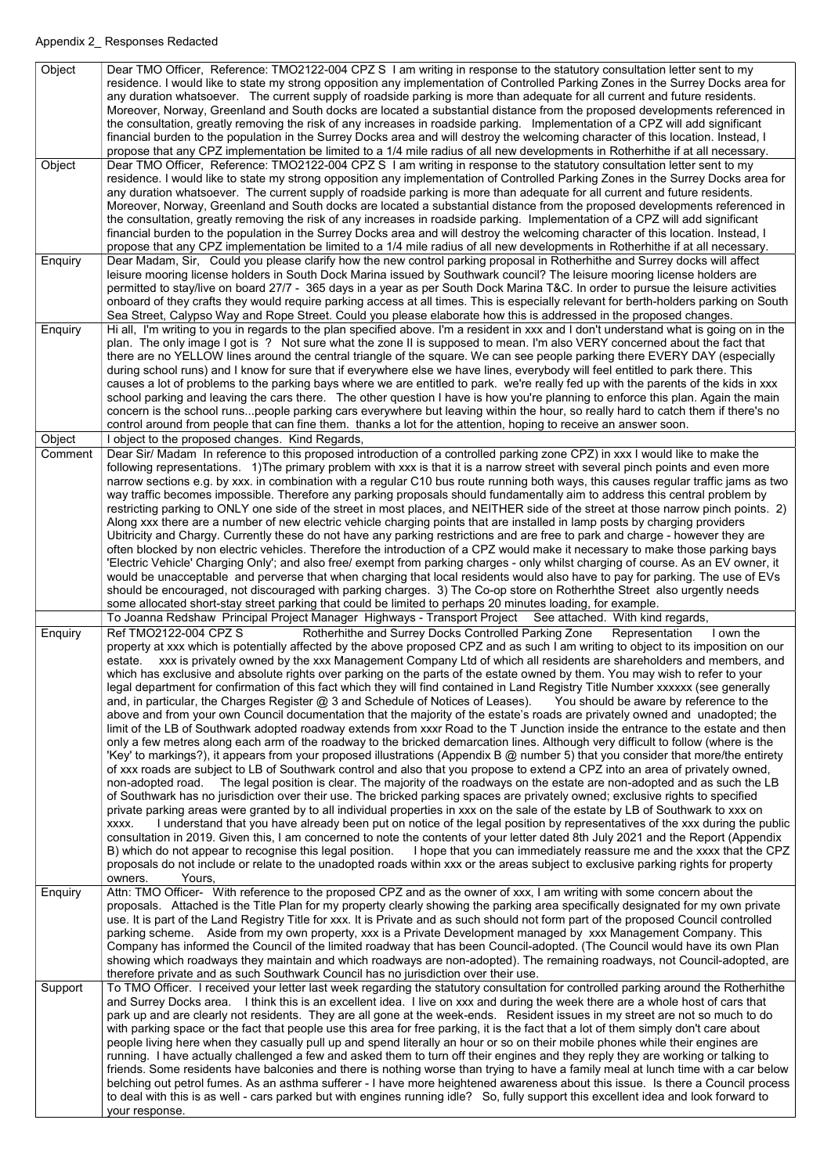| Object  | Dear TMO Officer, Reference: TMO2122-004 CPZ S I am writing in response to the statutory consultation letter sent to my                                                                                                                                                |
|---------|------------------------------------------------------------------------------------------------------------------------------------------------------------------------------------------------------------------------------------------------------------------------|
|         | residence. I would like to state my strong opposition any implementation of Controlled Parking Zones in the Surrey Docks area for                                                                                                                                      |
|         | any duration whatsoever. The current supply of roadside parking is more than adequate for all current and future residents.                                                                                                                                            |
|         | Moreover, Norway, Greenland and South docks are located a substantial distance from the proposed developments referenced in<br>the consultation, greatly removing the risk of any increases in roadside parking. Implementation of a CPZ will add significant          |
|         | financial burden to the population in the Surrey Docks area and will destroy the welcoming character of this location. Instead, I                                                                                                                                      |
|         | propose that any CPZ implementation be limited to a 1/4 mile radius of all new developments in Rotherhithe if at all necessary.                                                                                                                                        |
| Object  | Dear TMO Officer, Reference: TMO2122-004 CPZ S I am writing in response to the statutory consultation letter sent to my                                                                                                                                                |
|         | residence. I would like to state my strong opposition any implementation of Controlled Parking Zones in the Surrey Docks area for                                                                                                                                      |
|         | any duration whatsoever. The current supply of roadside parking is more than adequate for all current and future residents.                                                                                                                                            |
|         | Moreover, Norway, Greenland and South docks are located a substantial distance from the proposed developments referenced in                                                                                                                                            |
|         | the consultation, greatly removing the risk of any increases in roadside parking. Implementation of a CPZ will add significant                                                                                                                                         |
|         | financial burden to the population in the Surrey Docks area and will destroy the welcoming character of this location. Instead, I                                                                                                                                      |
|         | propose that any CPZ implementation be limited to a 1/4 mile radius of all new developments in Rotherhithe if at all necessary.                                                                                                                                        |
| Enquiry | Dear Madam, Sir, Could you please clarify how the new control parking proposal in Rotherhithe and Surrey docks will affect                                                                                                                                             |
|         | leisure mooring license holders in South Dock Marina issued by Southwark council? The leisure mooring license holders are                                                                                                                                              |
|         | permitted to stay/live on board 27/7 - 365 days in a year as per South Dock Marina T&C. In order to pursue the leisure activities                                                                                                                                      |
|         | onboard of they crafts they would require parking access at all times. This is especially relevant for berth-holders parking on South<br>Sea Street, Calypso Way and Rope Street. Could you please elaborate how this is addressed in the proposed changes.            |
| Enquiry | Hi all, I'm writing to you in regards to the plan specified above. I'm a resident in xxx and I don't understand what is going on in the                                                                                                                                |
|         | plan. The only image I got is ? Not sure what the zone II is supposed to mean. I'm also VERY concerned about the fact that                                                                                                                                             |
|         | there are no YELLOW lines around the central triangle of the square. We can see people parking there EVERY DAY (especially                                                                                                                                             |
|         | during school runs) and I know for sure that if everywhere else we have lines, everybody will feel entitled to park there. This                                                                                                                                        |
|         | causes a lot of problems to the parking bays where we are entitled to park. we're really fed up with the parents of the kids in xxx                                                                                                                                    |
|         | school parking and leaving the cars there. The other question I have is how you're planning to enforce this plan. Again the main                                                                                                                                       |
|         | concern is the school runspeople parking cars everywhere but leaving within the hour, so really hard to catch them if there's no                                                                                                                                       |
|         | control around from people that can fine them. thanks a lot for the attention, hoping to receive an answer soon.                                                                                                                                                       |
| Object  | I object to the proposed changes. Kind Regards,                                                                                                                                                                                                                        |
| Comment | Dear Sir/ Madam In reference to this proposed introduction of a controlled parking zone CPZ) in xxx I would like to make the                                                                                                                                           |
|         | following representations. 1) The primary problem with xxx is that it is a narrow street with several pinch points and even more                                                                                                                                       |
|         | narrow sections e.g. by xxx. in combination with a regular C10 bus route running both ways, this causes regular traffic jams as two                                                                                                                                    |
|         | way traffic becomes impossible. Therefore any parking proposals should fundamentally aim to address this central problem by                                                                                                                                            |
|         | restricting parking to ONLY one side of the street in most places, and NEITHER side of the street at those narrow pinch points. 2)                                                                                                                                     |
|         | Along xxx there are a number of new electric vehicle charging points that are installed in lamp posts by charging providers<br>Ubitricity and Chargy. Currently these do not have any parking restrictions and are free to park and charge - however they are          |
|         | often blocked by non electric vehicles. Therefore the introduction of a CPZ would make it necessary to make those parking bays                                                                                                                                         |
|         | 'Electric Vehicle' Charging Only'; and also free/ exempt from parking charges - only whilst charging of course. As an EV owner, it                                                                                                                                     |
|         | would be unacceptable and perverse that when charging that local residents would also have to pay for parking. The use of EVs                                                                                                                                          |
|         | should be encouraged, not discouraged with parking charges. 3) The Co-op store on Rotherhthe Street also urgently needs                                                                                                                                                |
|         | some allocated short-stay street parking that could be limited to perhaps 20 minutes loading, for example.                                                                                                                                                             |
|         | To Joanna Redshaw Principal Project Manager Highways - Transport Project See attached. With kind regards,                                                                                                                                                              |
| Enquiry | Ref TMO2122-004 CPZ S<br>Rotherhithe and Surrey Docks Controlled Parking Zone<br>Representation<br>I own the                                                                                                                                                           |
|         | property at xxx which is potentially affected by the above proposed CPZ and as such I am writing to object to its imposition on our                                                                                                                                    |
|         | estate. xxx is privately owned by the xxx Management Company Ltd of which all residents are shareholders and members, and                                                                                                                                              |
|         | which has exclusive and absolute rights over parking on the parts of the estate owned by them. You may wish to refer to your                                                                                                                                           |
|         | legal department for confirmation of this fact which they will find contained in Land Registry Title Number xxxxxx (see generally                                                                                                                                      |
|         | and, in particular, the Charges Register @ 3 and Schedule of Notices of Leases). You should be aware by reference to the                                                                                                                                               |
|         | above and from your own Council documentation that the majority of the estate's roads are privately owned and unadopted; the                                                                                                                                           |
|         | limit of the LB of Southwark adopted roadway extends from xxxr Road to the T Junction inside the entrance to the estate and then<br>only a few metres along each arm of the roadway to the bricked demarcation lines. Although very difficult to follow (where is the  |
|         | 'Key' to markings?), it appears from your proposed illustrations (Appendix B @ number 5) that you consider that more/the entirety                                                                                                                                      |
|         | of xxx roads are subject to LB of Southwark control and also that you propose to extend a CPZ into an area of privately owned,                                                                                                                                         |
|         | non-adopted road. The legal position is clear. The majority of the roadways on the estate are non-adopted and as such the LB                                                                                                                                           |
|         | of Southwark has no jurisdiction over their use. The bricked parking spaces are privately owned; exclusive rights to specified                                                                                                                                         |
|         | private parking areas were granted by to all individual properties in xxx on the sale of the estate by LB of Southwark to xxx on                                                                                                                                       |
|         | I understand that you have already been put on notice of the legal position by representatives of the xxx during the public<br>XXXX.                                                                                                                                   |
|         | consultation in 2019. Given this, I am concerned to note the contents of your letter dated 8th July 2021 and the Report (Appendix                                                                                                                                      |
|         | B) which do not appear to recognise this legal position. I hope that you can immediately reassure me and the xxxx that the CPZ                                                                                                                                         |
|         | proposals do not include or relate to the unadopted roads within xxx or the areas subject to exclusive parking rights for property                                                                                                                                     |
|         | Yours,<br>owners.                                                                                                                                                                                                                                                      |
| Enquiry | Attn: TMO Officer- With reference to the proposed CPZ and as the owner of xxx, I am writing with some concern about the                                                                                                                                                |
|         | proposals. Attached is the Title Plan for my property clearly showing the parking area specifically designated for my own private                                                                                                                                      |
|         |                                                                                                                                                                                                                                                                        |
|         | use. It is part of the Land Registry Title for xxx. It is Private and as such should not form part of the proposed Council controlled                                                                                                                                  |
|         | parking scheme. Aside from my own property, xxx is a Private Development managed by xxx Management Company. This                                                                                                                                                       |
|         | Company has informed the Council of the limited roadway that has been Council-adopted. (The Council would have its own Plan                                                                                                                                            |
|         | showing which roadways they maintain and which roadways are non-adopted). The remaining roadways, not Council-adopted, are                                                                                                                                             |
| Support | therefore private and as such Southwark Council has no jurisdiction over their use.                                                                                                                                                                                    |
|         | To TMO Officer. I received your letter last week regarding the statutory consultation for controlled parking around the Rotherhithe<br>and Surrey Docks area. I think this is an excellent idea. I live on xxx and during the week there are a whole host of cars that |
|         | park up and are clearly not residents. They are all gone at the week-ends. Resident issues in my street are not so much to do                                                                                                                                          |
|         | with parking space or the fact that people use this area for free parking, it is the fact that a lot of them simply don't care about                                                                                                                                   |
|         | people living here when they casually pull up and spend literally an hour or so on their mobile phones while their engines are                                                                                                                                         |
|         | running. I have actually challenged a few and asked them to turn off their engines and they reply they are working or talking to                                                                                                                                       |
|         | friends. Some residents have balconies and there is nothing worse than trying to have a family meal at lunch time with a car below                                                                                                                                     |
|         | belching out petrol fumes. As an asthma sufferer - I have more heightened awareness about this issue. Is there a Council process                                                                                                                                       |
|         | to deal with this is as well - cars parked but with engines running idle? So, fully support this excellent idea and look forward to<br>your response.                                                                                                                  |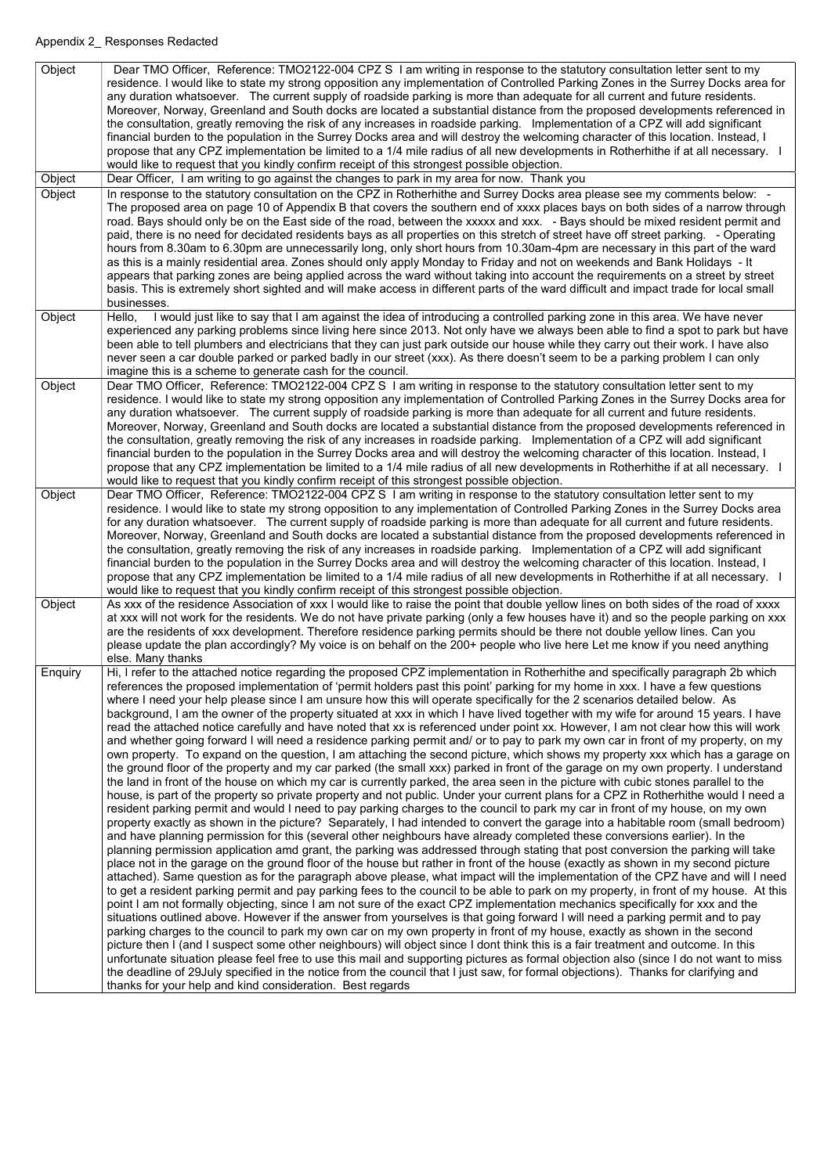| Object  | Dear TMO Officer, Reference: TMO2122-004 CPZ S I am writing in response to the statutory consultation letter sent to my<br>residence. I would like to state my strong opposition any implementation of Controlled Parking Zones in the Surrey Docks area for<br>any duration whatsoever. The current supply of roadside parking is more than adequate for all current and future residents.<br>Moreover, Norway, Greenland and South docks are located a substantial distance from the proposed developments referenced in<br>the consultation, greatly removing the risk of any increases in roadside parking. Implementation of a CPZ will add significant<br>financial burden to the population in the Surrey Docks area and will destroy the welcoming character of this location. Instead, I<br>propose that any CPZ implementation be limited to a 1/4 mile radius of all new developments in Rotherhithe if at all necessary. I<br>would like to request that you kindly confirm receipt of this strongest possible objection.                                                                                                                                                                                                                                                                                                                                                                                                                                                                                                                                                                                                                                                                                                                                                                                                                                                                                                                                                                                                                                                                                                                                         |
|---------|-------------------------------------------------------------------------------------------------------------------------------------------------------------------------------------------------------------------------------------------------------------------------------------------------------------------------------------------------------------------------------------------------------------------------------------------------------------------------------------------------------------------------------------------------------------------------------------------------------------------------------------------------------------------------------------------------------------------------------------------------------------------------------------------------------------------------------------------------------------------------------------------------------------------------------------------------------------------------------------------------------------------------------------------------------------------------------------------------------------------------------------------------------------------------------------------------------------------------------------------------------------------------------------------------------------------------------------------------------------------------------------------------------------------------------------------------------------------------------------------------------------------------------------------------------------------------------------------------------------------------------------------------------------------------------------------------------------------------------------------------------------------------------------------------------------------------------------------------------------------------------------------------------------------------------------------------------------------------------------------------------------------------------------------------------------------------------------------------------------------------------------------------------------------------------|
| Object  | Dear Officer, I am writing to go against the changes to park in my area for now. Thank you                                                                                                                                                                                                                                                                                                                                                                                                                                                                                                                                                                                                                                                                                                                                                                                                                                                                                                                                                                                                                                                                                                                                                                                                                                                                                                                                                                                                                                                                                                                                                                                                                                                                                                                                                                                                                                                                                                                                                                                                                                                                                    |
| Object  | In response to the statutory consultation on the CPZ in Rotherhithe and Surrey Docks area please see my comments below: -<br>The proposed area on page 10 of Appendix B that covers the southern end of xxxx places bays on both sides of a narrow through<br>road. Bays should only be on the East side of the road, between the xxxxx and xxx. - Bays should be mixed resident permit and<br>paid, there is no need for decidated residents bays as all properties on this stretch of street have off street parking. - Operating<br>hours from 8.30am to 6.30pm are unnecessarily long, only short hours from 10.30am-4pm are necessary in this part of the ward<br>as this is a mainly residential area. Zones should only apply Monday to Friday and not on weekends and Bank Holidays - It<br>appears that parking zones are being applied across the ward without taking into account the requirements on a street by street<br>basis. This is extremely short sighted and will make access in different parts of the ward difficult and impact trade for local small<br>businesses.                                                                                                                                                                                                                                                                                                                                                                                                                                                                                                                                                                                                                                                                                                                                                                                                                                                                                                                                                                                                                                                                                   |
| Object  | I would just like to say that I am against the idea of introducing a controlled parking zone in this area. We have never<br>Hello,<br>experienced any parking problems since living here since 2013. Not only have we always been able to find a spot to park but have<br>been able to tell plumbers and electricians that they can just park outside our house while they carry out their work. I have also<br>never seen a car double parked or parked badly in our street (xxx). As there doesn't seem to be a parking problem I can only<br>imagine this is a scheme to generate cash for the council.                                                                                                                                                                                                                                                                                                                                                                                                                                                                                                                                                                                                                                                                                                                                                                                                                                                                                                                                                                                                                                                                                                                                                                                                                                                                                                                                                                                                                                                                                                                                                                    |
| Object  | Dear TMO Officer, Reference: TMO2122-004 CPZ S I am writing in response to the statutory consultation letter sent to my<br>residence. I would like to state my strong opposition any implementation of Controlled Parking Zones in the Surrey Docks area for<br>any duration whatsoever. The current supply of roadside parking is more than adequate for all current and future residents.<br>Moreover, Norway, Greenland and South docks are located a substantial distance from the proposed developments referenced in<br>the consultation, greatly removing the risk of any increases in roadside parking. Implementation of a CPZ will add significant<br>financial burden to the population in the Surrey Docks area and will destroy the welcoming character of this location. Instead, I<br>propose that any CPZ implementation be limited to a 1/4 mile radius of all new developments in Rotherhithe if at all necessary. I<br>would like to request that you kindly confirm receipt of this strongest possible objection.                                                                                                                                                                                                                                                                                                                                                                                                                                                                                                                                                                                                                                                                                                                                                                                                                                                                                                                                                                                                                                                                                                                                         |
| Object  | Dear TMO Officer, Reference: TMO2122-004 CPZ S I am writing in response to the statutory consultation letter sent to my<br>residence. I would like to state my strong opposition to any implementation of Controlled Parking Zones in the Surrey Docks area<br>for any duration whatsoever. The current supply of roadside parking is more than adequate for all current and future residents.<br>Moreover, Norway, Greenland and South docks are located a substantial distance from the proposed developments referenced in<br>the consultation, greatly removing the risk of any increases in roadside parking. Implementation of a CPZ will add significant<br>financial burden to the population in the Surrey Docks area and will destroy the welcoming character of this location. Instead, I<br>propose that any CPZ implementation be limited to a 1/4 mile radius of all new developments in Rotherhithe if at all necessary. I<br>would like to request that you kindly confirm receipt of this strongest possible objection.                                                                                                                                                                                                                                                                                                                                                                                                                                                                                                                                                                                                                                                                                                                                                                                                                                                                                                                                                                                                                                                                                                                                      |
| Object  | As xxx of the residence Association of xxx I would like to raise the point that double yellow lines on both sides of the road of xxxx<br>at xxx will not work for the residents. We do not have private parking (only a few houses have it) and so the people parking on xxx<br>are the residents of xxx development. Therefore residence parking permits should be there not double yellow lines. Can you<br>please update the plan accordingly? My voice is on behalf on the 200+ people who live here Let me know if you need anything<br>else. Many thanks                                                                                                                                                                                                                                                                                                                                                                                                                                                                                                                                                                                                                                                                                                                                                                                                                                                                                                                                                                                                                                                                                                                                                                                                                                                                                                                                                                                                                                                                                                                                                                                                                |
| Enquiry | Hi, I refer to the attached notice regarding the proposed CPZ implementation in Rotherhithe and specifically paragraph 2b which<br>references the proposed implementation of 'permit holders past this point' parking for my home in xxx. I have a few questions<br>where I need your help please since I am unsure how this will operate specifically for the 2 scenarios detailed below. As<br>background, I am the owner of the property situated at xxx in which I have lived together with my wife for around 15 years. I have<br>read the attached notice carefully and have noted that xx is referenced under point xx. However, I am not clear how this will work<br>and whether going forward I will need a residence parking permit and/ or to pay to park my own car in front of my property, on my<br>own property. To expand on the question, I am attaching the second picture, which shows my property xxx which has a garage on<br>the ground floor of the property and my car parked (the small xxx) parked in front of the garage on my own property. I understand<br>the land in front of the house on which my car is currently parked, the area seen in the picture with cubic stones parallel to the<br>house, is part of the property so private property and not public. Under your current plans for a CPZ in Rotherhithe would I need a<br>resident parking permit and would I need to pay parking charges to the council to park my car in front of my house, on my own<br>property exactly as shown in the picture? Separately, I had intended to convert the garage into a habitable room (small bedroom)<br>and have planning permission for this (several other neighbours have already completed these conversions earlier). In the<br>planning permission application amd grant, the parking was addressed through stating that post conversion the parking will take<br>place not in the garage on the ground floor of the house but rather in front of the house (exactly as shown in my second picture<br>attached). Same question as for the paragraph above please, what impact will the implementation of the CPZ have and will I need |

to get a resident parking permit and pay parking fees to the council to be able to park on my property, in front of my house. At this point I am not formally objecting, since I am not sure of the exact CPZ implementation mechanics specifically for xxx and the situations outlined above. However if the answer from yourselves is that going forward I will need a parking permit and to pay parking charges to the council to park my own car on my own property in front of my house, exactly as shown in the second picture then I (and I suspect some other neighbours) will object since I dont think this is a fair treatment and outcome. In this unfortunate situation please feel free to use this mail and supporting pictures as formal objection also (since I do not want to miss the deadline of 29July specified in the notice from the council that I just saw, for formal objections). Thanks for clarifying and thanks for your help and kind consideration. Best regards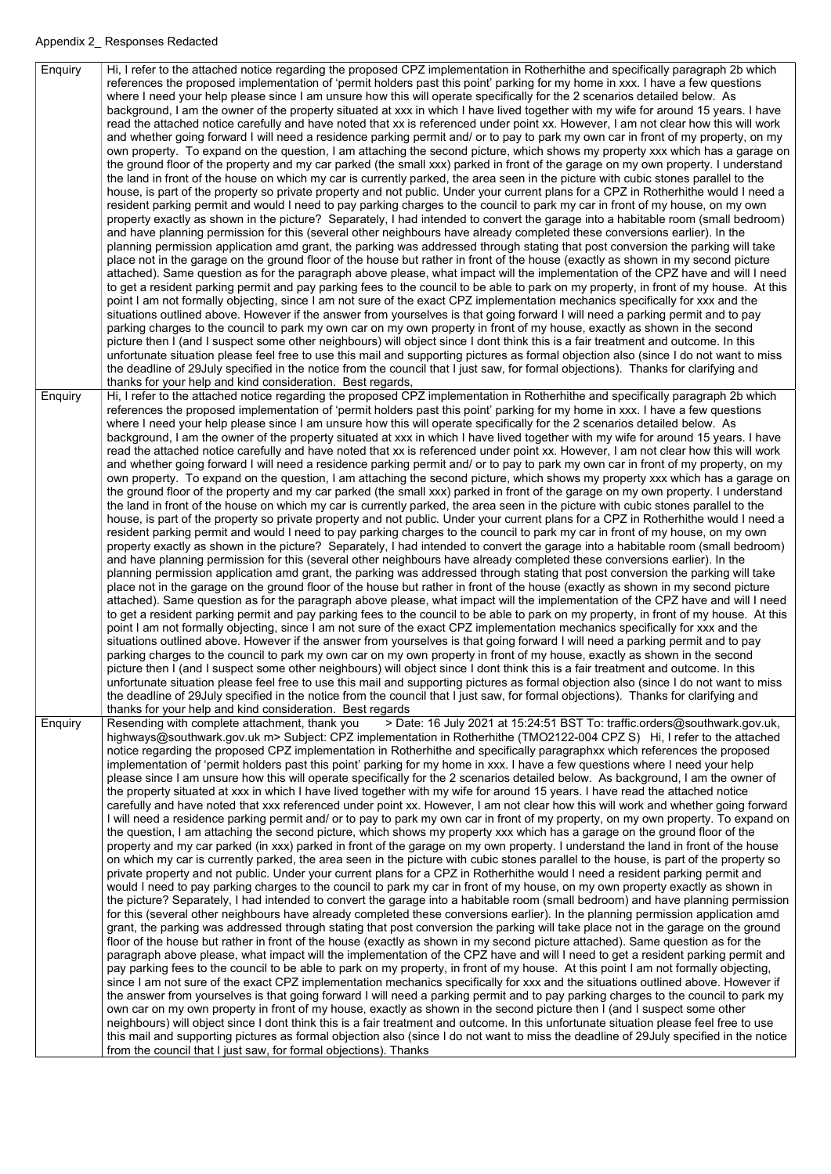Enquiry  $\|$  Hi, I refer to the attached notice regarding the proposed CPZ implementation in Rotherhithe and specifically paragraph 2b which references the proposed implementation of 'permit holders past this point' parking for my home in xxx. I have a few questions where I need your help please since I am unsure how this will operate specifically for the 2 scenarios detailed below. As background, I am the owner of the property situated at xxx in which I have lived together with my wife for around 15 years. I have read the attached notice carefully and have noted that xx is referenced under point xx. However, I am not clear how this will work and whether going forward I will need a residence parking permit and/ or to pay to park my own car in front of my property, on my own property. To expand on the question, I am attaching the second picture, which shows my property xxx which has a garage on the ground floor of the property and my car parked (the small xxx) parked in front of the garage on my own property. I understand the land in front of the house on which my car is currently parked, the area seen in the picture with cubic stones parallel to the house, is part of the property so private property and not public. Under your current plans for a CPZ in Rotherhithe would I need a resident parking permit and would I need to pay parking charges to the council to park my car in front of my house, on my own property exactly as shown in the picture? Separately, I had intended to convert the garage into a habitable room (small bedroom) and have planning permission for this (several other neighbours have already completed these conversions earlier). In the planning permission application amd grant, the parking was addressed through stating that post conversion the parking will take place not in the garage on the ground floor of the house but rather in front of the house (exactly as shown in my second picture attached). Same question as for the paragraph above please, what impact will the implementation of the CPZ have and will I need to get a resident parking permit and pay parking fees to the council to be able to park on my property, in front of my house. At this point I am not formally objecting, since I am not sure of the exact CPZ implementation mechanics specifically for xxx and the situations outlined above. However if the answer from yourselves is that going forward I will need a parking permit and to pay parking charges to the council to park my own car on my own property in front of my house, exactly as shown in the second picture then I (and I suspect some other neighbours) will object since I dont think this is a fair treatment and outcome. In this unfortunate situation please feel free to use this mail and supporting pictures as formal objection also (since I do not want to miss the deadline of 29July specified in the notice from the council that I just saw, for formal objections). Thanks for clarifying and thanks for your help and kind consideration. Best regards, Enquiry  $\|$  Hi, I refer to the attached notice regarding the proposed CPZ implementation in Rotherhithe and specifically paragraph 2b which references the proposed implementation of 'permit holders past this point' parking for my home in xxx. I have a few questions where I need your help please since I am unsure how this will operate specifically for the 2 scenarios detailed below. As background, I am the owner of the property situated at xxx in which I have lived together with my wife for around 15 years. I have read the attached notice carefully and have noted that xx is referenced under point xx. However, I am not clear how this will work and whether going forward I will need a residence parking permit and/ or to pay to park my own car in front of my property, on my own property. To expand on the question, I am attaching the second picture, which shows my property xxx which has a garage on the ground floor of the property and my car parked (the small xxx) parked in front of the garage on my own property. I understand the land in front of the house on which my car is currently parked, the area seen in the picture with cubic stones parallel to the house, is part of the property so private property and not public. Under your current plans for a CPZ in Rotherhithe would I need a resident parking permit and would I need to pay parking charges to the council to park my car in front of my house, on my own property exactly as shown in the picture? Separately, I had intended to convert the garage into a habitable room (small bedroom) and have planning permission for this (several other neighbours have already completed these conversions earlier). In the planning permission application amd grant, the parking was addressed through stating that post conversion the parking will take place not in the garage on the ground floor of the house but rather in front of the house (exactly as shown in my second picture attached). Same question as for the paragraph above please, what impact will the implementation of the CPZ have and will I need to get a resident parking permit and pay parking fees to the council to be able to park on my property, in front of my house. At this point I am not formally objecting, since I am not sure of the exact CPZ implementation mechanics specifically for xxx and the situations outlined above. However if the answer from yourselves is that going forward I will need a parking permit and to pay parking charges to the council to park my own car on my own property in front of my house, exactly as shown in the second picture then I (and I suspect some other neighbours) will object since I dont think this is a fair treatment and outcome. In this unfortunate situation please feel free to use this mail and supporting pictures as formal objection also (since I do not want to miss the deadline of 29July specified in the notice from the council that I just saw, for formal objections). Thanks for clarifying and thanks for your help and kind consideration. Best regards Enquiry | Resending with complete attachment, thank you > Date: 16 July 2021 at 15:24:51 BST To: traffic.orders@southwark.gov.uk, highways@southwark.gov.uk m> Subject: CPZ implementation in Rotherhithe (TMO2122-004 CPZ S) Hi, I refer to the attached notice regarding the proposed CPZ implementation in Rotherhithe and specifically paragraphxx which references the proposed implementation of 'permit holders past this point' parking for my home in xxx. I have a few questions where I need your help please since I am unsure how this will operate specifically for the 2 scenarios detailed below. As background, I am the owner of the property situated at xxx in which I have lived together with my wife for around 15 years. I have read the attached notice carefully and have noted that xxx referenced under point xx. However, I am not clear how this will work and whether going forward I will need a residence parking permit and/ or to pay to park my own car in front of my property, on my own property. To expand on the question, I am attaching the second picture, which shows my property xxx which has a garage on the ground floor of the property and my car parked (in xxx) parked in front of the garage on my own property. I understand the land in front of the house on which my car is currently parked, the area seen in the picture with cubic stones parallel to the house, is part of the property so private property and not public. Under your current plans for a CPZ in Rotherhithe would I need a resident parking permit and

would I need to pay parking charges to the council to park my car in front of my house, on my own property exactly as shown in the picture? Separately, I had intended to convert the garage into a habitable room (small bedroom) and have planning permission for this (several other neighbours have already completed these conversions earlier). In the planning permission application amd grant, the parking was addressed through stating that post conversion the parking will take place not in the garage on the ground floor of the house but rather in front of the house (exactly as shown in my second picture attached). Same question as for the paragraph above please, what impact will the implementation of the CPZ have and will I need to get a resident parking permit and pay parking fees to the council to be able to park on my property, in front of my house. At this point I am not formally objecting, since I am not sure of the exact CPZ implementation mechanics specifically for xxx and the situations outlined above. However if the answer from yourselves is that going forward I will need a parking permit and to pay parking charges to the council to park my own car on my own property in front of my house, exactly as shown in the second picture then I (and I suspect some other neighbours) will object since I dont think this is a fair treatment and outcome. In this unfortunate situation please feel free to use this mail and supporting pictures as formal objection also (since I do not want to miss the deadline of 29July specified in the notice from the council that I just saw, for formal objections). Thanks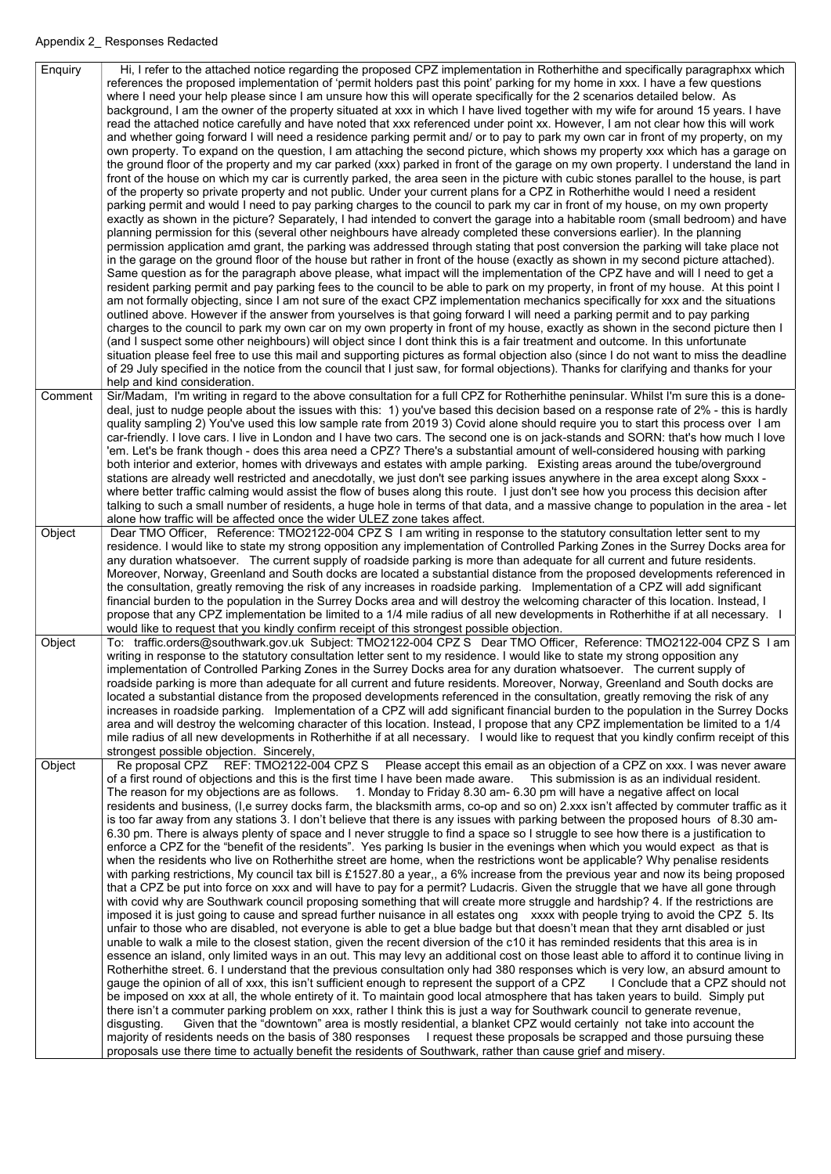| Enquiry | Hi, I refer to the attached notice regarding the proposed CPZ implementation in Rotherhithe and specifically paragraphxx which<br>references the proposed implementation of 'permit holders past this point' parking for my home in xxx. I have a few questions<br>where I need your help please since I am unsure how this will operate specifically for the 2 scenarios detailed below. As<br>background, I am the owner of the property situated at xxx in which I have lived together with my wife for around 15 years. I have<br>read the attached notice carefully and have noted that xxx referenced under point xx. However, I am not clear how this will work<br>and whether going forward I will need a residence parking permit and/ or to pay to park my own car in front of my property, on my<br>own property. To expand on the question, I am attaching the second picture, which shows my property xxx which has a garage on<br>the ground floor of the property and my car parked (xxx) parked in front of the garage on my own property. I understand the land in<br>front of the house on which my car is currently parked, the area seen in the picture with cubic stones parallel to the house, is part<br>of the property so private property and not public. Under your current plans for a CPZ in Rotherhithe would I need a resident<br>parking permit and would I need to pay parking charges to the council to park my car in front of my house, on my own property<br>exactly as shown in the picture? Separately, I had intended to convert the garage into a habitable room (small bedroom) and have<br>planning permission for this (several other neighbours have already completed these conversions earlier). In the planning<br>permission application amd grant, the parking was addressed through stating that post conversion the parking will take place not<br>in the garage on the ground floor of the house but rather in front of the house (exactly as shown in my second picture attached).<br>Same question as for the paragraph above please, what impact will the implementation of the CPZ have and will I need to get a<br>resident parking permit and pay parking fees to the council to be able to park on my property, in front of my house. At this point I<br>am not formally objecting, since I am not sure of the exact CPZ implementation mechanics specifically for xxx and the situations<br>outlined above. However if the answer from yourselves is that going forward I will need a parking permit and to pay parking<br>charges to the council to park my own car on my own property in front of my house, exactly as shown in the second picture then I<br>(and I suspect some other neighbours) will object since I dont think this is a fair treatment and outcome. In this unfortunate<br>situation please feel free to use this mail and supporting pictures as formal objection also (since I do not want to miss the deadline<br>of 29 July specified in the notice from the council that I just saw, for formal objections). Thanks for clarifying and thanks for your |
|---------|------------------------------------------------------------------------------------------------------------------------------------------------------------------------------------------------------------------------------------------------------------------------------------------------------------------------------------------------------------------------------------------------------------------------------------------------------------------------------------------------------------------------------------------------------------------------------------------------------------------------------------------------------------------------------------------------------------------------------------------------------------------------------------------------------------------------------------------------------------------------------------------------------------------------------------------------------------------------------------------------------------------------------------------------------------------------------------------------------------------------------------------------------------------------------------------------------------------------------------------------------------------------------------------------------------------------------------------------------------------------------------------------------------------------------------------------------------------------------------------------------------------------------------------------------------------------------------------------------------------------------------------------------------------------------------------------------------------------------------------------------------------------------------------------------------------------------------------------------------------------------------------------------------------------------------------------------------------------------------------------------------------------------------------------------------------------------------------------------------------------------------------------------------------------------------------------------------------------------------------------------------------------------------------------------------------------------------------------------------------------------------------------------------------------------------------------------------------------------------------------------------------------------------------------------------------------------------------------------------------------------------------------------------------------------------------------------------------------------------------------------------------------------------------------------------------------------------------------------------------------------------------------------------------------------------------------------------------------------------------------------------------------------------------------------------------------------------------------------------------------------------------------|
| Comment | help and kind consideration.<br>Sir/Madam, I'm writing in regard to the above consultation for a full CPZ for Rotherhithe peninsular. Whilst I'm sure this is a done-<br>deal, just to nudge people about the issues with this: 1) you've based this decision based on a response rate of 2% - this is hardly<br>quality sampling 2) You've used this low sample rate from 2019 3) Covid alone should require you to start this process over I am<br>car-friendly. I love cars. I live in London and I have two cars. The second one is on jack-stands and SORN: that's how much I love<br>'em. Let's be frank though - does this area need a CPZ? There's a substantial amount of well-considered housing with parking<br>both interior and exterior, homes with driveways and estates with ample parking. Existing areas around the tube/overground<br>stations are already well restricted and anecdotally, we just don't see parking issues anywhere in the area except along Sxxx -<br>where better traffic calming would assist the flow of buses along this route. I just don't see how you process this decision after<br>talking to such a small number of residents, a huge hole in terms of that data, and a massive change to population in the area - let<br>alone how traffic will be affected once the wider ULEZ zone takes affect.                                                                                                                                                                                                                                                                                                                                                                                                                                                                                                                                                                                                                                                                                                                                                                                                                                                                                                                                                                                                                                                                                                                                                                                                                                                                                                                                                                                                                                                                                                                                                                                                                                                                                                                                                                                            |
| Object  | Dear TMO Officer, Reference: TMO2122-004 CPZ S I am writing in response to the statutory consultation letter sent to my<br>residence. I would like to state my strong opposition any implementation of Controlled Parking Zones in the Surrey Docks area for<br>any duration whatsoever. The current supply of roadside parking is more than adequate for all current and future residents.<br>Moreover, Norway, Greenland and South docks are located a substantial distance from the proposed developments referenced in<br>the consultation, greatly removing the risk of any increases in roadside parking. Implementation of a CPZ will add significant<br>financial burden to the population in the Surrey Docks area and will destroy the welcoming character of this location. Instead, I<br>propose that any CPZ implementation be limited to a 1/4 mile radius of all new developments in Rotherhithe if at all necessary. I<br>would like to request that you kindly confirm receipt of this strongest possible objection.                                                                                                                                                                                                                                                                                                                                                                                                                                                                                                                                                                                                                                                                                                                                                                                                                                                                                                                                                                                                                                                                                                                                                                                                                                                                                                                                                                                                                                                                                                                                                                                                                                                                                                                                                                                                                                                                                                                                                                                                                                                                                                          |
| Object  | To: traffic.orders@southwark.gov.uk Subject: TMO2122-004 CPZ S Dear TMO Officer, Reference: TMO2122-004 CPZ S I am<br>writing in response to the statutory consultation letter sent to my residence. I would like to state my strong opposition any<br>implementation of Controlled Parking Zones in the Surrey Docks area for any duration whatsoever. The current supply of<br>roadside parking is more than adequate for all current and future residents. Moreover, Norway, Greenland and South docks are<br>located a substantial distance from the proposed developments referenced in the consultation, greatly removing the risk of any<br>increases in roadside parking. Implementation of a CPZ will add significant financial burden to the population in the Surrey Docks<br>area and will destroy the welcoming character of this location. Instead, I propose that any CPZ implementation be limited to a 1/4<br>mile radius of all new developments in Rotherhithe if at all necessary. I would like to request that you kindly confirm receipt of this<br>strongest possible objection. Sincerely,                                                                                                                                                                                                                                                                                                                                                                                                                                                                                                                                                                                                                                                                                                                                                                                                                                                                                                                                                                                                                                                                                                                                                                                                                                                                                                                                                                                                                                                                                                                                                                                                                                                                                                                                                                                                                                                                                                                                                                                                                             |
| Object  | Re proposal CPZ REF: TMO2122-004 CPZ S Please accept this email as an objection of a CPZ on xxx. I was never aware<br>of a first round of objections and this is the first time I have been made aware.<br>This submission is as an individual resident.<br>The reason for my objections are as follows. 1. Monday to Friday 8.30 am- 6.30 pm will have a negative affect on local<br>residents and business, (I,e surrey docks farm, the blacksmith arms, co-op and so on) 2.xxx isn't affected by commuter traffic as it<br>is too far away from any stations 3. I don't believe that there is any issues with parking between the proposed hours of 8.30 am-<br>6.30 pm. There is always plenty of space and I never struggle to find a space so I struggle to see how there is a justification to<br>enforce a CPZ for the "benefit of the residents". Yes parking Is busier in the evenings when which you would expect as that is<br>when the residents who live on Rotherhithe street are home, when the restrictions wont be applicable? Why penalise residents<br>with parking restrictions, My council tax bill is £1527.80 a year,, a 6% increase from the previous year and now its being proposed                                                                                                                                                                                                                                                                                                                                                                                                                                                                                                                                                                                                                                                                                                                                                                                                                                                                                                                                                                                                                                                                                                                                                                                                                                                                                                                                                                                                                                                                                                                                                                                                                                                                                                                                                                                                                                                                                                                                 |

that a CPZ be put into force on xxx and will have to pay for a permit? Ludacris. Given the struggle that we have all gone through with covid why are Southwark council proposing something that will create more struggle and hardship? 4. If the restrictions are imposed it is just going to cause and spread further nuisance in all estates ong xxxx with people trying to avoid the CPZ 5. Its unfair to those who are disabled, not everyone is able to get a blue badge but that doesn't mean that they arnt disabled or just unable to walk a mile to the closest station, given the recent diversion of the c10 it has reminded residents that this area is in essence an island, only limited ways in an out. This may levy an additional cost on those least able to afford it to continue living in Rotherhithe street. 6. I understand that the previous consultation only had 380 responses which is very low, an absurd amount to gauge the opinion of all of xxx, this isn't sufficient enough to represent the support of a CPZ I Conclude that a CPZ should not be imposed on xxx at all, the whole entirety of it. To maintain good local atmosphere that has taken years to build. Simply put there isn't a commuter parking problem on xxx, rather I think this is just a way for Southwark council to generate revenue, disgusting. Given that the "downtown" area is mostly residential, a blanket CPZ would certainly not take into account the majority of residents needs on the basis of 380 responses I request these proposals be scrapped and those pursuing these proposals use there time to actually benefit the residents of Southwark, rather than cause grief and misery.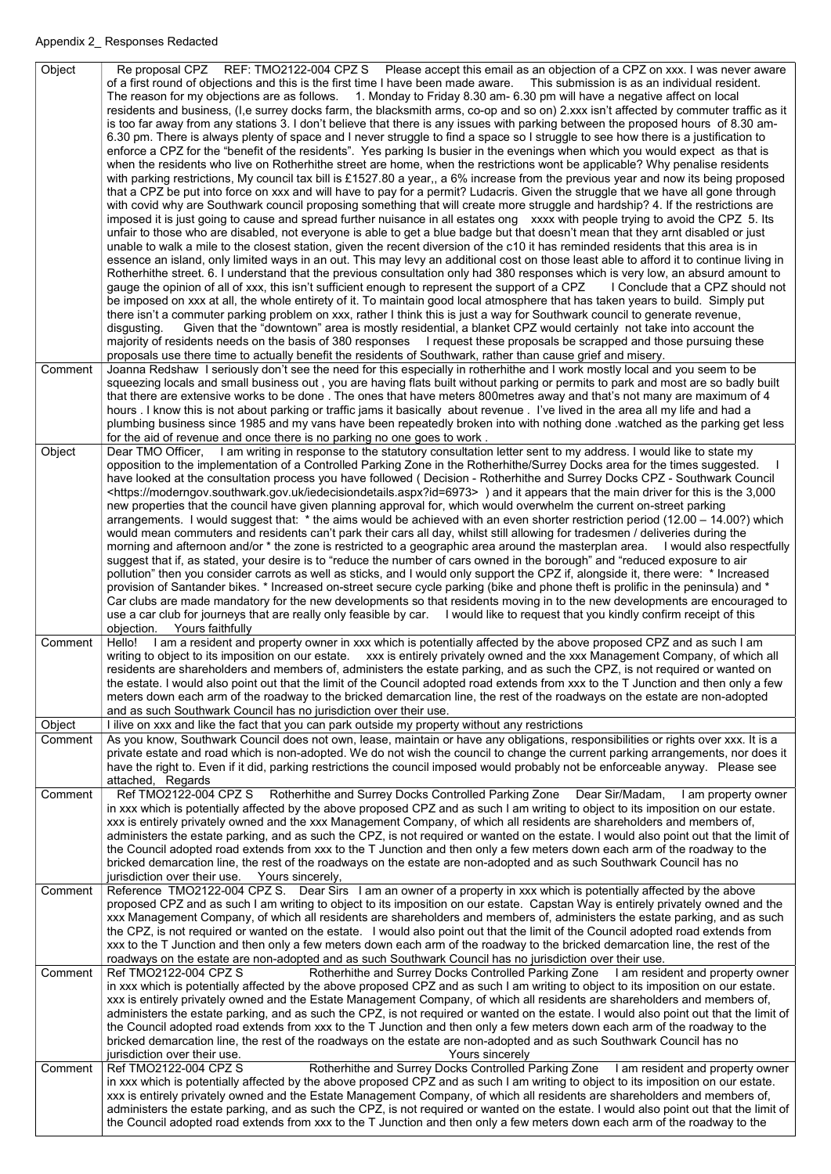| Object  | Re proposal CPZ REF: TMO2122-004 CPZ S Please accept this email as an objection of a CPZ on xxx. I was never aware<br>of a first round of objections and this is the first time I have been made aware. This submission is as an individual resident.<br>The reason for my objections are as follows. 1. Monday to Friday 8.30 am- 6.30 pm will have a negative affect on local<br>residents and business, (I,e surrey docks farm, the blacksmith arms, co-op and so on) 2.xxx isn't affected by commuter traffic as it<br>is too far away from any stations 3. I don't believe that there is any issues with parking between the proposed hours of 8.30 am-<br>6.30 pm. There is always plenty of space and I never struggle to find a space so I struggle to see how there is a justification to<br>enforce a CPZ for the "benefit of the residents". Yes parking Is busier in the evenings when which you would expect as that is<br>when the residents who live on Rotherhithe street are home, when the restrictions wont be applicable? Why penalise residents<br>with parking restrictions, My council tax bill is £1527.80 a year,, a 6% increase from the previous year and now its being proposed<br>that a CPZ be put into force on xxx and will have to pay for a permit? Ludacris. Given the struggle that we have all gone through<br>with covid why are Southwark council proposing something that will create more struggle and hardship? 4. If the restrictions are<br>imposed it is just going to cause and spread further nuisance in all estates ong xxxx with people trying to avoid the CPZ 5. Its<br>unfair to those who are disabled, not everyone is able to get a blue badge but that doesn't mean that they arnt disabled or just<br>unable to walk a mile to the closest station, given the recent diversion of the c10 it has reminded residents that this area is in<br>essence an island, only limited ways in an out. This may levy an additional cost on those least able to afford it to continue living in<br>Rotherhithe street. 6. I understand that the previous consultation only had 380 responses which is very low, an absurd amount to<br>gauge the opinion of all of xxx, this isn't sufficient enough to represent the support of a CPZ I Conclude that a CPZ should not<br>be imposed on xxx at all, the whole entirety of it. To maintain good local atmosphere that has taken years to build. Simply put<br>there isn't a commuter parking problem on xxx, rather I think this is just a way for Southwark council to generate revenue,<br>Given that the "downtown" area is mostly residential, a blanket CPZ would certainly not take into account the<br>disgusting.<br>majority of residents needs on the basis of 380 responses I request these proposals be scrapped and those pursuing these |
|---------|-----------------------------------------------------------------------------------------------------------------------------------------------------------------------------------------------------------------------------------------------------------------------------------------------------------------------------------------------------------------------------------------------------------------------------------------------------------------------------------------------------------------------------------------------------------------------------------------------------------------------------------------------------------------------------------------------------------------------------------------------------------------------------------------------------------------------------------------------------------------------------------------------------------------------------------------------------------------------------------------------------------------------------------------------------------------------------------------------------------------------------------------------------------------------------------------------------------------------------------------------------------------------------------------------------------------------------------------------------------------------------------------------------------------------------------------------------------------------------------------------------------------------------------------------------------------------------------------------------------------------------------------------------------------------------------------------------------------------------------------------------------------------------------------------------------------------------------------------------------------------------------------------------------------------------------------------------------------------------------------------------------------------------------------------------------------------------------------------------------------------------------------------------------------------------------------------------------------------------------------------------------------------------------------------------------------------------------------------------------------------------------------------------------------------------------------------------------------------------------------------------------------------------------------------------------------------------------------------------------------------------------------------------------------------------------------------------------------------------------------------------------------------------------------------------------------------------------------------------|
|         | proposals use there time to actually benefit the residents of Southwark, rather than cause grief and misery.                                                                                                                                                                                                                                                                                                                                                                                                                                                                                                                                                                                                                                                                                                                                                                                                                                                                                                                                                                                                                                                                                                                                                                                                                                                                                                                                                                                                                                                                                                                                                                                                                                                                                                                                                                                                                                                                                                                                                                                                                                                                                                                                                                                                                                                                                                                                                                                                                                                                                                                                                                                                                                                                                                                                        |
| Comment | Joanna Redshaw I seriously don't see the need for this especially in rotherhithe and I work mostly local and you seem to be<br>squeezing locals and small business out, you are having flats built without parking or permits to park and most are so badly built                                                                                                                                                                                                                                                                                                                                                                                                                                                                                                                                                                                                                                                                                                                                                                                                                                                                                                                                                                                                                                                                                                                                                                                                                                                                                                                                                                                                                                                                                                                                                                                                                                                                                                                                                                                                                                                                                                                                                                                                                                                                                                                                                                                                                                                                                                                                                                                                                                                                                                                                                                                   |
|         | that there are extensive works to be done. The ones that have meters 800metres away and that's not many are maximum of 4                                                                                                                                                                                                                                                                                                                                                                                                                                                                                                                                                                                                                                                                                                                                                                                                                                                                                                                                                                                                                                                                                                                                                                                                                                                                                                                                                                                                                                                                                                                                                                                                                                                                                                                                                                                                                                                                                                                                                                                                                                                                                                                                                                                                                                                                                                                                                                                                                                                                                                                                                                                                                                                                                                                            |
|         | hours . I know this is not about parking or traffic jams it basically about revenue . I've lived in the area all my life and had a                                                                                                                                                                                                                                                                                                                                                                                                                                                                                                                                                                                                                                                                                                                                                                                                                                                                                                                                                                                                                                                                                                                                                                                                                                                                                                                                                                                                                                                                                                                                                                                                                                                                                                                                                                                                                                                                                                                                                                                                                                                                                                                                                                                                                                                                                                                                                                                                                                                                                                                                                                                                                                                                                                                  |
|         | plumbing business since 1985 and my vans have been repeatedly broken into with nothing done watched as the parking get less                                                                                                                                                                                                                                                                                                                                                                                                                                                                                                                                                                                                                                                                                                                                                                                                                                                                                                                                                                                                                                                                                                                                                                                                                                                                                                                                                                                                                                                                                                                                                                                                                                                                                                                                                                                                                                                                                                                                                                                                                                                                                                                                                                                                                                                                                                                                                                                                                                                                                                                                                                                                                                                                                                                         |
| Object  | for the aid of revenue and once there is no parking no one goes to work.<br>Dear TMO Officer, I am writing in response to the statutory consultation letter sent to my address. I would like to state my                                                                                                                                                                                                                                                                                                                                                                                                                                                                                                                                                                                                                                                                                                                                                                                                                                                                                                                                                                                                                                                                                                                                                                                                                                                                                                                                                                                                                                                                                                                                                                                                                                                                                                                                                                                                                                                                                                                                                                                                                                                                                                                                                                                                                                                                                                                                                                                                                                                                                                                                                                                                                                            |
|         | opposition to the implementation of a Controlled Parking Zone in the Rotherhithe/Surrey Docks area for the times suggested.<br>have looked at the consultation process you have followed (Decision - Rotherhithe and Surrey Docks CPZ - Southwark Council<br><https: iedecisiondetails.aspx?id="6973" moderngov.southwark.gov.uk=""> ) and it appears that the main driver for this is the 3,000<br/>new properties that the council have given planning approval for, which would overwhelm the current on-street parking<br/>arrangements. I would suggest that: * the aims would be achieved with an even shorter restriction period (12.00 - 14.00?) which<br/>would mean commuters and residents can't park their cars all day, whilst still allowing for tradesmen / deliveries during the<br/>morning and afternoon and/or * the zone is restricted to a geographic area around the masterplan area.<br/>I would also respectfully<br/>suggest that if, as stated, your desire is to "reduce the number of cars owned in the borough" and "reduced exposure to air<br/>pollution" then you consider carrots as well as sticks, and I would only support the CPZ if, alongside it, there were: * Increased<br/>provision of Santander bikes. * Increased on-street secure cycle parking (bike and phone theft is prolific in the peninsula) and *<br/>Car clubs are made mandatory for the new developments so that residents moving in to the new developments are encouraged to<br/>use a car club for journeys that are really only feasible by car. I would like to request that you kindly confirm receipt of this<br/>Yours faithfully<br/>objection.</https:>                                                                                                                                                                                                                                                                                                                                                                                                                                                                                                                                                                                                                                                                                                                                                                                                                                                                                                                                                                                                                                                                                                                                                                          |
| Comment | Hello! I am a resident and property owner in xxx which is potentially affected by the above proposed CPZ and as such I am<br>writing to object to its imposition on our estate. xxx is entirely privately owned and the xxx Management Company, of which all<br>residents are shareholders and members of, administers the estate parking, and as such the CPZ, is not required or wanted on<br>the estate. I would also point out that the limit of the Council adopted road extends from xxx to the T Junction and then only a few<br>meters down each arm of the roadway to the bricked demarcation line, the rest of the roadways on the estate are non-adopted<br>and as such Southwark Council has no jurisdiction over their use.                                                                                                                                                                                                                                                                                                                                                                                                                                                                                                                                                                                                                                                                                                                                                                                                                                                                                                                                                                                                                                                                                                                                                                                                                                                                                                                                                                                                                                                                                                                                                                                                                                                                                                                                                                                                                                                                                                                                                                                                                                                                                                            |
| Object  | I ilive on xxx and like the fact that you can park outside my property without any restrictions                                                                                                                                                                                                                                                                                                                                                                                                                                                                                                                                                                                                                                                                                                                                                                                                                                                                                                                                                                                                                                                                                                                                                                                                                                                                                                                                                                                                                                                                                                                                                                                                                                                                                                                                                                                                                                                                                                                                                                                                                                                                                                                                                                                                                                                                                                                                                                                                                                                                                                                                                                                                                                                                                                                                                     |
| Comment | As you know, Southwark Council does not own, lease, maintain or have any obligations, responsibilities or rights over xxx. It is a                                                                                                                                                                                                                                                                                                                                                                                                                                                                                                                                                                                                                                                                                                                                                                                                                                                                                                                                                                                                                                                                                                                                                                                                                                                                                                                                                                                                                                                                                                                                                                                                                                                                                                                                                                                                                                                                                                                                                                                                                                                                                                                                                                                                                                                                                                                                                                                                                                                                                                                                                                                                                                                                                                                  |
|         | private estate and road which is non-adopted. We do not wish the council to change the current parking arrangements, nor does it<br>have the right to. Even if it did, parking restrictions the council imposed would probably not be enforceable anyway. Please see<br>attached, Regards                                                                                                                                                                                                                                                                                                                                                                                                                                                                                                                                                                                                                                                                                                                                                                                                                                                                                                                                                                                                                                                                                                                                                                                                                                                                                                                                                                                                                                                                                                                                                                                                                                                                                                                                                                                                                                                                                                                                                                                                                                                                                                                                                                                                                                                                                                                                                                                                                                                                                                                                                           |
| Comment | Ref TMO2122-004 CPZ S Rotherhithe and Surrey Docks Controlled Parking Zone Dear Sir/Madam,<br>I am property owner                                                                                                                                                                                                                                                                                                                                                                                                                                                                                                                                                                                                                                                                                                                                                                                                                                                                                                                                                                                                                                                                                                                                                                                                                                                                                                                                                                                                                                                                                                                                                                                                                                                                                                                                                                                                                                                                                                                                                                                                                                                                                                                                                                                                                                                                                                                                                                                                                                                                                                                                                                                                                                                                                                                                   |
|         | in xxx which is potentially affected by the above proposed CPZ and as such I am writing to object to its imposition on our estate.<br>xxx is entirely privately owned and the xxx Management Company, of which all residents are shareholders and members of,<br>administers the estate parking, and as such the CPZ, is not required or wanted on the estate. I would also point out that the limit of<br>the Council adopted road extends from xxx to the T Junction and then only a few meters down each arm of the roadway to the<br>bricked demarcation line, the rest of the roadways on the estate are non-adopted and as such Southwark Council has no<br>jurisdiction over their use.<br>Yours sincerely,                                                                                                                                                                                                                                                                                                                                                                                                                                                                                                                                                                                                                                                                                                                                                                                                                                                                                                                                                                                                                                                                                                                                                                                                                                                                                                                                                                                                                                                                                                                                                                                                                                                                                                                                                                                                                                                                                                                                                                                                                                                                                                                                  |
|         |                                                                                                                                                                                                                                                                                                                                                                                                                                                                                                                                                                                                                                                                                                                                                                                                                                                                                                                                                                                                                                                                                                                                                                                                                                                                                                                                                                                                                                                                                                                                                                                                                                                                                                                                                                                                                                                                                                                                                                                                                                                                                                                                                                                                                                                                                                                                                                                                                                                                                                                                                                                                                                                                                                                                                                                                                                                     |

| Comment | Reference TMO2122-004 CPZ S. Dear Sirs I am an owner of a property in xxx which is potentially affected by the above<br>proposed CPZ and as such I am writing to object to its imposition on our estate. Capstan Way is entirely privately owned and the<br>xxx Management Company, of which all residents are shareholders and members of, administers the estate parking, and as such<br>the CPZ, is not required or wanted on the estate. I would also point out that the limit of the Council adopted road extends from<br>xxx to the T Junction and then only a few meters down each arm of the roadway to the bricked demarcation line, the rest of the<br>roadways on the estate are non-adopted and as such Southwark Council has no jurisdiction over their use.                                                              |
|---------|----------------------------------------------------------------------------------------------------------------------------------------------------------------------------------------------------------------------------------------------------------------------------------------------------------------------------------------------------------------------------------------------------------------------------------------------------------------------------------------------------------------------------------------------------------------------------------------------------------------------------------------------------------------------------------------------------------------------------------------------------------------------------------------------------------------------------------------|
| Comment | Rotherhithe and Surrey Docks Controlled Parking Zone   am resident and property owner<br>Ref TMO2122-004 CPZ S<br>in xxx which is potentially affected by the above proposed CPZ and as such I am writing to object to its imposition on our estate.<br>xxx is entirely privately owned and the Estate Management Company, of which all residents are shareholders and members of,<br>administers the estate parking, and as such the CPZ, is not required or wanted on the estate. I would also point out that the limit of<br>the Council adopted road extends from xxx to the T Junction and then only a few meters down each arm of the roadway to the<br>bricked demarcation line, the rest of the roadways on the estate are non-adopted and as such Southwark Council has no<br>jurisdiction over their use.<br>Yours sincerely |
| Comment | Ref TMO2122-004 CPZ S<br>Rotherhithe and Surrey Docks Controlled Parking Zone   am resident and property owner<br>in xxx which is potentially affected by the above proposed CPZ and as such I am writing to object to its imposition on our estate.<br>xxx is entirely privately owned and the Estate Management Company, of which all residents are shareholders and members of,<br>administers the estate parking, and as such the CPZ, is not required or wanted on the estate. I would also point out that the limit of<br>the Council adopted road extends from xxx to the T Junction and then only a few meters down each arm of the roadway to the                                                                                                                                                                             |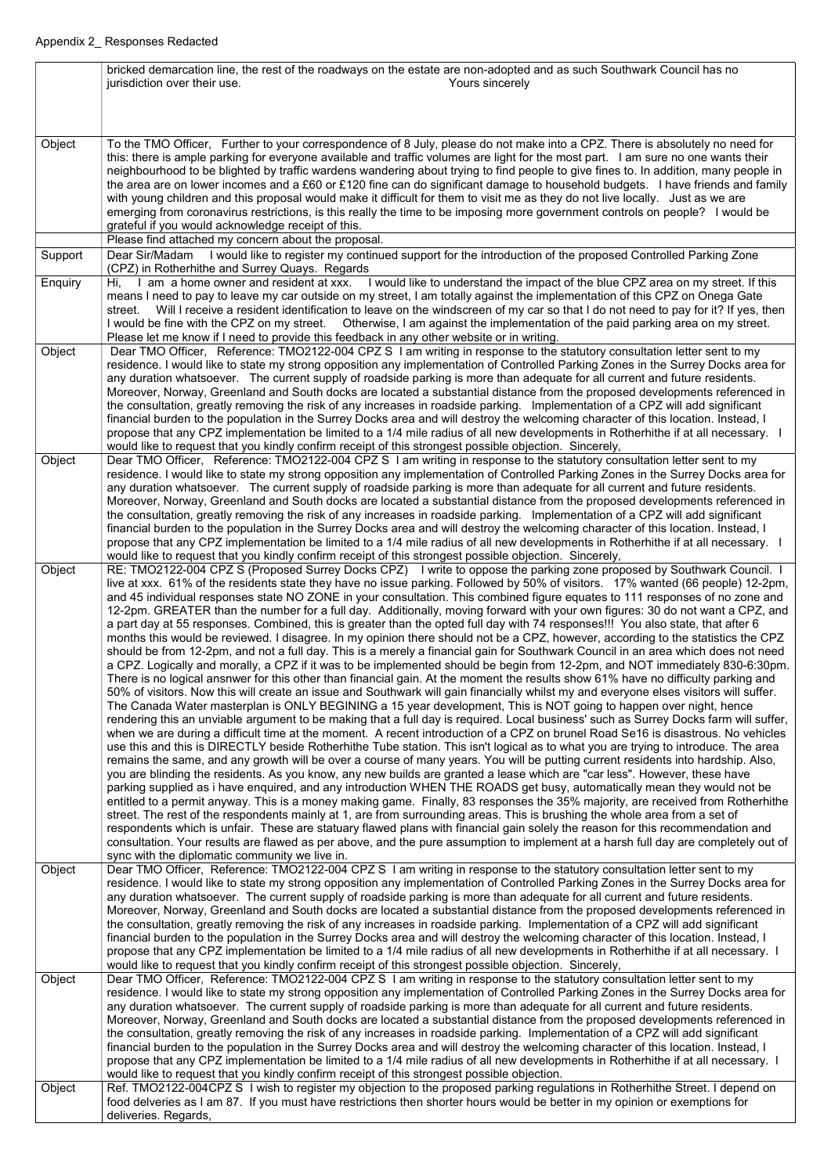|         | bricked demarcation line, the rest of the roadways on the estate are non-adopted and as such Southwark Council has no<br>jurisdiction over their use.<br>Yours sincerely                                                                                                  |
|---------|---------------------------------------------------------------------------------------------------------------------------------------------------------------------------------------------------------------------------------------------------------------------------|
|         |                                                                                                                                                                                                                                                                           |
|         |                                                                                                                                                                                                                                                                           |
| Object  | To the TMO Officer, Further to your correspondence of 8 July, please do not make into a CPZ. There is absolutely no need for                                                                                                                                              |
|         | this: there is ample parking for everyone available and traffic volumes are light for the most part. I am sure no one wants their<br>neighbourhood to be blighted by traffic wardens wandering about trying to find people to give fines to. In addition, many people in  |
|         | the area are on lower incomes and a £60 or £120 fine can do significant damage to household budgets. I have friends and family                                                                                                                                            |
|         | with young children and this proposal would make it difficult for them to visit me as they do not live locally. Just as we are<br>emerging from coronavirus restrictions, is this really the time to be imposing more government controls on people? I would be           |
|         | grateful if you would acknowledge receipt of this.                                                                                                                                                                                                                        |
|         | Please find attached my concern about the proposal.                                                                                                                                                                                                                       |
| Support | Dear Sir/Madam I would like to register my continued support for the introduction of the proposed Controlled Parking Zone<br>(CPZ) in Rotherhithe and Surrey Quays. Regards                                                                                               |
| Enquiry | I would like to understand the impact of the blue CPZ area on my street. If this<br>I am a home owner and resident at xxx.<br>Hi.                                                                                                                                         |
|         | means I need to pay to leave my car outside on my street, I am totally against the implementation of this CPZ on Onega Gate<br>Will I receive a resident identification to leave on the windscreen of my car so that I do not need to pay for it? If yes, then<br>street. |
|         | I would be fine with the CPZ on my street.  Otherwise, I am against the implementation of the paid parking area on my street.                                                                                                                                             |
| Object  | Please let me know if I need to provide this feedback in any other website or in writing.<br>Dear TMO Officer, Reference: TMO2122-004 CPZ S I am writing in response to the statutory consultation letter sent to my                                                      |
|         | residence. I would like to state my strong opposition any implementation of Controlled Parking Zones in the Surrey Docks area for                                                                                                                                         |
|         | any duration whatsoever. The current supply of roadside parking is more than adequate for all current and future residents.<br>Moreover, Norway, Greenland and South docks are located a substantial distance from the proposed developments referenced in                |
|         | the consultation, greatly removing the risk of any increases in roadside parking. Implementation of a CPZ will add significant                                                                                                                                            |
|         | financial burden to the population in the Surrey Docks area and will destroy the welcoming character of this location. Instead, I<br>propose that any CPZ implementation be limited to a 1/4 mile radius of all new developments in Rotherhithe if at all necessary. I    |
|         | would like to request that you kindly confirm receipt of this strongest possible objection. Sincerely,                                                                                                                                                                    |
| Object  | Dear TMO Officer, Reference: TMO2122-004 CPZ S I am writing in response to the statutory consultation letter sent to my<br>residence. I would like to state my strong opposition any implementation of Controlled Parking Zones in the Surrey Docks area for              |
|         | any duration whatsoever. The current supply of roadside parking is more than adequate for all current and future residents.                                                                                                                                               |
|         | Moreover, Norway, Greenland and South docks are located a substantial distance from the proposed developments referenced in<br>the consultation, greatly removing the risk of any increases in roadside parking. Implementation of a CPZ will add significant             |
|         | financial burden to the population in the Surrey Docks area and will destroy the welcoming character of this location. Instead, I                                                                                                                                         |
|         | propose that any CPZ implementation be limited to a 1/4 mile radius of all new developments in Rotherhithe if at all necessary. I<br>would like to request that you kindly confirm receipt of this strongest possible objection. Sincerely,                               |
| Object  | RE: TMO2122-004 CPZ S (Proposed Surrey Docks CPZ) I write to oppose the parking zone proposed by Southwark Council. I                                                                                                                                                     |
|         | live at xxx. 61% of the residents state they have no issue parking. Followed by 50% of visitors. 17% wanted (66 people) 12-2pm,<br>and 45 individual responses state NO ZONE in your consultation. This combined figure equates to 111 responses of no zone and           |
|         | 12-2pm. GREATER than the number for a full day. Additionally, moving forward with your own figures: 30 do not want a CPZ, and                                                                                                                                             |
|         | a part day at 55 responses. Combined, this is greater than the opted full day with 74 responses!!! You also state, that after 6<br>months this would be reviewed. I disagree. In my opinion there should not be a CPZ, however, according to the statistics the CPZ       |
|         | should be from 12-2pm, and not a full day. This is a merely a financial gain for Southwark Council in an area which does not need                                                                                                                                         |
|         | a CPZ. Logically and morally, a CPZ if it was to be implemented should be begin from 12-2pm, and NOT immediately 830-6:30pm.<br>There is no logical ansnwer for this other than financial gain. At the moment the results show 61% have no difficulty parking and         |
|         | 50% of visitors. Now this will create an issue and Southwark will gain financially whilst my and everyone elses visitors will suffer.                                                                                                                                     |
|         | The Canada Water masterplan is ONLY BEGINING a 15 year development, This is NOT going to happen over night, hence<br>rendering this an unviable argument to be making that a full day is required. Local business' such as Surrey Docks farm will suffer,                 |
|         | when we are during a difficult time at the moment. A recent introduction of a CPZ on brunel Road Se16 is disastrous. No vehicles                                                                                                                                          |
|         | use this and this is DIRECTLY beside Rotherhithe Tube station. This isn't logical as to what you are trying to introduce. The area<br>remains the same, and any growth will be over a course of many years. You will be putting current residents into hardship. Also,    |
|         | you are blinding the residents. As you know, any new builds are granted a lease which are "car less". However, these have                                                                                                                                                 |
|         | parking supplied as i have enquired, and any introduction WHEN THE ROADS get busy, automatically mean they would not be<br>entitled to a permit anyway. This is a money making game. Finally, 83 responses the 35% majority, are received from Rotherhithe                |
|         | street. The rest of the respondents mainly at 1, are from surrounding areas. This is brushing the whole area from a set of                                                                                                                                                |
|         | respondents which is unfair. These are statuary flawed plans with financial gain solely the reason for this recommendation and<br>consultation. Your results are flawed as per above, and the pure assumption to implement at a harsh full day are completely out of      |
|         | sync with the diplomatic community we live in.                                                                                                                                                                                                                            |
| Object  | Dear TMO Officer, Reference: TMO2122-004 CPZ S I am writing in response to the statutory consultation letter sent to my<br>residence. I would like to state my strong opposition any implementation of Controlled Parking Zones in the Surrey Docks area for              |
|         | any duration whatsoever. The current supply of roadside parking is more than adequate for all current and future residents.                                                                                                                                               |
|         | Moreover, Norway, Greenland and South docks are located a substantial distance from the proposed developments referenced in<br>the consultation, greatly removing the risk of any increases in roadside parking. Implementation of a CPZ will add significant             |
|         | financial burden to the population in the Surrey Docks area and will destroy the welcoming character of this location. Instead, I                                                                                                                                         |
|         | propose that any CPZ implementation be limited to a 1/4 mile radius of all new developments in Rotherhithe if at all necessary. I<br>would like to request that you kindly confirm receipt of this strongest possible objection. Sincerely,                               |
| Object  | Dear TMO Officer, Reference: TMO2122-004 CPZ S I am writing in response to the statutory consultation letter sent to my                                                                                                                                                   |
|         | residence. I would like to state my strong opposition any implementation of Controlled Parking Zones in the Surrey Docks area for<br>any duration whatsoever. The current supply of roadside parking is more than adequate for all current and future residents.          |
|         | Moreover, Norway, Greenland and South docks are located a substantial distance from the proposed developments referenced in                                                                                                                                               |
|         | the consultation, greatly removing the risk of any increases in roadside parking. Implementation of a CPZ will add significant<br>financial burden to the population in the Surrey Docks area and will destroy the welcoming character of this location. Instead, I       |
|         | propose that any CPZ implementation be limited to a 1/4 mile radius of all new developments in Rotherhithe if at all necessary. I                                                                                                                                         |
| Object  | would like to request that you kindly confirm receipt of this strongest possible objection.<br>Ref. TMO2122-004CPZ S I wish to register my objection to the proposed parking regulations in Rotherhithe Street. I depend on                                               |
|         | food delveries as I am 87. If you must have restrictions then shorter hours would be better in my opinion or exemptions for                                                                                                                                               |
|         | deliveries. Regards,                                                                                                                                                                                                                                                      |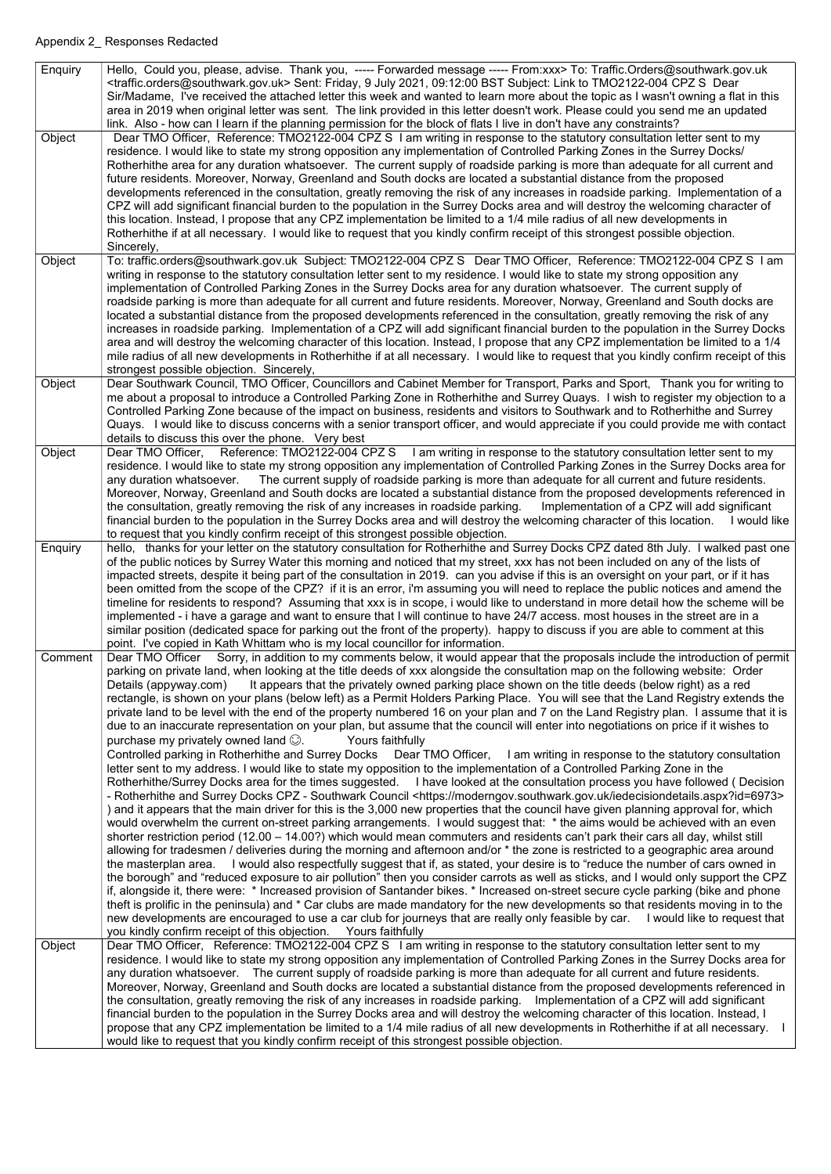| <b>Enquiry</b> | Hello, Could you, please, advise. Thank you, ----- Forwarded message ----- From:xxx> To: Traffic.Orders@southwark.gov.uk<br><traffic.orders@southwark.gov.uk> Sent: Friday, 9 July 2021, 09:12:00 BST Subject: Link to TMO2122-004 CPZ S Dear<br/>Sir/Madame, I've received the attached letter this week and wanted to learn more about the topic as I wasn't owning a flat in this<br/>area in 2019 when original letter was sent. The link provided in this letter doesn't work. Please could you send me an updated<br/>link. Also - how can I learn if the planning permission for the block of flats I live in don't have any constraints?</traffic.orders@southwark.gov.uk>                                                                                                                                                                                                                                                                                                                                                                                                                                                                                                                                                                                                                                                                                                                                                                                                                                                                                                                                                                                                                                                                                                                                                                                                                                                                                                                                                                                                                                                                                                                                                                                                                                                                                                                                                                                                                                                                                                                                                                                                                                                               |
|----------------|--------------------------------------------------------------------------------------------------------------------------------------------------------------------------------------------------------------------------------------------------------------------------------------------------------------------------------------------------------------------------------------------------------------------------------------------------------------------------------------------------------------------------------------------------------------------------------------------------------------------------------------------------------------------------------------------------------------------------------------------------------------------------------------------------------------------------------------------------------------------------------------------------------------------------------------------------------------------------------------------------------------------------------------------------------------------------------------------------------------------------------------------------------------------------------------------------------------------------------------------------------------------------------------------------------------------------------------------------------------------------------------------------------------------------------------------------------------------------------------------------------------------------------------------------------------------------------------------------------------------------------------------------------------------------------------------------------------------------------------------------------------------------------------------------------------------------------------------------------------------------------------------------------------------------------------------------------------------------------------------------------------------------------------------------------------------------------------------------------------------------------------------------------------------------------------------------------------------------------------------------------------------------------------------------------------------------------------------------------------------------------------------------------------------------------------------------------------------------------------------------------------------------------------------------------------------------------------------------------------------------------------------------------------------------------------------------------------------------------------------------|
| Object         | Dear TMO Officer, Reference: TMO2122-004 CPZ S I am writing in response to the statutory consultation letter sent to my<br>residence. I would like to state my strong opposition any implementation of Controlled Parking Zones in the Surrey Docks/<br>Rotherhithe area for any duration whatsoever. The current supply of roadside parking is more than adequate for all current and<br>future residents. Moreover, Norway, Greenland and South docks are located a substantial distance from the proposed<br>developments referenced in the consultation, greatly removing the risk of any increases in roadside parking. Implementation of a<br>CPZ will add significant financial burden to the population in the Surrey Docks area and will destroy the welcoming character of<br>this location. Instead, I propose that any CPZ implementation be limited to a 1/4 mile radius of all new developments in<br>Rotherhithe if at all necessary. I would like to request that you kindly confirm receipt of this strongest possible objection.<br>Sincerely,                                                                                                                                                                                                                                                                                                                                                                                                                                                                                                                                                                                                                                                                                                                                                                                                                                                                                                                                                                                                                                                                                                                                                                                                                                                                                                                                                                                                                                                                                                                                                                                                                                                                                 |
| Object         | To: traffic.orders@southwark.gov.uk Subject: TMO2122-004 CPZ S Dear TMO Officer, Reference: TMO2122-004 CPZ S I am<br>writing in response to the statutory consultation letter sent to my residence. I would like to state my strong opposition any<br>implementation of Controlled Parking Zones in the Surrey Docks area for any duration whatsoever. The current supply of<br>roadside parking is more than adequate for all current and future residents. Moreover, Norway, Greenland and South docks are<br>located a substantial distance from the proposed developments referenced in the consultation, greatly removing the risk of any<br>increases in roadside parking. Implementation of a CPZ will add significant financial burden to the population in the Surrey Docks<br>area and will destroy the welcoming character of this location. Instead, I propose that any CPZ implementation be limited to a 1/4<br>mile radius of all new developments in Rotherhithe if at all necessary. I would like to request that you kindly confirm receipt of this<br>strongest possible objection. Sincerely,                                                                                                                                                                                                                                                                                                                                                                                                                                                                                                                                                                                                                                                                                                                                                                                                                                                                                                                                                                                                                                                                                                                                                                                                                                                                                                                                                                                                                                                                                                                                                                                                                               |
| Object         | Dear Southwark Council, TMO Officer, Councillors and Cabinet Member for Transport, Parks and Sport, Thank you for writing to<br>me about a proposal to introduce a Controlled Parking Zone in Rotherhithe and Surrey Quays. I wish to register my objection to a<br>Controlled Parking Zone because of the impact on business, residents and visitors to Southwark and to Rotherhithe and Surrey<br>Quays. I would like to discuss concerns with a senior transport officer, and would appreciate if you could provide me with contact<br>details to discuss this over the phone. Very best                                                                                                                                                                                                                                                                                                                                                                                                                                                                                                                                                                                                                                                                                                                                                                                                                                                                                                                                                                                                                                                                                                                                                                                                                                                                                                                                                                                                                                                                                                                                                                                                                                                                                                                                                                                                                                                                                                                                                                                                                                                                                                                                                      |
| Object         | Dear TMO Officer, Reference: TMO2122-004 CPZ S I am writing in response to the statutory consultation letter sent to my<br>residence. I would like to state my strong opposition any implementation of Controlled Parking Zones in the Surrey Docks area for<br>The current supply of roadside parking is more than adequate for all current and future residents.<br>any duration whatsoever.<br>Moreover, Norway, Greenland and South docks are located a substantial distance from the proposed developments referenced in<br>the consultation, greatly removing the risk of any increases in roadside parking. Implementation of a CPZ will add significant<br>financial burden to the population in the Surrey Docks area and will destroy the welcoming character of this location.<br>I would like<br>to request that you kindly confirm receipt of this strongest possible objection.                                                                                                                                                                                                                                                                                                                                                                                                                                                                                                                                                                                                                                                                                                                                                                                                                                                                                                                                                                                                                                                                                                                                                                                                                                                                                                                                                                                                                                                                                                                                                                                                                                                                                                                                                                                                                                                    |
| Enquiry        | hello, thanks for your letter on the statutory consultation for Rotherhithe and Surrey Docks CPZ dated 8th July. I walked past one<br>of the public notices by Surrey Water this morning and noticed that my street, xxx has not been included on any of the lists of<br>impacted streets, despite it being part of the consultation in 2019. can you advise if this is an oversight on your part, or if it has<br>been omitted from the scope of the CPZ? if it is an error, i'm assuming you will need to replace the public notices and amend the<br>timeline for residents to respond? Assuming that xxx is in scope, i would like to understand in more detail how the scheme will be<br>implemented - i have a garage and want to ensure that I will continue to have 24/7 access. most houses in the street are in a<br>similar position (dedicated space for parking out the front of the property). happy to discuss if you are able to comment at this<br>point. I've copied in Kath Whittam who is my local councillor for information.                                                                                                                                                                                                                                                                                                                                                                                                                                                                                                                                                                                                                                                                                                                                                                                                                                                                                                                                                                                                                                                                                                                                                                                                                                                                                                                                                                                                                                                                                                                                                                                                                                                                                               |
| Comment        | Dear TMO Officer Sorry, in addition to my comments below, it would appear that the proposals include the introduction of permit<br>parking on private land, when looking at the title deeds of xxx alongside the consultation map on the following website: Order<br>It appears that the privately owned parking place shown on the title deeds (below right) as a red<br>Details (appyway.com)<br>rectangle, is shown on your plans (below left) as a Permit Holders Parking Place. You will see that the Land Registry extends the<br>private land to be level with the end of the property numbered 16 on your plan and 7 on the Land Registry plan. I assume that it is<br>due to an inaccurate representation on your plan, but assume that the council will enter into negotiations on price if it wishes to<br>purchase my privately owned land $\odot$ .<br>Yours faithfully<br>Controlled parking in Rotherhithe and Surrey Docks Dear TMO Officer, I am writing in response to the statutory consultation<br>letter sent to my address. I would like to state my opposition to the implementation of a Controlled Parking Zone in the<br>Rotherhithe/Surrey Docks area for the times suggested. I have looked at the consultation process you have followed (Decision<br>- Rotherhithe and Surrey Docks CPZ - Southwark Council <https: iedecisiondetails.aspx?id="6973" moderngov.southwark.gov.uk=""><br/>) and it appears that the main driver for this is the 3,000 new properties that the council have given planning approval for, which<br/>would overwhelm the current on-street parking arrangements. I would suggest that: * the aims would be achieved with an even<br/>shorter restriction period (12.00 - 14.00?) which would mean commuters and residents can't park their cars all day, whilst still<br/>allowing for tradesmen / deliveries during the morning and afternoon and/or * the zone is restricted to a geographic area around<br/>the masterplan area. I would also respectfully suggest that if, as stated, your desire is to "reduce the number of cars owned in<br/>the borough" and "reduced exposure to air pollution" then you consider carrots as well as sticks, and I would only support the CPZ<br/>if, alongside it, there were: * Increased provision of Santander bikes. * Increased on-street secure cycle parking (bike and phone<br/>theft is prolific in the peninsula) and * Car clubs are made mandatory for the new developments so that residents moving in to the<br/>new developments are encouraged to use a car club for journeys that are really only feasible by car. I would like to request that<br/>you kindly confirm receipt of this objection.  Yours faithfully</https:> |
| Object         | Dear TMO Officer, Reference: TMO2122-004 CPZ S I am writing in response to the statutory consultation letter sent to my<br>residence. I would like to state my strong opposition any implementation of Controlled Parking Zones in the Surrey Docks area for<br>any duration whatsoever. The current supply of roadside parking is more than adequate for all current and future residents.<br>Moreover, Norway, Greenland and South docks are located a substantial distance from the proposed developments referenced in<br>the consultation, greatly removing the risk of any increases in roadside parking. Implementation of a CPZ will add significant<br>financial burden to the population in the Surrey Docks area and will destroy the welcoming character of this location. Instead, I<br>propose that any CPZ implementation be limited to a 1/4 mile radius of all new developments in Rotherhithe if at all necessary.<br>would like to request that you kindly confirm receipt of this strongest possible objection.                                                                                                                                                                                                                                                                                                                                                                                                                                                                                                                                                                                                                                                                                                                                                                                                                                                                                                                                                                                                                                                                                                                                                                                                                                                                                                                                                                                                                                                                                                                                                                                                                                                                                                              |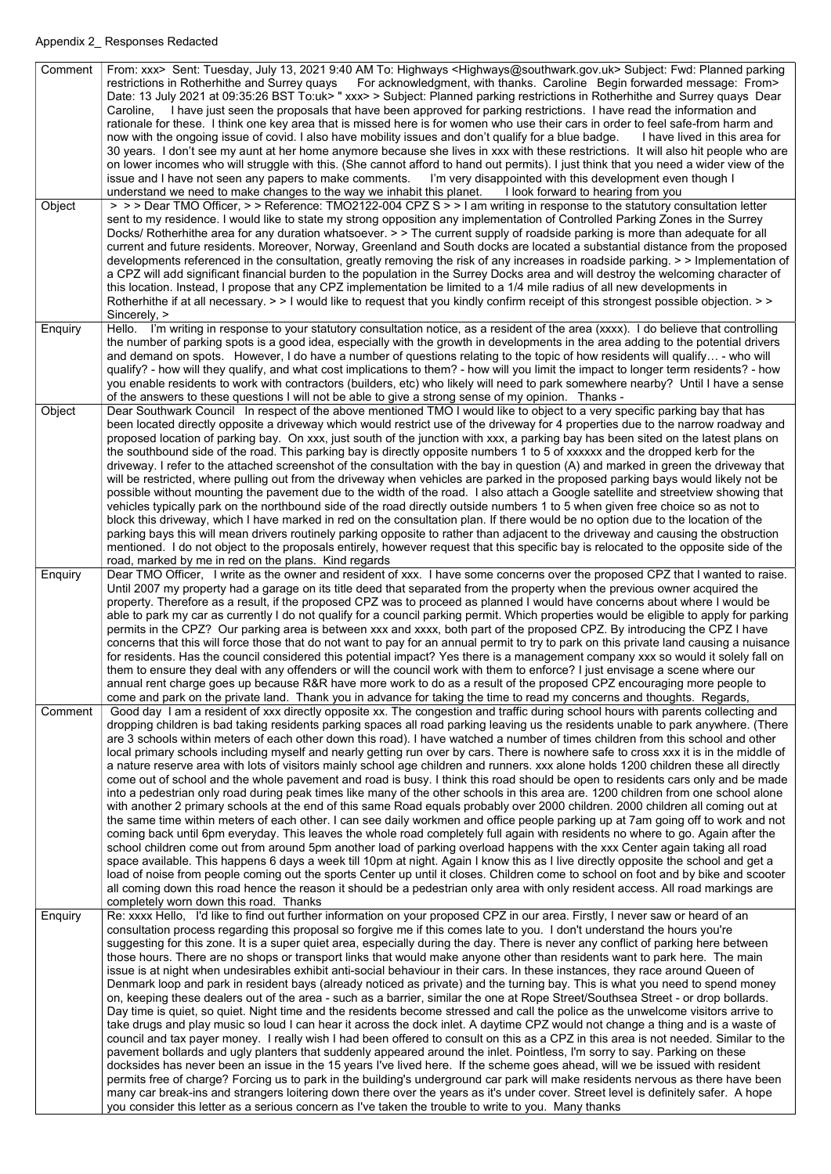| Comment        | From: xxx> Sent: Tuesday, July 13, 2021 9:40 AM To: Highways <highways@southwark.gov.uk> Subject: Fwd: Planned parking<br/>restrictions in Rotherhithe and Surrey quays<br/>For acknowledgment, with thanks. Caroline Begin forwarded message: From&gt;<br/>Date: 13 July 2021 at 09:35:26 BST To:uk&gt; " xxx&gt; &gt; Subject: Planned parking restrictions in Rotherhithe and Surrey quays Dear<br/>Caroline, I have just seen the proposals that have been approved for parking restrictions. I have read the information and<br/>rationale for these. I think one key area that is missed here is for women who use their cars in order to feel safe-from harm and<br/>now with the ongoing issue of covid. I also have mobility issues and don't qualify for a blue badge.<br/>I have lived in this area for<br/>30 years. I don't see my aunt at her home anymore because she lives in xxx with these restrictions. It will also hit people who are<br/>on lower incomes who will struggle with this. (She cannot afford to hand out permits). I just think that you need a wider view of the<br/>I'm very disappointed with this development even though I<br/>issue and I have not seen any papers to make comments.<br/>understand we need to make changes to the way we inhabit this planet. I look forward to hearing from you</highways@southwark.gov.uk>                                                                                                                                                                                                                                                                                                                                                                                                                                                                                                                                                                                                                                  |
|----------------|---------------------------------------------------------------------------------------------------------------------------------------------------------------------------------------------------------------------------------------------------------------------------------------------------------------------------------------------------------------------------------------------------------------------------------------------------------------------------------------------------------------------------------------------------------------------------------------------------------------------------------------------------------------------------------------------------------------------------------------------------------------------------------------------------------------------------------------------------------------------------------------------------------------------------------------------------------------------------------------------------------------------------------------------------------------------------------------------------------------------------------------------------------------------------------------------------------------------------------------------------------------------------------------------------------------------------------------------------------------------------------------------------------------------------------------------------------------------------------------------------------------------------------------------------------------------------------------------------------------------------------------------------------------------------------------------------------------------------------------------------------------------------------------------------------------------------------------------------------------------------------------------------------------------------------------------------------------------------------------------------------|
| Object         | > > > Dear TMO Officer, > > Reference: TMO2122-004 CPZ S > > I am writing in response to the statutory consultation letter<br>sent to my residence. I would like to state my strong opposition any implementation of Controlled Parking Zones in the Surrey<br>Docks/ Rotherhithe area for any duration whatsoever. > > The current supply of roadside parking is more than adequate for all<br>current and future residents. Moreover, Norway, Greenland and South docks are located a substantial distance from the proposed<br>developments referenced in the consultation, greatly removing the risk of any increases in roadside parking. > > Implementation of<br>a CPZ will add significant financial burden to the population in the Surrey Docks area and will destroy the welcoming character of<br>this location. Instead, I propose that any CPZ implementation be limited to a 1/4 mile radius of all new developments in<br>Rotherhithe if at all necessary. > > I would like to request that you kindly confirm receipt of this strongest possible objection. > ><br>Sincerely, >                                                                                                                                                                                                                                                                                                                                                                                                                                                                                                                                                                                                                                                                                                                                                                                                                                                                                                        |
| Enquiry        | Hello. I'm writing in response to your statutory consultation notice, as a resident of the area (xxxx). I do believe that controlling<br>the number of parking spots is a good idea, especially with the growth in developments in the area adding to the potential drivers<br>and demand on spots. However, I do have a number of questions relating to the topic of how residents will qualify - who will<br>qualify? - how will they qualify, and what cost implications to them? - how will you limit the impact to longer term residents? - how<br>you enable residents to work with contractors (builders, etc) who likely will need to park somewhere nearby? Until I have a sense<br>of the answers to these questions I will not be able to give a strong sense of my opinion. Thanks -                                                                                                                                                                                                                                                                                                                                                                                                                                                                                                                                                                                                                                                                                                                                                                                                                                                                                                                                                                                                                                                                                                                                                                                                        |
| Object         | Dear Southwark Council In respect of the above mentioned TMO I would like to object to a very specific parking bay that has<br>been located directly opposite a driveway which would restrict use of the driveway for 4 properties due to the narrow roadway and<br>proposed location of parking bay. On xxx, just south of the junction with xxx, a parking bay has been sited on the latest plans on<br>the southbound side of the road. This parking bay is directly opposite numbers 1 to 5 of xxxxxx and the dropped kerb for the<br>driveway. I refer to the attached screenshot of the consultation with the bay in question (A) and marked in green the driveway that<br>will be restricted, where pulling out from the driveway when vehicles are parked in the proposed parking bays would likely not be<br>possible without mounting the pavement due to the width of the road. I also attach a Google satellite and streetview showing that<br>vehicles typically park on the northbound side of the road directly outside numbers 1 to 5 when given free choice so as not to<br>block this driveway, which I have marked in red on the consultation plan. If there would be no option due to the location of the<br>parking bays this will mean drivers routinely parking opposite to rather than adjacent to the driveway and causing the obstruction<br>mentioned. I do not object to the proposals entirely, however request that this specific bay is relocated to the opposite side of the<br>road, marked by me in red on the plans. Kind regards                                                                                                                                                                                                                                                                                                                                                                                                                                    |
| <b>Enquiry</b> | Dear TMO Officer, I write as the owner and resident of xxx. I have some concerns over the proposed CPZ that I wanted to raise.<br>Until 2007 my property had a garage on its title deed that separated from the property when the previous owner acquired the<br>property. Therefore as a result, if the proposed CPZ was to proceed as planned I would have concerns about where I would be<br>able to park my car as currently I do not qualify for a council parking permit. Which properties would be eligible to apply for parking<br>permits in the CPZ? Our parking area is between xxx and xxxx, both part of the proposed CPZ. By introducing the CPZ I have<br>concerns that this will force those that do not want to pay for an annual permit to try to park on this private land causing a nuisance<br>for residents. Has the council considered this potential impact? Yes there is a management company xxx so would it solely fall on<br>them to ensure they deal with any offenders or will the council work with them to enforce? I just envisage a scene where our<br>annual rent charge goes up because R&R have more work to do as a result of the proposed CPZ encouraging more people to<br>come and park on the private land. Thank you in advance for taking the time to read my concerns and thoughts. Regards,                                                                                                                                                                                                                                                                                                                                                                                                                                                                                                                                                                                                                                                               |
| Comment        | Good day I am a resident of xxx directly opposite xx. The congestion and traffic during school hours with parents collecting and<br>dropping children is bad taking residents parking spaces all road parking leaving us the residents unable to park anywhere. (There<br>are 3 schools within meters of each other down this road). I have watched a number of times children from this school and other<br>local primary schools including myself and nearly getting run over by cars. There is nowhere safe to cross xxx it is in the middle of<br>a nature reserve area with lots of visitors mainly school age children and runners. xxx alone holds 1200 children these all directly<br>come out of school and the whole pavement and road is busy. I think this road should be open to residents cars only and be made<br>into a pedestrian only road during peak times like many of the other schools in this area are. 1200 children from one school alone<br>with another 2 primary schools at the end of this same Road equals probably over 2000 children. 2000 children all coming out at<br>the same time within meters of each other. I can see daily workmen and office people parking up at 7am going off to work and not<br>coming back until 6pm everyday. This leaves the whole road completely full again with residents no where to go. Again after the<br>school children come out from around 5pm another load of parking overload happens with the xxx Center again taking all road<br>space available. This happens 6 days a week till 10pm at night. Again I know this as I live directly opposite the school and get a<br>load of noise from people coming out the sports Center up until it closes. Children come to school on foot and by bike and scooter<br>all coming down this road hence the reason it should be a pedestrian only area with only resident access. All road markings are<br>completely worn down this road. Thanks                                   |
| Enquiry        | Re: xxxx Hello, I'd like to find out further information on your proposed CPZ in our area. Firstly, I never saw or heard of an<br>consultation process regarding this proposal so forgive me if this comes late to you. I don't understand the hours you're<br>suggesting for this zone. It is a super quiet area, especially during the day. There is never any conflict of parking here between<br>those hours. There are no shops or transport links that would make anyone other than residents want to park here. The main<br>issue is at night when undesirables exhibit anti-social behaviour in their cars. In these instances, they race around Queen of<br>Denmark loop and park in resident bays (already noticed as private) and the turning bay. This is what you need to spend money<br>on, keeping these dealers out of the area - such as a barrier, similar the one at Rope Street/Southsea Street - or drop bollards.<br>Day time is quiet, so quiet. Night time and the residents become stressed and call the police as the unwelcome visitors arrive to<br>take drugs and play music so loud I can hear it across the dock inlet. A daytime CPZ would not change a thing and is a waste of<br>council and tax payer money. I really wish I had been offered to consult on this as a CPZ in this area is not needed. Similar to the<br>pavement bollards and ugly planters that suddenly appeared around the inlet. Pointless, I'm sorry to say. Parking on these<br>docksides has never been an issue in the 15 years I've lived here. If the scheme goes ahead, will we be issued with resident<br>permits free of charge? Forcing us to park in the building's underground car park will make residents nervous as there have been<br>many car break-ins and strangers loitering down there over the years as it's under cover. Street level is definitely safer. A hope<br>you consider this letter as a serious concern as I've taken the trouble to write to you. Many thanks |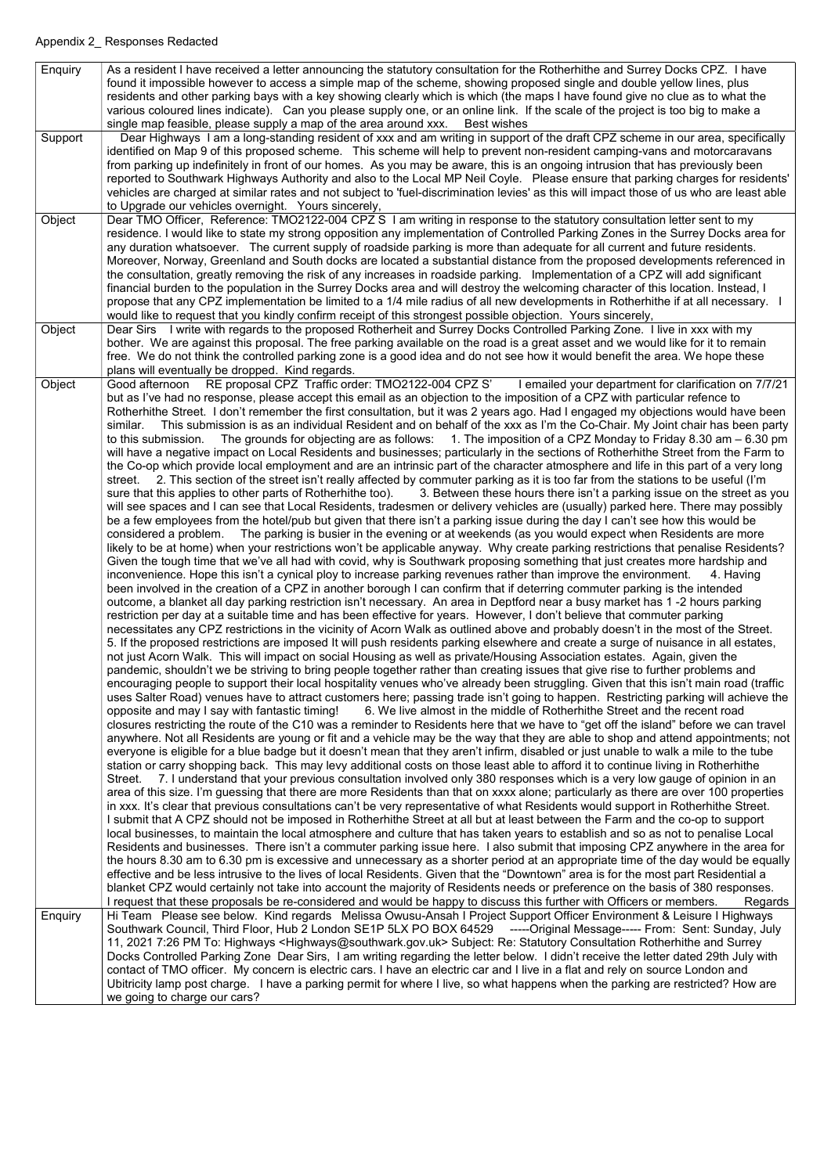| Enquiry | As a resident I have received a letter announcing the statutory consultation for the Rotherhithe and Surrey Docks CPZ. I have                    |
|---------|--------------------------------------------------------------------------------------------------------------------------------------------------|
|         | found it impossible however to access a simple map of the scheme, showing proposed single and double yellow lines, plus                          |
|         | residents and other parking bays with a key showing clearly which is which (the maps I have found give no clue as to what the                    |
|         | various coloured lines indicate). Can you please supply one, or an online link. If the scale of the project is too big to make a                 |
|         | single map feasible, please supply a map of the area around xxx.<br><b>Best wishes</b>                                                           |
| Support | Dear Highways I am a long-standing resident of xxx and am writing in support of the draft CPZ scheme in our area, specifically                   |
|         | identified on Map 9 of this proposed scheme. This scheme will help to prevent non-resident camping-vans and motorcaravans                        |
|         | from parking up indefinitely in front of our homes. As you may be aware, this is an ongoing intrusion that has previously been                   |
|         | reported to Southwark Highways Authority and also to the Local MP Neil Coyle. Please ensure that parking charges for residents'                  |
|         | vehicles are charged at similar rates and not subject to 'fuel-discrimination levies' as this will impact those of us who are least able         |
|         | to Upgrade our vehicles overnight. Yours sincerely,                                                                                              |
| Object  | Dear TMO Officer, Reference: TMO2122-004 CPZ S I am writing in response to the statutory consultation letter sent to my                          |
|         | residence. I would like to state my strong opposition any implementation of Controlled Parking Zones in the Surrey Docks area for                |
|         | any duration whatsoever. The current supply of roadside parking is more than adequate for all current and future residents.                      |
|         | Moreover, Norway, Greenland and South docks are located a substantial distance from the proposed developments referenced in                      |
|         | the consultation, greatly removing the risk of any increases in roadside parking. Implementation of a CPZ will add significant                   |
|         | financial burden to the population in the Surrey Docks area and will destroy the welcoming character of this location. Instead, I                |
|         | propose that any CPZ implementation be limited to a 1/4 mile radius of all new developments in Rotherhithe if at all necessary. I                |
|         | would like to request that you kindly confirm receipt of this strongest possible objection. Yours sincerely,                                     |
| Object  | Dear Sirs I write with regards to the proposed Rotherheit and Surrey Docks Controlled Parking Zone. I live in xxx with my                        |
|         | bother. We are against this proposal. The free parking available on the road is a great asset and we would like for it to remain                 |
|         | free. We do not think the controlled parking zone is a good idea and do not see how it would benefit the area. We hope these                     |
|         | plans will eventually be dropped. Kind regards.                                                                                                  |
| Object  | RE proposal CPZ Traffic order: TMO2122-004 CPZ S'<br>I emailed your department for clarification on 7/7/21<br>Good afternoon                     |
|         | but as I've had no response, please accept this email as an objection to the imposition of a CPZ with particular refence to                      |
|         | Rotherhithe Street. I don't remember the first consultation, but it was 2 years ago. Had I engaged my objections would have been                 |
|         | This submission is as an individual Resident and on behalf of the xxx as I'm the Co-Chair. My Joint chair has been party<br>similar.             |
|         | The grounds for objecting are as follows: $1.$ The imposition of a CPZ Monday to Friday 8.30 am $-$ 6.30 pm<br>to this submission.               |
|         | will have a negative impact on Local Residents and businesses; particularly in the sections of Rotherhithe Street from the Farm to               |
|         | the Co-op which provide local employment and are an intrinsic part of the character atmosphere and life in this part of a very long              |
|         | 2. This section of the street isn't really affected by commuter parking as it is too far from the stations to be useful (I'm<br>street.          |
|         | sure that this applies to other parts of Rotherhithe too).<br>3. Between these hours there isn't a parking issue on the street as you            |
|         | will see spaces and I can see that Local Residents, tradesmen or delivery vehicles are (usually) parked here. There may possibly                 |
|         | be a few employees from the hotel/pub but given that there isn't a parking issue during the day I can't see how this would be                    |
|         | considered a problem. The parking is busier in the evening or at weekends (as you would expect when Residents are more                           |
|         | likely to be at home) when your restrictions won't be applicable anyway. Why create parking restrictions that penalise Residents?                |
|         | Given the tough time that we've all had with covid, why is Southwark proposing something that just creates more hardship and                     |
|         | inconvenience. Hope this isn't a cynical ploy to increase parking revenues rather than improve the environment.<br>4. Having                     |
|         | been involved in the creation of a CPZ in another borough I can confirm that if deterring commuter parking is the intended                       |
|         | outcome, a blanket all day parking restriction isn't necessary. An area in Deptford near a busy market has 1-2 hours parking                     |
|         | restriction per day at a suitable time and has been effective for years. However, I don't believe that commuter parking                          |
|         | necessitates any CPZ restrictions in the vicinity of Acorn Walk as outlined above and probably doesn't in the most of the Street.                |
|         | 5. If the proposed restrictions are imposed It will push residents parking elsewhere and create a surge of nuisance in all estates,              |
|         | not just Acorn Walk. This will impact on social Housing as well as private/Housing Association estates. Again, given the                         |
|         | pandemic, shouldn't we be striving to bring people together rather than creating issues that give rise to further problems and                   |
|         | encouraging people to support their local hospitality venues who've already been struggling. Given that this isn't main road (traffic            |
|         | uses Salter Road) venues have to attract customers here; passing trade isn't going to happen. Restricting parking will achieve the               |
|         | 6. We live almost in the middle of Rotherhithe Street and the recent road<br>opposite and may I say with fantastic timing!                       |
|         | closures restricting the route of the C10 was a reminder to Residents here that we have to "get off the island" before we can travel             |
|         | anywhere. Not all Residents are young or fit and a vehicle may be the way that they are able to shop and attend appointments; not                |
|         | everyone is eligible for a blue badge but it doesn't mean that they aren't infirm, disabled or just unable to walk a mile to the tube            |
|         | station or carry shopping back. This may levy additional costs on those least able to afford it to continue living in Rotherhithe                |
|         | Street. 7. I understand that your previous consultation involved only 380 responses which is a very low gauge of opinion in an                   |
|         | area of this size. I'm guessing that there are more Residents than that on xxxx alone; particularly as there are over 100 properties             |
|         | in xxx. It's clear that previous consultations can't be very representative of what Residents would support in Rotherhithe Street.               |
|         | I submit that A CPZ should not be imposed in Rotherhithe Street at all but at least between the Farm and the co-op to support                    |
|         | local businesses, to maintain the local atmosphere and culture that has taken years to establish and so as not to penalise Local                 |
|         | Residents and businesses. There isn't a commuter parking issue here. I also submit that imposing CPZ anywhere in the area for                    |
|         | the hours 8.30 am to 6.30 pm is excessive and unnecessary as a shorter period at an appropriate time of the day would be equally                 |
|         | effective and be less intrusive to the lives of local Residents. Given that the "Downtown" area is for the most part Residential a               |
|         | blanket CPZ would certainly not take into account the majority of Residents needs or preference on the basis of 380 responses.                   |
|         | I request that these proposals be re-considered and would be happy to discuss this further with Officers or members.<br>Regards                  |
| Enquiry | Hi Team Please see below. Kind regards Melissa Owusu-Ansah I Project Support Officer Environment & Leisure I Highways                            |
|         | Southwark Council, Third Floor, Hub 2 London SE1P 5LX PO BOX 64529 -----Original Message----- From: Sent: Sunday, July                           |
|         | 11, 2021 7:26 PM To: Highways <highways@southwark.gov.uk> Subject: Re: Statutory Consultation Rotherhithe and Surrey</highways@southwark.gov.uk> |
|         | Docks Controlled Parking Zone Dear Sirs, I am writing regarding the letter below. I didn't receive the letter dated 29th July with               |
|         | contact of TMO officer. My concern is electric cars. I have an electric car and I live in a flat and rely on source London and                   |
|         | Ubitricity lamp post charge. I have a parking permit for where I live, so what happens when the parking are restricted? How are                  |
|         | we going to charge our cars?                                                                                                                     |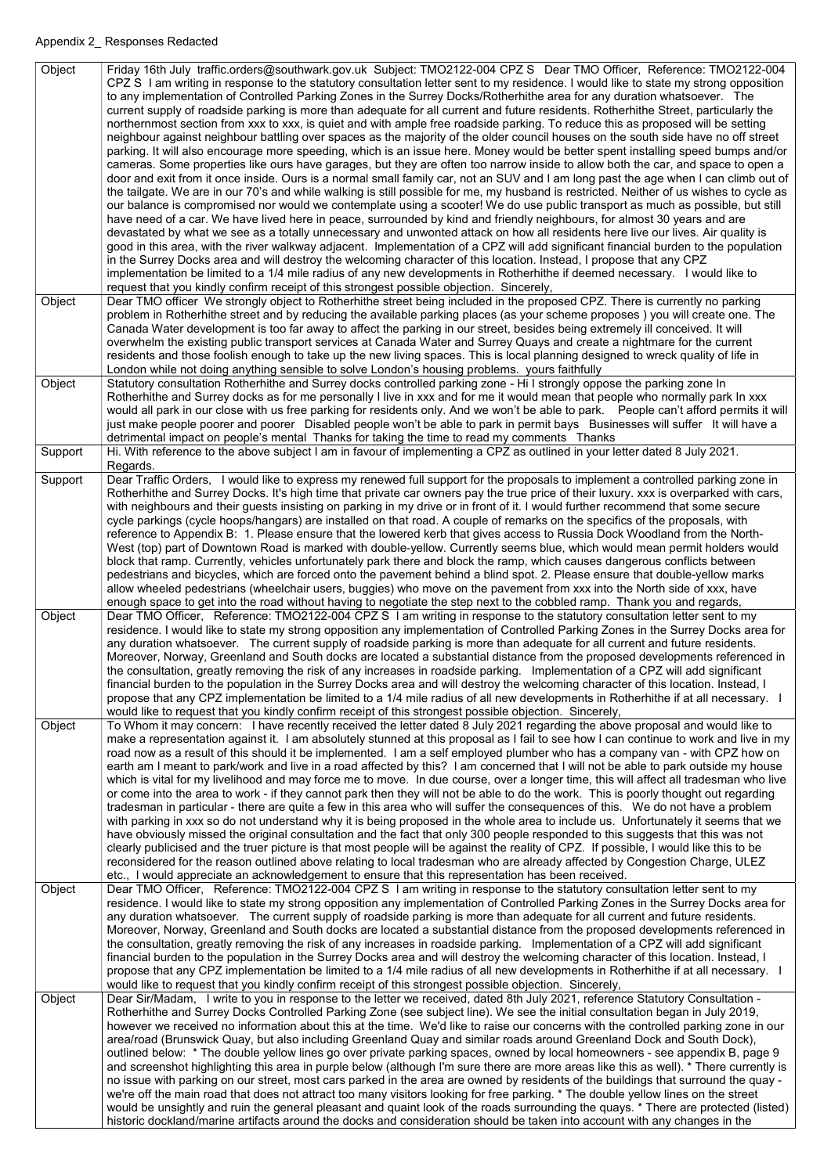| Object<br>Object | Friday 16th July traffic.orders@southwark.gov.uk Subject: TMO2122-004 CPZ S Dear TMO Officer, Reference: TMO2122-004<br>CPZ S I am writing in response to the statutory consultation letter sent to my residence. I would like to state my strong opposition<br>to any implementation of Controlled Parking Zones in the Surrey Docks/Rotherhithe area for any duration whatsoever. The<br>current supply of roadside parking is more than adequate for all current and future residents. Rotherhithe Street, particularly the<br>northernmost section from xxx to xxx, is quiet and with ample free roadside parking. To reduce this as proposed will be setting<br>neighbour against neighbour battling over spaces as the majority of the older council houses on the south side have no off street<br>parking. It will also encourage more speeding, which is an issue here. Money would be better spent installing speed bumps and/or<br>cameras. Some properties like ours have garages, but they are often too narrow inside to allow both the car, and space to open a<br>door and exit from it once inside. Ours is a normal small family car, not an SUV and I am long past the age when I can climb out of<br>the tailgate. We are in our 70's and while walking is still possible for me, my husband is restricted. Neither of us wishes to cycle as<br>our balance is compromised nor would we contemplate using a scooter! We do use public transport as much as possible, but still<br>have need of a car. We have lived here in peace, surrounded by kind and friendly neighbours, for almost 30 years and are<br>devastated by what we see as a totally unnecessary and unwonted attack on how all residents here live our lives. Air quality is<br>good in this area, with the river walkway adjacent. Implementation of a CPZ will add significant financial burden to the population<br>in the Surrey Docks area and will destroy the welcoming character of this location. Instead, I propose that any CPZ<br>implementation be limited to a 1/4 mile radius of any new developments in Rotherhithe if deemed necessary. I would like to<br>request that you kindly confirm receipt of this strongest possible objection. Sincerely,<br>Dear TMO officer We strongly object to Rotherhithe street being included in the proposed CPZ. There is currently no parking<br>problem in Rotherhithe street and by reducing the available parking places (as your scheme proposes) you will create one. The |
|------------------|---------------------------------------------------------------------------------------------------------------------------------------------------------------------------------------------------------------------------------------------------------------------------------------------------------------------------------------------------------------------------------------------------------------------------------------------------------------------------------------------------------------------------------------------------------------------------------------------------------------------------------------------------------------------------------------------------------------------------------------------------------------------------------------------------------------------------------------------------------------------------------------------------------------------------------------------------------------------------------------------------------------------------------------------------------------------------------------------------------------------------------------------------------------------------------------------------------------------------------------------------------------------------------------------------------------------------------------------------------------------------------------------------------------------------------------------------------------------------------------------------------------------------------------------------------------------------------------------------------------------------------------------------------------------------------------------------------------------------------------------------------------------------------------------------------------------------------------------------------------------------------------------------------------------------------------------------------------------------------------------------------------------------------------------------------------------------------------------------------------------------------------------------------------------------------------------------------------------------------------------------------------------------------------------------------------------------------------------------------------------------------------------------------------------------------------------------------------------------------------------------------------------------|
| Object           | Canada Water development is too far away to affect the parking in our street, besides being extremely ill conceived. It will<br>overwhelm the existing public transport services at Canada Water and Surrey Quays and create a nightmare for the current<br>residents and those foolish enough to take up the new living spaces. This is local planning designed to wreck quality of life in<br>London while not doing anything sensible to solve London's housing problems. yours faithfully<br>Statutory consultation Rotherhithe and Surrey docks controlled parking zone - Hi I strongly oppose the parking zone In                                                                                                                                                                                                                                                                                                                                                                                                                                                                                                                                                                                                                                                                                                                                                                                                                                                                                                                                                                                                                                                                                                                                                                                                                                                                                                                                                                                                                                                                                                                                                                                                                                                                                                                                                                                                                                                                                                   |
|                  | Rotherhithe and Surrey docks as for me personally I live in xxx and for me it would mean that people who normally park In xxx<br>would all park in our close with us free parking for residents only. And we won't be able to park. People can't afford permits it will<br>just make people poorer and poorer Disabled people won't be able to park in permit bays Businesses will suffer It will have a<br>detrimental impact on people's mental Thanks for taking the time to read my comments Thanks                                                                                                                                                                                                                                                                                                                                                                                                                                                                                                                                                                                                                                                                                                                                                                                                                                                                                                                                                                                                                                                                                                                                                                                                                                                                                                                                                                                                                                                                                                                                                                                                                                                                                                                                                                                                                                                                                                                                                                                                                   |
| Support          | Hi. With reference to the above subject I am in favour of implementing a CPZ as outlined in your letter dated 8 July 2021.<br>Regards.                                                                                                                                                                                                                                                                                                                                                                                                                                                                                                                                                                                                                                                                                                                                                                                                                                                                                                                                                                                                                                                                                                                                                                                                                                                                                                                                                                                                                                                                                                                                                                                                                                                                                                                                                                                                                                                                                                                                                                                                                                                                                                                                                                                                                                                                                                                                                                                    |
| Support          | Dear Traffic Orders, I would like to express my renewed full support for the proposals to implement a controlled parking zone in<br>Rotherhithe and Surrey Docks. It's high time that private car owners pay the true price of their luxury. xxx is overparked with cars,<br>with neighbours and their guests insisting on parking in my drive or in front of it. I would further recommend that some secure<br>cycle parkings (cycle hoops/hangars) are installed on that road. A couple of remarks on the specifics of the proposals, with<br>reference to Appendix B: 1. Please ensure that the lowered kerb that gives access to Russia Dock Woodland from the North-<br>West (top) part of Downtown Road is marked with double-yellow. Currently seems blue, which would mean permit holders would<br>block that ramp. Currently, vehicles unfortunately park there and block the ramp, which causes dangerous conflicts between<br>pedestrians and bicycles, which are forced onto the pavement behind a blind spot. 2. Please ensure that double-yellow marks<br>allow wheeled pedestrians (wheelchair users, buggies) who move on the pavement from xxx into the North side of xxx, have<br>enough space to get into the road without having to negotiate the step next to the cobbled ramp. Thank you and regards,                                                                                                                                                                                                                                                                                                                                                                                                                                                                                                                                                                                                                                                                                                                                                                                                                                                                                                                                                                                                                                                                                                                                                                                               |
| Object           | Dear TMO Officer, Reference: TMO2122-004 CPZ S I am writing in response to the statutory consultation letter sent to my<br>residence. I would like to state my strong opposition any implementation of Controlled Parking Zones in the Surrey Docks area for<br>any duration whatsoever. The current supply of roadside parking is more than adequate for all current and future residents.<br>Moreover, Norway, Greenland and South docks are located a substantial distance from the proposed developments referenced in<br>the consultation, greatly removing the risk of any increases in roadside parking. Implementation of a CPZ will add significant<br>financial burden to the population in the Surrey Docks area and will destroy the welcoming character of this location. Instead, I<br>propose that any CPZ implementation be limited to a 1/4 mile radius of all new developments in Rotherhithe if at all necessary.<br>would like to request that you kindly confirm receipt of this strongest possible objection. Sincerely,                                                                                                                                                                                                                                                                                                                                                                                                                                                                                                                                                                                                                                                                                                                                                                                                                                                                                                                                                                                                                                                                                                                                                                                                                                                                                                                                                                                                                                                                            |
| Object           | To Whom it may concern: I have recently received the letter dated 8 July 2021 regarding the above proposal and would like to<br>make a representation against it. I am absolutely stunned at this proposal as I fail to see how I can continue to work and live in my<br>road now as a result of this should it be implemented. I am a self employed plumber who has a company van - with CPZ how on<br>earth am I meant to park/work and live in a road affected by this? I am concerned that I will not be able to park outside my house<br>which is vital for my livelihood and may force me to move. In due course, over a longer time, this will affect all tradesman who live<br>or come into the area to work - if they cannot park then they will not be able to do the work. This is poorly thought out regarding<br>tradesman in particular - there are quite a few in this area who will suffer the consequences of this. We do not have a problem<br>with parking in xxx so do not understand why it is being proposed in the whole area to include us. Unfortunately it seems that we<br>have obviously missed the original consultation and the fact that only 300 people responded to this suggests that this was not<br>clearly publicised and the truer picture is that most people will be against the reality of CPZ. If possible, I would like this to be<br>reconsidered for the reason outlined above relating to local tradesman who are already affected by Congestion Charge, ULEZ<br>etc., I would appreciate an acknowledgement to ensure that this representation has been received.                                                                                                                                                                                                                                                                                                                                                                                                                                                                                                                                                                                                                                                                                                                                                                                                                                                                                                          |
| Object           | Dear TMO Officer, Reference: TMO2122-004 CPZ S I am writing in response to the statutory consultation letter sent to my<br>residence. I would like to state my strong opposition any implementation of Controlled Parking Zones in the Surrey Docks area for<br>any duration whatsoever. The current supply of roadside parking is more than adequate for all current and future residents.<br>Moreover, Norway, Greenland and South docks are located a substantial distance from the proposed developments referenced in<br>the consultation, greatly removing the risk of any increases in roadside parking. Implementation of a CPZ will add significant<br>financial burden to the population in the Surrey Docks area and will destroy the welcoming character of this location. Instead, I<br>propose that any CPZ implementation be limited to a 1/4 mile radius of all new developments in Rotherhithe if at all necessary.<br>would like to request that you kindly confirm receipt of this strongest possible objection. Sincerely,                                                                                                                                                                                                                                                                                                                                                                                                                                                                                                                                                                                                                                                                                                                                                                                                                                                                                                                                                                                                                                                                                                                                                                                                                                                                                                                                                                                                                                                                            |
| Object           | Dear Sir/Madam, I write to you in response to the letter we received, dated 8th July 2021, reference Statutory Consultation -<br>Rotherhithe and Surrey Docks Controlled Parking Zone (see subject line). We see the initial consultation began in July 2019,<br>however we received no information about this at the time. We'd like to raise our concerns with the controlled parking zone in our<br>area/road (Brunswick Quay, but also including Greenland Quay and similar roads around Greenland Dock and South Dock),<br>outlined below: * The double yellow lines go over private parking spaces, owned by local homeowners - see appendix B, page 9<br>and screenshot highlighting this area in purple below (although I'm sure there are more areas like this as well). * There currently is<br>no issue with parking on our street, most cars parked in the area are owned by residents of the buildings that surround the quay -<br>we're off the main road that does not attract too many visitors looking for free parking. * The double yellow lines on the street<br>would be unsightly and ruin the general pleasant and quaint look of the roads surrounding the quays. * There are protected (listed)<br>historic dockland/marine artifacts around the docks and consideration should be taken into account with any changes in the                                                                                                                                                                                                                                                                                                                                                                                                                                                                                                                                                                                                                                                                                                                                                                                                                                                                                                                                                                                                                                                                                                                                                                    |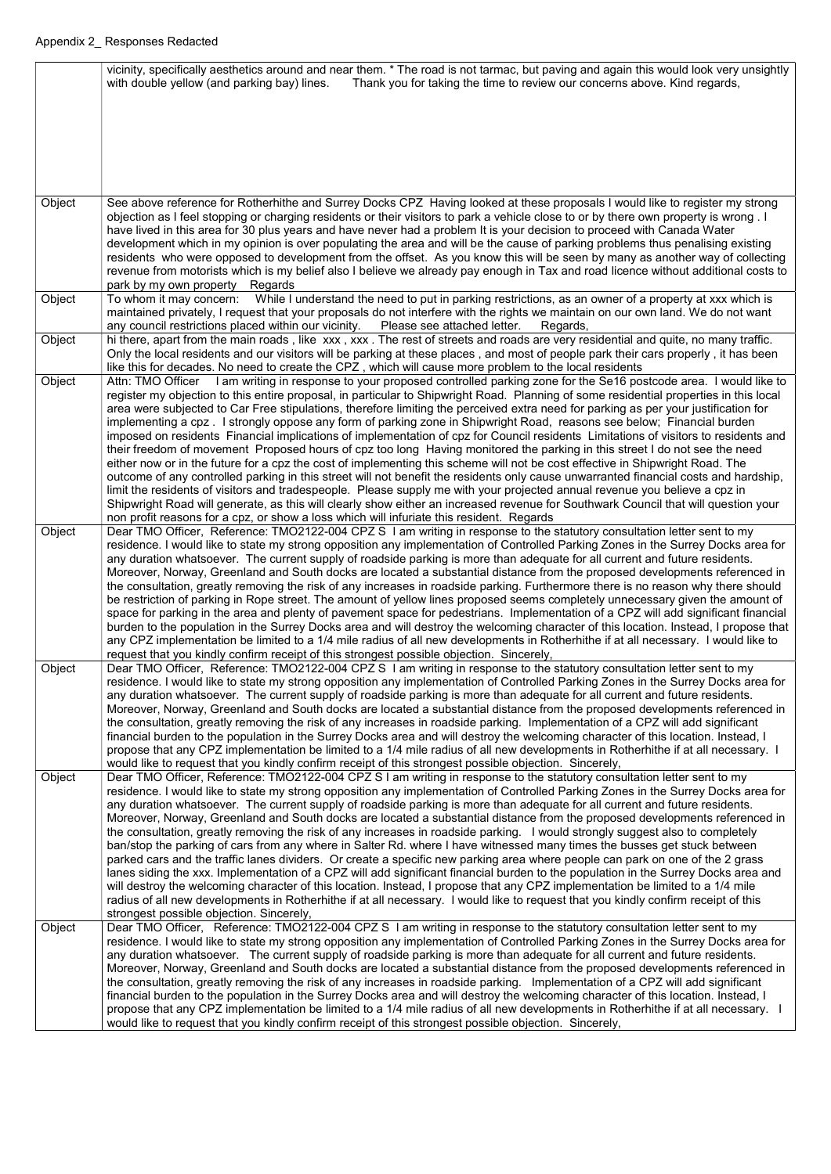|        | vicinity, specifically aesthetics around and near them. * The road is not tarmac, but paving and again this would look very unsightly                                                                                                                                |
|--------|----------------------------------------------------------------------------------------------------------------------------------------------------------------------------------------------------------------------------------------------------------------------|
|        | Thank you for taking the time to review our concerns above. Kind regards,<br>with double yellow (and parking bay) lines.                                                                                                                                             |
|        |                                                                                                                                                                                                                                                                      |
|        |                                                                                                                                                                                                                                                                      |
|        |                                                                                                                                                                                                                                                                      |
|        |                                                                                                                                                                                                                                                                      |
|        |                                                                                                                                                                                                                                                                      |
|        |                                                                                                                                                                                                                                                                      |
|        |                                                                                                                                                                                                                                                                      |
| Object | See above reference for Rotherhithe and Surrey Docks CPZ Having looked at these proposals I would like to register my strong                                                                                                                                         |
|        | objection as I feel stopping or charging residents or their visitors to park a vehicle close to or by there own property is wrong. I<br>have lived in this area for 30 plus years and have never had a problem It is your decision to proceed with Canada Water      |
|        | development which in my opinion is over populating the area and will be the cause of parking problems thus penalising existing                                                                                                                                       |
|        | residents who were opposed to development from the offset. As you know this will be seen by many as another way of collecting                                                                                                                                        |
|        | revenue from motorists which is my belief also I believe we already pay enough in Tax and road licence without additional costs to                                                                                                                                   |
|        | park by my own property Regards                                                                                                                                                                                                                                      |
| Object | To whom it may concern: While I understand the need to put in parking restrictions, as an owner of a property at xxx which is                                                                                                                                        |
|        | maintained privately, I request that your proposals do not interfere with the rights we maintain on our own land. We do not want                                                                                                                                     |
|        | any council restrictions placed within our vicinity. Please see attached letter.<br>Regards,                                                                                                                                                                         |
| Object | hi there, apart from the main roads, like xxx, xxx. The rest of streets and roads are very residential and quite, no many traffic.                                                                                                                                   |
|        | Only the local residents and our visitors will be parking at these places, and most of people park their cars properly, it has been                                                                                                                                  |
| Object | like this for decades. No need to create the CPZ, which will cause more problem to the local residents<br>Attn: TMO Officer I am writing in response to your proposed controlled parking zone for the Se16 postcode area. I would like to                            |
|        | register my objection to this entire proposal, in particular to Shipwright Road. Planning of some residential properties in this local                                                                                                                               |
|        | area were subjected to Car Free stipulations, therefore limiting the perceived extra need for parking as per your justification for                                                                                                                                  |
|        | implementing a cpz. I strongly oppose any form of parking zone in Shipwright Road, reasons see below; Financial burden                                                                                                                                               |
|        | imposed on residents Financial implications of implementation of cpz for Council residents Limitations of visitors to residents and                                                                                                                                  |
|        | their freedom of movement Proposed hours of cpz too long Having monitored the parking in this street I do not see the need                                                                                                                                           |
|        | either now or in the future for a cpz the cost of implementing this scheme will not be cost effective in Shipwright Road. The                                                                                                                                        |
|        | outcome of any controlled parking in this street will not benefit the residents only cause unwarranted financial costs and hardship,                                                                                                                                 |
|        | limit the residents of visitors and tradespeople. Please supply me with your projected annual revenue you believe a cpz in                                                                                                                                           |
|        | Shipwright Road will generate, as this will clearly show either an increased revenue for Southwark Council that will question your<br>non profit reasons for a cpz, or show a loss which will infuriate this resident. Regards                                       |
| Object | Dear TMO Officer, Reference: TMO2122-004 CPZ S I am writing in response to the statutory consultation letter sent to my                                                                                                                                              |
|        | residence. I would like to state my strong opposition any implementation of Controlled Parking Zones in the Surrey Docks area for                                                                                                                                    |
|        | any duration whatsoever. The current supply of roadside parking is more than adequate for all current and future residents.                                                                                                                                          |
|        | Moreover, Norway, Greenland and South docks are located a substantial distance from the proposed developments referenced in                                                                                                                                          |
|        | the consultation, greatly removing the risk of any increases in roadside parking. Furthermore there is no reason why there should                                                                                                                                    |
|        | be restriction of parking in Rope street. The amount of yellow lines proposed seems completely unnecessary given the amount of                                                                                                                                       |
|        | space for parking in the area and plenty of pavement space for pedestrians. Implementation of a CPZ will add significant financial                                                                                                                                   |
|        | burden to the population in the Surrey Docks area and will destroy the welcoming character of this location. Instead, I propose that                                                                                                                                 |
|        | any CPZ implementation be limited to a 1/4 mile radius of all new developments in Rotherhithe if at all necessary. I would like to<br>request that you kindly confirm receipt of this strongest possible objection. Sincerely,                                       |
| Object | Dear TMO Officer, Reference: TMO2122-004 CPZ S I am writing in response to the statutory consultation letter sent to my                                                                                                                                              |
|        | residence. I would like to state my strong opposition any implementation of Controlled Parking Zones in the Surrey Docks area for                                                                                                                                    |
|        | any duration whatsoever. The current supply of roadside parking is more than adequate for all current and future residents.                                                                                                                                          |
|        | Moreover, Norway, Greenland and South docks are located a substantial distance from the proposed developments referenced in                                                                                                                                          |
|        | the consultation, greatly removing the risk of any increases in roadside parking. Implementation of a CPZ will add significant                                                                                                                                       |
|        | financial burden to the population in the Surrey Docks area and will destroy the welcoming character of this location. Instead, I                                                                                                                                    |
|        | propose that any CPZ implementation be limited to a 1/4 mile radius of all new developments in Rotherhithe if at all necessary. I                                                                                                                                    |
| Object | would like to request that you kindly confirm receipt of this strongest possible objection. Sincerely,<br>Dear TMO Officer, Reference: TMO2122-004 CPZ S I am writing in response to the statutory consultation letter sent to my                                    |
|        | residence. I would like to state my strong opposition any implementation of Controlled Parking Zones in the Surrey Docks area for                                                                                                                                    |
|        | any duration whatsoever. The current supply of roadside parking is more than adequate for all current and future residents.                                                                                                                                          |
|        | Moreover, Norway, Greenland and South docks are located a substantial distance from the proposed developments referenced in                                                                                                                                          |
|        | the consultation, greatly removing the risk of any increases in roadside parking. I would strongly suggest also to completely                                                                                                                                        |
|        | ban/stop the parking of cars from any where in Salter Rd. where I have witnessed many times the busses get stuck between                                                                                                                                             |
|        | parked cars and the traffic lanes dividers. Or create a specific new parking area where people can park on one of the 2 grass                                                                                                                                        |
|        | lanes siding the xxx. Implementation of a CPZ will add significant financial burden to the population in the Surrey Docks area and                                                                                                                                   |
|        | will destroy the welcoming character of this location. Instead, I propose that any CPZ implementation be limited to a 1/4 mile<br>radius of all new developments in Rotherhithe if at all necessary. I would like to request that you kindly confirm receipt of this |
|        | strongest possible objection. Sincerely,                                                                                                                                                                                                                             |
| Object | Dear TMO Officer, Reference: TMO2122-004 CPZ S I am writing in response to the statutory consultation letter sent to my                                                                                                                                              |
|        | residence. I would like to state my strong opposition any implementation of Controlled Parking Zones in the Surrey Docks area for                                                                                                                                    |
|        | any duration whatsoever. The current supply of roadside parking is more than adequate for all current and future residents.                                                                                                                                          |
|        | Moreover, Norway, Greenland and South docks are located a substantial distance from the proposed developments referenced in                                                                                                                                          |
|        | the consultation, greatly removing the risk of any increases in roadside parking. Implementation of a CPZ will add significant                                                                                                                                       |
|        | financial burden to the population in the Surrey Docks area and will destroy the welcoming character of this location. Instead, I                                                                                                                                    |
|        | propose that any CPZ implementation be limited to a 1/4 mile radius of all new developments in Rotherhithe if at all necessary.                                                                                                                                      |
|        | would like to request that you kindly confirm receipt of this strongest possible objection. Sincerely,                                                                                                                                                               |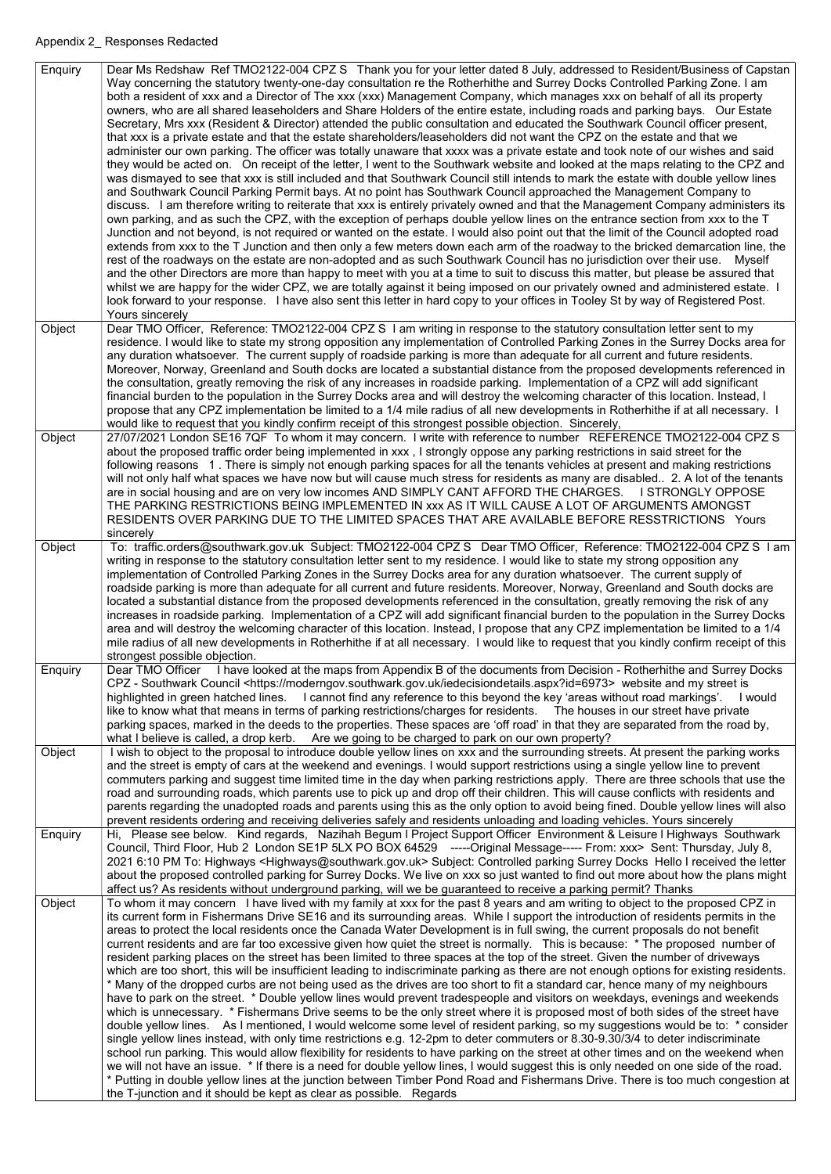| Enquiry | Dear Ms Redshaw Ref TMO2122-004 CPZ S Thank you for your letter dated 8 July, addressed to Resident/Business of Capstan<br>Way concerning the statutory twenty-one-day consultation re the Rotherhithe and Surrey Docks Controlled Parking Zone. I am<br>both a resident of xxx and a Director of The xxx (xxx) Management Company, which manages xxx on behalf of all its property<br>owners, who are all shared leaseholders and Share Holders of the entire estate, including roads and parking bays. Our Estate<br>Secretary, Mrs xxx (Resident & Director) attended the public consultation and educated the Southwark Council officer present,<br>that xxx is a private estate and that the estate shareholders/leaseholders did not want the CPZ on the estate and that we<br>administer our own parking. The officer was totally unaware that xxxx was a private estate and took note of our wishes and said<br>they would be acted on. On receipt of the letter, I went to the Southwark website and looked at the maps relating to the CPZ and<br>was dismayed to see that xxx is still included and that Southwark Council still intends to mark the estate with double yellow lines<br>and Southwark Council Parking Permit bays. At no point has Southwark Council approached the Management Company to<br>discuss. I am therefore writing to reiterate that xxx is entirely privately owned and that the Management Company administers its<br>own parking, and as such the CPZ, with the exception of perhaps double yellow lines on the entrance section from xxx to the T<br>Junction and not beyond, is not required or wanted on the estate. I would also point out that the limit of the Council adopted road<br>extends from xxx to the T Junction and then only a few meters down each arm of the roadway to the bricked demarcation line, the                                                                                                                   |
|---------|----------------------------------------------------------------------------------------------------------------------------------------------------------------------------------------------------------------------------------------------------------------------------------------------------------------------------------------------------------------------------------------------------------------------------------------------------------------------------------------------------------------------------------------------------------------------------------------------------------------------------------------------------------------------------------------------------------------------------------------------------------------------------------------------------------------------------------------------------------------------------------------------------------------------------------------------------------------------------------------------------------------------------------------------------------------------------------------------------------------------------------------------------------------------------------------------------------------------------------------------------------------------------------------------------------------------------------------------------------------------------------------------------------------------------------------------------------------------------------------------------------------------------------------------------------------------------------------------------------------------------------------------------------------------------------------------------------------------------------------------------------------------------------------------------------------------------------------------------------------------------------------------------------------------------------------------------------------------------------------|
|         | rest of the roadways on the estate are non-adopted and as such Southwark Council has no jurisdiction over their use. Myself<br>and the other Directors are more than happy to meet with you at a time to suit to discuss this matter, but please be assured that<br>whilst we are happy for the wider CPZ, we are totally against it being imposed on our privately owned and administered estate.<br>look forward to your response. I have also sent this letter in hard copy to your offices in Tooley St by way of Registered Post.<br>Yours sincerely                                                                                                                                                                                                                                                                                                                                                                                                                                                                                                                                                                                                                                                                                                                                                                                                                                                                                                                                                                                                                                                                                                                                                                                                                                                                                                                                                                                                                              |
| Object  | Dear TMO Officer, Reference: TMO2122-004 CPZ S I am writing in response to the statutory consultation letter sent to my<br>residence. I would like to state my strong opposition any implementation of Controlled Parking Zones in the Surrey Docks area for<br>any duration whatsoever. The current supply of roadside parking is more than adequate for all current and future residents.<br>Moreover, Norway, Greenland and South docks are located a substantial distance from the proposed developments referenced in<br>the consultation, greatly removing the risk of any increases in roadside parking. Implementation of a CPZ will add significant<br>financial burden to the population in the Surrey Docks area and will destroy the welcoming character of this location. Instead, I<br>propose that any CPZ implementation be limited to a 1/4 mile radius of all new developments in Rotherhithe if at all necessary. I<br>would like to request that you kindly confirm receipt of this strongest possible objection. Sincerely,                                                                                                                                                                                                                                                                                                                                                                                                                                                                                                                                                                                                                                                                                                                                                                                                                                                                                                                                       |
| Object  | 27/07/2021 London SE16 7QF To whom it may concern. I write with reference to number REFERENCE TMO2122-004 CPZ S<br>about the proposed traffic order being implemented in xxx, I strongly oppose any parking restrictions in said street for the<br>following reasons 1. There is simply not enough parking spaces for all the tenants vehicles at present and making restrictions<br>will not only half what spaces we have now but will cause much stress for residents as many are disabled. 2. A lot of the tenants<br>are in social housing and are on very low incomes AND SIMPLY CANT AFFORD THE CHARGES.<br><b>I STRONGLY OPPOSE</b><br>THE PARKING RESTRICTIONS BEING IMPLEMENTED IN XXX AS IT WILL CAUSE A LOT OF ARGUMENTS AMONGST<br>RESIDENTS OVER PARKING DUE TO THE LIMITED SPACES THAT ARE AVAILABLE BEFORE RESSTRICTIONS Yours<br>sincerely                                                                                                                                                                                                                                                                                                                                                                                                                                                                                                                                                                                                                                                                                                                                                                                                                                                                                                                                                                                                                                                                                                                            |
| Object  | To: traffic.orders@southwark.gov.uk Subject: TMO2122-004 CPZ S Dear TMO Officer, Reference: TMO2122-004 CPZ S I am<br>writing in response to the statutory consultation letter sent to my residence. I would like to state my strong opposition any<br>implementation of Controlled Parking Zones in the Surrey Docks area for any duration whatsoever. The current supply of<br>roadside parking is more than adequate for all current and future residents. Moreover, Norway, Greenland and South docks are<br>located a substantial distance from the proposed developments referenced in the consultation, greatly removing the risk of any<br>increases in roadside parking. Implementation of a CPZ will add significant financial burden to the population in the Surrey Docks<br>area and will destroy the welcoming character of this location. Instead, I propose that any CPZ implementation be limited to a 1/4<br>mile radius of all new developments in Rotherhithe if at all necessary. I would like to request that you kindly confirm receipt of this<br>strongest possible objection.                                                                                                                                                                                                                                                                                                                                                                                                                                                                                                                                                                                                                                                                                                                                                                                                                                                                                |
| Enquiry | Dear TMO Officer I have looked at the maps from Appendix B of the documents from Decision - Rotherhithe and Surrey Docks<br>CPZ - Southwark Council <https: iedecisiondetails.aspx?id="6973" moderngov.southwark.gov.uk=""> website and my street is<br/>highlighted in green hatched lines. I cannot find any reference to this beyond the key 'areas without road markings'.<br/>l would<br/>like to know what that means in terms of parking restrictions/charges for residents.  The houses in our street have private<br/>parking spaces, marked in the deeds to the properties. These spaces are 'off road' in that they are separated from the road by,<br/>what I believe is called, a drop kerb. Are we going to be charged to park on our own property?</https:>                                                                                                                                                                                                                                                                                                                                                                                                                                                                                                                                                                                                                                                                                                                                                                                                                                                                                                                                                                                                                                                                                                                                                                                                             |
| Object  | I wish to object to the proposal to introduce double yellow lines on xxx and the surrounding streets. At present the parking works<br>and the street is empty of cars at the weekend and evenings. I would support restrictions using a single yellow line to prevent<br>commuters parking and suggest time limited time in the day when parking restrictions apply. There are three schools that use the<br>road and surrounding roads, which parents use to pick up and drop off their children. This will cause conflicts with residents and<br>parents regarding the unadopted roads and parents using this as the only option to avoid being fined. Double yellow lines will also<br>prevent residents ordering and receiving deliveries safely and residents unloading and loading vehicles. Yours sincerely                                                                                                                                                                                                                                                                                                                                                                                                                                                                                                                                                                                                                                                                                                                                                                                                                                                                                                                                                                                                                                                                                                                                                                     |
| Enquiry | Hi, Please see below. Kind regards, Nazihah Begum I Project Support Officer Environment & Leisure I Highways Southwark<br>Council, Third Floor, Hub 2 London SE1P 5LX PO BOX 64529 -----Original Message----- From: xxx> Sent: Thursday, July 8,<br>2021 6:10 PM To: Highways <highways@southwark.gov.uk> Subject: Controlled parking Surrey Docks Hello I received the letter<br/>about the proposed controlled parking for Surrey Docks. We live on xxx so just wanted to find out more about how the plans might<br/>affect us? As residents without underground parking, will we be guaranteed to receive a parking permit? Thanks</highways@southwark.gov.uk>                                                                                                                                                                                                                                                                                                                                                                                                                                                                                                                                                                                                                                                                                                                                                                                                                                                                                                                                                                                                                                                                                                                                                                                                                                                                                                                     |
| Object  | To whom it may concern I have lived with my family at xxx for the past 8 years and am writing to object to the proposed CPZ in<br>its current form in Fishermans Drive SE16 and its surrounding areas. While I support the introduction of residents permits in the<br>areas to protect the local residents once the Canada Water Development is in full swing, the current proposals do not benefit<br>current residents and are far too excessive given how quiet the street is normally. This is because: * The proposed number of<br>resident parking places on the street has been limited to three spaces at the top of the street. Given the number of driveways<br>which are too short, this will be insufficient leading to indiscriminate parking as there are not enough options for existing residents.<br>* Many of the dropped curbs are not being used as the drives are too short to fit a standard car, hence many of my neighbours<br>have to park on the street. * Double yellow lines would prevent tradespeople and visitors on weekdays, evenings and weekends<br>which is unnecessary. * Fishermans Drive seems to be the only street where it is proposed most of both sides of the street have<br>double yellow lines. As I mentioned, I would welcome some level of resident parking, so my suggestions would be to: * consider<br>single yellow lines instead, with only time restrictions e.g. 12-2pm to deter commuters or 8.30-9.30/3/4 to deter indiscriminate<br>school run parking. This would allow flexibility for residents to have parking on the street at other times and on the weekend when<br>we will not have an issue. * If there is a need for double yellow lines, I would suggest this is only needed on one side of the road.<br>* Putting in double yellow lines at the junction between Timber Pond Road and Fishermans Drive. There is too much congestion at<br>the T-junction and it should be kept as clear as possible. Regards |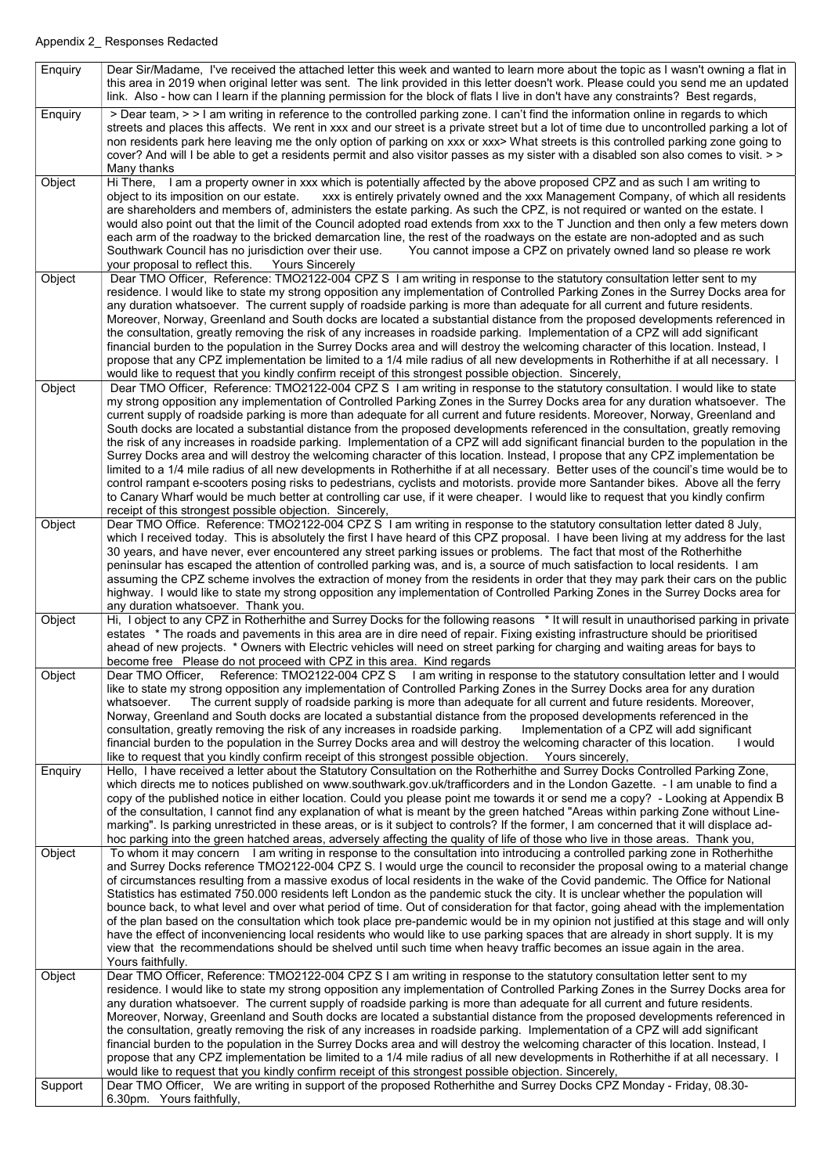| Enquiry | Dear Sir/Madame, I've received the attached letter this week and wanted to learn more about the topic as I wasn't owning a flat in<br>this area in 2019 when original letter was sent. The link provided in this letter doesn't work. Please could you send me an updated                                                                                                                                                                                                                                                                                                                                                                                                                                                                                                                                                                                                                                                                                                                                                                                                                                                                                                                                                                                                                   |
|---------|---------------------------------------------------------------------------------------------------------------------------------------------------------------------------------------------------------------------------------------------------------------------------------------------------------------------------------------------------------------------------------------------------------------------------------------------------------------------------------------------------------------------------------------------------------------------------------------------------------------------------------------------------------------------------------------------------------------------------------------------------------------------------------------------------------------------------------------------------------------------------------------------------------------------------------------------------------------------------------------------------------------------------------------------------------------------------------------------------------------------------------------------------------------------------------------------------------------------------------------------------------------------------------------------|
|         | link. Also - how can I learn if the planning permission for the block of flats I live in don't have any constraints? Best regards,                                                                                                                                                                                                                                                                                                                                                                                                                                                                                                                                                                                                                                                                                                                                                                                                                                                                                                                                                                                                                                                                                                                                                          |
| Enquiry | > Dear team, > > I am writing in reference to the controlled parking zone. I can't find the information online in regards to which<br>streets and places this affects. We rent in xxx and our street is a private street but a lot of time due to uncontrolled parking a lot of<br>non residents park here leaving me the only option of parking on xxx or xxx> What streets is this controlled parking zone going to<br>cover? And will I be able to get a residents permit and also visitor passes as my sister with a disabled son also comes to visit. >><br>Many thanks                                                                                                                                                                                                                                                                                                                                                                                                                                                                                                                                                                                                                                                                                                                |
| Object  | Hi There, I am a property owner in xxx which is potentially affected by the above proposed CPZ and as such I am writing to<br>object to its imposition on our estate. xxx is entirely privately owned and the xxx Management Company, of which all residents<br>are shareholders and members of, administers the estate parking. As such the CPZ, is not required or wanted on the estate. I<br>would also point out that the limit of the Council adopted road extends from xxx to the T Junction and then only a few meters down<br>each arm of the roadway to the bricked demarcation line, the rest of the roadways on the estate are non-adopted and as such<br>Southwark Council has no jurisdiction over their use.<br>You cannot impose a CPZ on privately owned land so please re work<br>your proposal to reflect this.<br><b>Yours Sincerely</b>                                                                                                                                                                                                                                                                                                                                                                                                                                 |
| Object  | Dear TMO Officer, Reference: TMO2122-004 CPZ S I am writing in response to the statutory consultation letter sent to my<br>residence. I would like to state my strong opposition any implementation of Controlled Parking Zones in the Surrey Docks area for<br>any duration whatsoever. The current supply of roadside parking is more than adequate for all current and future residents.<br>Moreover, Norway, Greenland and South docks are located a substantial distance from the proposed developments referenced in<br>the consultation, greatly removing the risk of any increases in roadside parking. Implementation of a CPZ will add significant<br>financial burden to the population in the Surrey Docks area and will destroy the welcoming character of this location. Instead, I<br>propose that any CPZ implementation be limited to a 1/4 mile radius of all new developments in Rotherhithe if at all necessary. I<br>would like to request that you kindly confirm receipt of this strongest possible objection. Sincerely,                                                                                                                                                                                                                                            |
| Object  | Dear TMO Officer, Reference: TMO2122-004 CPZ S 1 am writing in response to the statutory consultation. I would like to state<br>my strong opposition any implementation of Controlled Parking Zones in the Surrey Docks area for any duration whatsoever. The<br>current supply of roadside parking is more than adequate for all current and future residents. Moreover, Norway, Greenland and<br>South docks are located a substantial distance from the proposed developments referenced in the consultation, greatly removing<br>the risk of any increases in roadside parking. Implementation of a CPZ will add significant financial burden to the population in the<br>Surrey Docks area and will destroy the welcoming character of this location. Instead, I propose that any CPZ implementation be<br>limited to a 1/4 mile radius of all new developments in Rotherhithe if at all necessary. Better uses of the council's time would be to<br>control rampant e-scooters posing risks to pedestrians, cyclists and motorists. provide more Santander bikes. Above all the ferry<br>to Canary Wharf would be much better at controlling car use, if it were cheaper. I would like to request that you kindly confirm<br>receipt of this strongest possible objection. Sincerely, |
| Object  | Dear TMO Office. Reference: TMO2122-004 CPZ S I am writing in response to the statutory consultation letter dated 8 July,<br>which I received today. This is absolutely the first I have heard of this CPZ proposal. I have been living at my address for the last<br>30 years, and have never, ever encountered any street parking issues or problems. The fact that most of the Rotherhithe<br>peninsular has escaped the attention of controlled parking was, and is, a source of much satisfaction to local residents. I am<br>assuming the CPZ scheme involves the extraction of money from the residents in order that they may park their cars on the public<br>highway. I would like to state my strong opposition any implementation of Controlled Parking Zones in the Surrey Docks area for<br>any duration whatsoever. Thank you.                                                                                                                                                                                                                                                                                                                                                                                                                                               |
| Object  | Hi, I object to any CPZ in Rotherhithe and Surrey Docks for the following reasons * It will result in unauthorised parking in private<br>estates * The roads and pavements in this area are in dire need of repair. Fixing existing infrastructure should be prioritised<br>ahead of new projects. * Owners with Electric vehicles will need on street parking for charging and waiting areas for bays to<br>become free Please do not proceed with CPZ in this area. Kind regards                                                                                                                                                                                                                                                                                                                                                                                                                                                                                                                                                                                                                                                                                                                                                                                                          |
| Object  | Dear TMO Officer, Reference: TMO2122-004 CPZ S I am writing in response to the statutory consultation letter and I would<br>like to state my strong opposition any implementation of Controlled Parking Zones in the Surrey Docks area for any duration<br>The current supply of roadside parking is more than adequate for all current and future residents. Moreover,<br>whatsoever.<br>Norway, Greenland and South docks are located a substantial distance from the proposed developments referenced in the<br>consultation, greatly removing the risk of any increases in roadside parking.<br>Implementation of a CPZ will add significant<br>financial burden to the population in the Surrey Docks area and will destroy the welcoming character of this location.<br>I would<br>like to request that you kindly confirm receipt of this strongest possible objection. Yours sincerely,                                                                                                                                                                                                                                                                                                                                                                                             |
| Enquiry | Hello, I have received a letter about the Statutory Consultation on the Rotherhithe and Surrey Docks Controlled Parking Zone,<br>which directs me to notices published on www.southwark.gov.uk/trafficorders and in the London Gazette. - I am unable to find a<br>copy of the published notice in either location. Could you please point me towards it or send me a copy? - Looking at Appendix B<br>of the consultation, I cannot find any explanation of what is meant by the green hatched "Areas within parking Zone without Line-<br>marking". Is parking unrestricted in these areas, or is it subject to controls? If the former, I am concerned that it will displace ad-<br>hoc parking into the green hatched areas, adversely affecting the quality of life of those who live in those areas. Thank you,                                                                                                                                                                                                                                                                                                                                                                                                                                                                       |
| Object  | To whom it may concern I am writing in response to the consultation into introducing a controlled parking zone in Rotherhithe<br>and Surrey Docks reference TMO2122-004 CPZ S. I would urge the council to reconsider the proposal owing to a material change<br>of circumstances resulting from a massive exodus of local residents in the wake of the Covid pandemic. The Office for National<br>Statistics has estimated 750.000 residents left London as the pandemic stuck the city. It is unclear whether the population will<br>bounce back, to what level and over what period of time. Out of consideration for that factor, going ahead with the implementation<br>of the plan based on the consultation which took place pre-pandemic would be in my opinion not justified at this stage and will only<br>have the effect of inconveniencing local residents who would like to use parking spaces that are already in short supply. It is my<br>view that the recommendations should be shelved until such time when heavy traffic becomes an issue again in the area.<br>Yours faithfully.                                                                                                                                                                                      |
| Object  | Dear TMO Officer, Reference: TMO2122-004 CPZ S I am writing in response to the statutory consultation letter sent to my<br>residence. I would like to state my strong opposition any implementation of Controlled Parking Zones in the Surrey Docks area for<br>any duration whatsoever. The current supply of roadside parking is more than adequate for all current and future residents.<br>Moreover, Norway, Greenland and South docks are located a substantial distance from the proposed developments referenced in<br>the consultation, greatly removing the risk of any increases in roadside parking. Implementation of a CPZ will add significant<br>financial burden to the population in the Surrey Docks area and will destroy the welcoming character of this location. Instead, I<br>propose that any CPZ implementation be limited to a 1/4 mile radius of all new developments in Rotherhithe if at all necessary. I                                                                                                                                                                                                                                                                                                                                                      |
| Support | would like to request that you kindly confirm receipt of this strongest possible objection. Sincerely,<br>Dear TMO Officer, We are writing in support of the proposed Rotherhithe and Surrey Docks CPZ Monday - Friday, 08.30-                                                                                                                                                                                                                                                                                                                                                                                                                                                                                                                                                                                                                                                                                                                                                                                                                                                                                                                                                                                                                                                              |
|         | 6.30pm. Yours faithfully,                                                                                                                                                                                                                                                                                                                                                                                                                                                                                                                                                                                                                                                                                                                                                                                                                                                                                                                                                                                                                                                                                                                                                                                                                                                                   |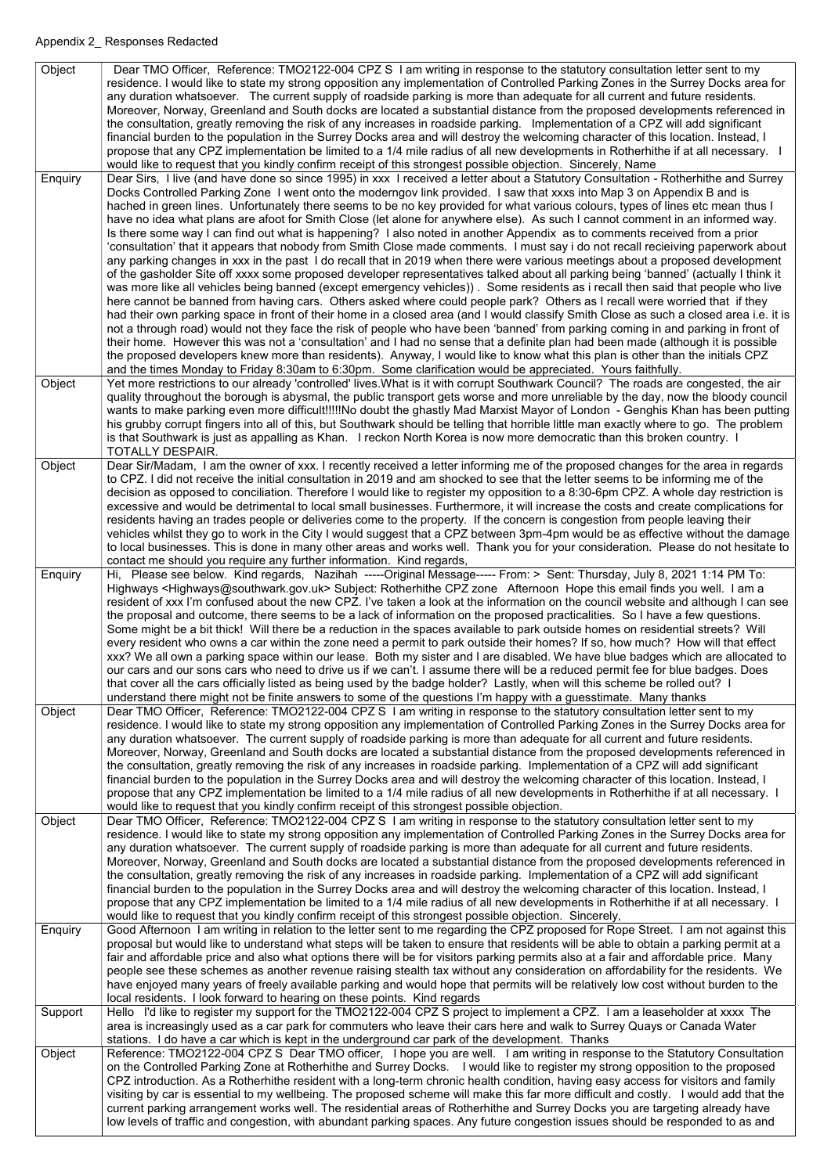| Object  | Dear TMO Officer, Reference: TMO2122-004 CPZ S I am writing in response to the statutory consultation letter sent to my                                                                                                                                              |
|---------|----------------------------------------------------------------------------------------------------------------------------------------------------------------------------------------------------------------------------------------------------------------------|
|         | residence. I would like to state my strong opposition any implementation of Controlled Parking Zones in the Surrey Docks area for<br>any duration whatsoever. The current supply of roadside parking is more than adequate for all current and future residents.     |
|         | Moreover, Norway, Greenland and South docks are located a substantial distance from the proposed developments referenced in                                                                                                                                          |
|         | the consultation, greatly removing the risk of any increases in roadside parking. Implementation of a CPZ will add significant                                                                                                                                       |
|         | financial burden to the population in the Surrey Docks area and will destroy the welcoming character of this location. Instead, I                                                                                                                                    |
|         | propose that any CPZ implementation be limited to a 1/4 mile radius of all new developments in Rotherhithe if at all necessary. I                                                                                                                                    |
|         | would like to request that you kindly confirm receipt of this strongest possible objection. Sincerely, Name                                                                                                                                                          |
| Enquiry | Dear Sirs, I live (and have done so since 1995) in xxx I received a letter about a Statutory Consultation - Rotherhithe and Surrey<br>Docks Controlled Parking Zone I went onto the moderngov link provided. I saw that xxxs into Map 3 on Appendix B and is         |
|         | hached in green lines. Unfortunately there seems to be no key provided for what various colours, types of lines etc mean thus I                                                                                                                                      |
|         | have no idea what plans are afoot for Smith Close (let alone for anywhere else). As such I cannot comment in an informed way.                                                                                                                                        |
|         | Is there some way I can find out what is happening? I also noted in another Appendix as to comments received from a prior                                                                                                                                            |
|         | 'consultation' that it appears that nobody from Smith Close made comments. I must say i do not recall recieiving paperwork about                                                                                                                                     |
|         | any parking changes in xxx in the past I do recall that in 2019 when there were various meetings about a proposed development                                                                                                                                        |
|         | of the gasholder Site off xxxx some proposed developer representatives talked about all parking being 'banned' (actually I think it                                                                                                                                  |
|         | was more like all vehicles being banned (except emergency vehicles)). Some residents as i recall then said that people who live                                                                                                                                      |
|         | here cannot be banned from having cars. Others asked where could people park? Others as I recall were worried that if they<br>had their own parking space in front of their home in a closed area (and I would classify Smith Close as such a closed area i.e. it is |
|         | not a through road) would not they face the risk of people who have been 'banned' from parking coming in and parking in front of                                                                                                                                     |
|         | their home. However this was not a 'consultation' and I had no sense that a definite plan had been made (although it is possible                                                                                                                                     |
|         | the proposed developers knew more than residents). Anyway, I would like to know what this plan is other than the initials CPZ                                                                                                                                        |
|         | and the times Monday to Friday 8:30am to 6:30pm. Some clarification would be appreciated. Yours faithfully.                                                                                                                                                          |
| Object  | Yet more restrictions to our already 'controlled' lives. What is it with corrupt Southwark Council? The roads are congested, the air                                                                                                                                 |
|         | quality throughout the borough is abysmal, the public transport gets worse and more unreliable by the day, now the bloody council                                                                                                                                    |
|         | wants to make parking even more difficult!!!!!No doubt the ghastly Mad Marxist Mayor of London - Genghis Khan has been putting                                                                                                                                       |
|         | his grubby corrupt fingers into all of this, but Southwark should be telling that horrible little man exactly where to go. The problem<br>is that Southwark is just as appalling as Khan. I reckon North Korea is now more democratic than this broken country. I    |
|         | <b>TOTALLY DESPAIR.</b>                                                                                                                                                                                                                                              |
| Object  | Dear Sir/Madam, I am the owner of xxx. I recently received a letter informing me of the proposed changes for the area in regards                                                                                                                                     |
|         | to CPZ. I did not receive the initial consultation in 2019 and am shocked to see that the letter seems to be informing me of the                                                                                                                                     |
|         | decision as opposed to conciliation. Therefore I would like to register my opposition to a 8:30-6pm CPZ. A whole day restriction is                                                                                                                                  |
|         | excessive and would be detrimental to local small businesses. Furthermore, it will increase the costs and create complications for                                                                                                                                   |
|         | residents having an trades people or deliveries come to the property. If the concern is congestion from people leaving their                                                                                                                                         |
|         | vehicles whilst they go to work in the City I would suggest that a CPZ between 3pm-4pm would be as effective without the damage<br>to local businesses. This is done in many other areas and works well. Thank you for your consideration. Please do not hesitate to |
|         | contact me should you require any further information. Kind regards,                                                                                                                                                                                                 |
| Enquiry | Hi, Please see below. Kind regards, Nazihah -----Original Message----- From: > Sent: Thursday, July 8, 2021 1:14 PM To:                                                                                                                                              |
|         | Highways <highways@southwark.gov.uk> Subject: Rotherhithe CPZ zone Afternoon Hope this email finds you well. I am a</highways@southwark.gov.uk>                                                                                                                      |
|         | resident of xxx I'm confused about the new CPZ. I've taken a look at the information on the council website and although I can see                                                                                                                                   |
|         |                                                                                                                                                                                                                                                                      |
|         | the proposal and outcome, there seems to be a lack of information on the proposed practicalities. So I have a few questions.                                                                                                                                         |
|         | Some might be a bit thick! Will there be a reduction in the spaces available to park outside homes on residential streets? Will                                                                                                                                      |
|         | every resident who owns a car within the zone need a permit to park outside their homes? If so, how much? How will that effect                                                                                                                                       |
|         | xxx? We all own a parking space within our lease. Both my sister and I are disabled. We have blue badges which are allocated to                                                                                                                                      |
|         | our cars and our sons cars who need to drive us if we can't. I assume there will be a reduced permit fee for blue badges. Does                                                                                                                                       |
|         | that cover all the cars officially listed as being used by the badge holder? Lastly, when will this scheme be rolled out? I<br>understand there might not be finite answers to some of the questions I'm happy with a guesstimate. Many thanks                       |
| Object  | Dear TMO Officer, Reference: TMO2122-004 CPZ S I am writing in response to the statutory consultation letter sent to my                                                                                                                                              |
|         | residence. I would like to state my strong opposition any implementation of Controlled Parking Zones in the Surrey Docks area for                                                                                                                                    |
|         | any duration whatsoever. The current supply of roadside parking is more than adequate for all current and future residents.                                                                                                                                          |
|         | Moreover, Norway, Greenland and South docks are located a substantial distance from the proposed developments referenced in                                                                                                                                          |
|         | the consultation, greatly removing the risk of any increases in roadside parking. Implementation of a CPZ will add significant                                                                                                                                       |
|         | financial burden to the population in the Surrey Docks area and will destroy the welcoming character of this location. Instead, I                                                                                                                                    |
|         | propose that any CPZ implementation be limited to a 1/4 mile radius of all new developments in Rotherhithe if at all necessary. I<br>would like to request that you kindly confirm receipt of this strongest possible objection.                                     |
| Object  | Dear TMO Officer, Reference: TMO2122-004 CPZ S I am writing in response to the statutory consultation letter sent to my                                                                                                                                              |
|         | residence. I would like to state my strong opposition any implementation of Controlled Parking Zones in the Surrey Docks area for                                                                                                                                    |
|         | any duration whatsoever. The current supply of roadside parking is more than adequate for all current and future residents.                                                                                                                                          |
|         | Moreover, Norway, Greenland and South docks are located a substantial distance from the proposed developments referenced in                                                                                                                                          |
|         | the consultation, greatly removing the risk of any increases in roadside parking. Implementation of a CPZ will add significant                                                                                                                                       |
|         | financial burden to the population in the Surrey Docks area and will destroy the welcoming character of this location. Instead, I                                                                                                                                    |
|         | propose that any CPZ implementation be limited to a 1/4 mile radius of all new developments in Rotherhithe if at all necessary. I<br>would like to request that you kindly confirm receipt of this strongest possible objection. Sincerely,                          |
| Enquiry | Good Afternoon I am writing in relation to the letter sent to me regarding the CPZ proposed for Rope Street. I am not against this                                                                                                                                   |
|         | proposal but would like to understand what steps will be taken to ensure that residents will be able to obtain a parking permit at a                                                                                                                                 |
|         | fair and affordable price and also what options there will be for visitors parking permits also at a fair and affordable price. Many                                                                                                                                 |
|         | people see these schemes as another revenue raising stealth tax without any consideration on affordability for the residents. We                                                                                                                                     |
|         | have enjoyed many years of freely available parking and would hope that permits will be relatively low cost without burden to the                                                                                                                                    |
|         | local residents. I look forward to hearing on these points. Kind regards                                                                                                                                                                                             |
| Support | Hello I'd like to register my support for the TMO2122-004 CPZ S project to implement a CPZ. I am a leaseholder at xxxx The                                                                                                                                           |
|         | area is increasingly used as a car park for commuters who leave their cars here and walk to Surrey Quays or Canada Water<br>stations. I do have a car which is kept in the underground car park of the development. Thanks                                           |
| Object  | Reference: TMO2122-004 CPZ S Dear TMO officer, I hope you are well. I am writing in response to the Statutory Consultation                                                                                                                                           |
|         | on the Controlled Parking Zone at Rotherhithe and Surrey Docks. I would like to register my strong opposition to the proposed                                                                                                                                        |
|         | CPZ introduction. As a Rotherhithe resident with a long-term chronic health condition, having easy access for visitors and family                                                                                                                                    |
|         | visiting by car is essential to my wellbeing. The proposed scheme will make this far more difficult and costly. I would add that the                                                                                                                                 |
|         | current parking arrangement works well. The residential areas of Rotherhithe and Surrey Docks you are targeting already have<br>low levels of traffic and congestion, with abundant parking spaces. Any future congestion issues should be responded to as and       |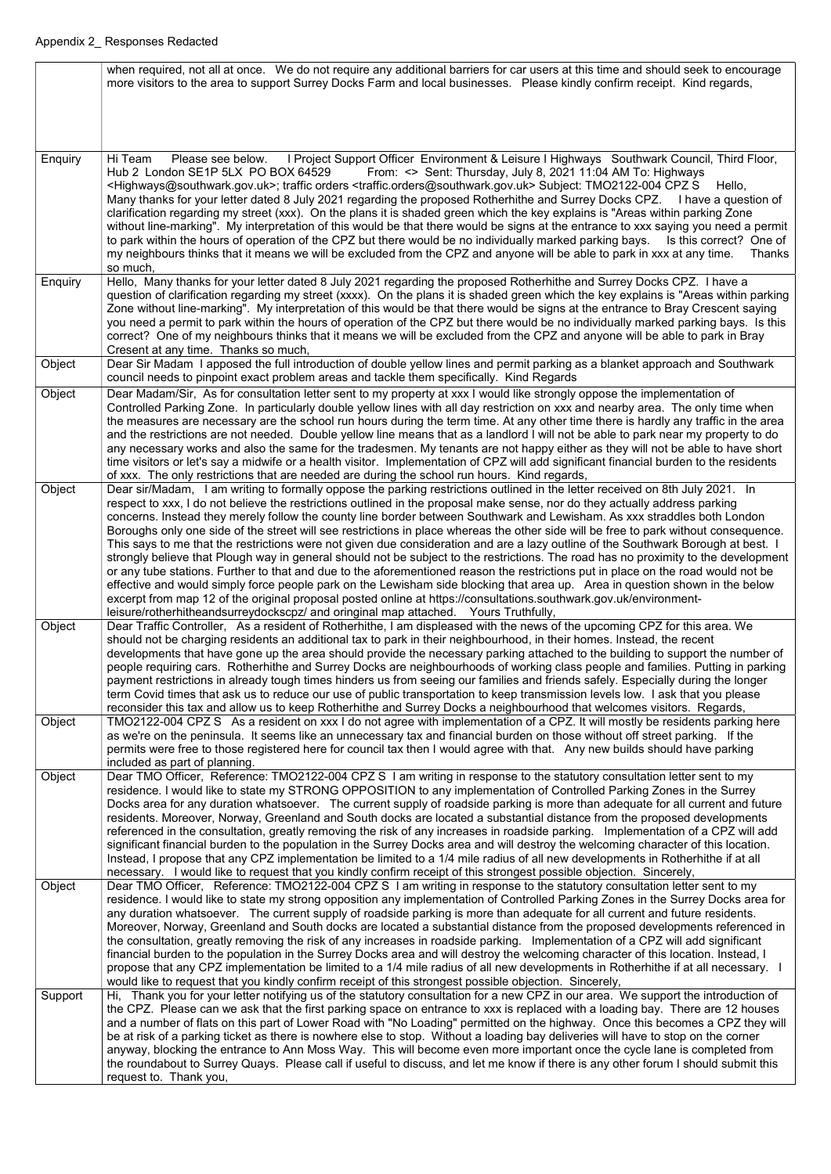|         | when required, not all at once. We do not require any additional barriers for car users at this time and should seek to encourage<br>more visitors to the area to support Surrey Docks Farm and local businesses. Please kindly confirm receipt. Kind regards,                                                                                                                                                                                                                                                                                                                                                                                                                                                                                                                                                                                                                                                                                                                                                                                                                                                                                                                                                                                                                              |
|---------|---------------------------------------------------------------------------------------------------------------------------------------------------------------------------------------------------------------------------------------------------------------------------------------------------------------------------------------------------------------------------------------------------------------------------------------------------------------------------------------------------------------------------------------------------------------------------------------------------------------------------------------------------------------------------------------------------------------------------------------------------------------------------------------------------------------------------------------------------------------------------------------------------------------------------------------------------------------------------------------------------------------------------------------------------------------------------------------------------------------------------------------------------------------------------------------------------------------------------------------------------------------------------------------------|
|         |                                                                                                                                                                                                                                                                                                                                                                                                                                                                                                                                                                                                                                                                                                                                                                                                                                                                                                                                                                                                                                                                                                                                                                                                                                                                                             |
| Enquiry | I Project Support Officer Environment & Leisure I Highways Southwark Council, Third Floor,<br>Hi Team<br>Please see below.<br>Hub 2 London SE1P 5LX PO BOX 64529<br>From: <> Sent: Thursday, July 8, 2021 11:04 AM To: Highways<br><highways@southwark.gov.uk>; traffic orders <traffic.orders@southwark.gov.uk> Subject: TMO2122-004 CPZ S<br/>Hello.<br/>Many thanks for your letter dated 8 July 2021 regarding the proposed Rotherhithe and Surrey Docks CPZ. I have a question of<br/>clarification regarding my street (xxx). On the plans it is shaded green which the key explains is "Areas within parking Zone<br/>without line-marking". My interpretation of this would be that there would be signs at the entrance to xxx saying you need a permit<br/>to park within the hours of operation of the CPZ but there would be no individually marked parking bays.<br/>Is this correct? One of<br/>my neighbours thinks that it means we will be excluded from the CPZ and anyone will be able to park in xxx at any time.<br/>Thanks<br/>so much,</traffic.orders@southwark.gov.uk></highways@southwark.gov.uk>                                                                                                                                                                 |
| Enquiry | Hello, Many thanks for your letter dated 8 July 2021 regarding the proposed Rotherhithe and Surrey Docks CPZ. I have a<br>question of clarification regarding my street (xxxx). On the plans it is shaded green which the key explains is "Areas within parking<br>Zone without line-marking". My interpretation of this would be that there would be signs at the entrance to Bray Crescent saying<br>you need a permit to park within the hours of operation of the CPZ but there would be no individually marked parking bays. Is this<br>correct? One of my neighbours thinks that it means we will be excluded from the CPZ and anyone will be able to park in Bray<br>Cresent at any time. Thanks so much,                                                                                                                                                                                                                                                                                                                                                                                                                                                                                                                                                                            |
| Object  | Dear Sir Madam I apposed the full introduction of double yellow lines and permit parking as a blanket approach and Southwark<br>council needs to pinpoint exact problem areas and tackle them specifically. Kind Regards                                                                                                                                                                                                                                                                                                                                                                                                                                                                                                                                                                                                                                                                                                                                                                                                                                                                                                                                                                                                                                                                    |
| Object  | Dear Madam/Sir, As for consultation letter sent to my property at xxx I would like strongly oppose the implementation of<br>Controlled Parking Zone. In particularly double yellow lines with all day restriction on xxx and nearby area. The only time when<br>the measures are necessary are the school run hours during the term time. At any other time there is hardly any traffic in the area<br>and the restrictions are not needed. Double yellow line means that as a landlord I will not be able to park near my property to do<br>any necessary works and also the same for the tradesmen. My tenants are not happy either as they will not be able to have short<br>time visitors or let's say a midwife or a health visitor. Implementation of CPZ will add significant financial burden to the residents<br>of xxx. The only restrictions that are needed are during the school run hours. Kind regards,                                                                                                                                                                                                                                                                                                                                                                      |
| Object  | Dear sir/Madam, I am writing to formally oppose the parking restrictions outlined in the letter received on 8th July 2021. In<br>respect to xxx, I do not believe the restrictions outlined in the proposal make sense, nor do they actually address parking<br>concerns. Instead they merely follow the county line border between Southwark and Lewisham. As xxx straddles both London<br>Boroughs only one side of the street will see restrictions in place whereas the other side will be free to park without consequence.<br>This says to me that the restrictions were not given due consideration and are a lazy outline of the Southwark Borough at best.<br>strongly believe that Plough way in general should not be subject to the restrictions. The road has no proximity to the development<br>or any tube stations. Further to that and due to the aforementioned reason the restrictions put in place on the road would not be<br>effective and would simply force people park on the Lewisham side blocking that area up. Area in question shown in the below<br>excerpt from map 12 of the original proposal posted online at https://consultations.southwark.gov.uk/environment-<br>leisure/rotherhitheandsurreydockscpz/ and oringinal map attached. Yours Truthfully, |
| Object  | Dear Traffic Controller, As a resident of Rotherhithe, I am displeased with the news of the upcoming CPZ for this area. We<br>should not be charging residents an additional tax to park in their neighbourhood, in their homes. Instead, the recent<br>developments that have gone up the area should provide the necessary parking attached to the building to support the number of<br>people requiring cars. Rotherhithe and Surrey Docks are neighbourhoods of working class people and families. Putting in parking<br>payment restrictions in already tough times hinders us from seeing our families and friends safely. Especially during the longer<br>term Covid times that ask us to reduce our use of public transportation to keep transmission levels low. I ask that you please<br>reconsider this tax and allow us to keep Rotherhithe and Surrey Docks a neighbourhood that welcomes visitors. Regards,                                                                                                                                                                                                                                                                                                                                                                   |
| Object  | TMO2122-004 CPZ S As a resident on xxx I do not agree with implementation of a CPZ. It will mostly be residents parking here<br>as we're on the peninsula. It seems like an unnecessary tax and financial burden on those without off street parking. If the<br>permits were free to those registered here for council tax then I would agree with that. Any new builds should have parking<br>included as part of planning.                                                                                                                                                                                                                                                                                                                                                                                                                                                                                                                                                                                                                                                                                                                                                                                                                                                                |
| Object  | Dear TMO Officer, Reference: TMO2122-004 CPZ S I am writing in response to the statutory consultation letter sent to my<br>residence. I would like to state my STRONG OPPOSITION to any implementation of Controlled Parking Zones in the Surrey<br>Docks area for any duration whatsoever. The current supply of roadside parking is more than adequate for all current and future<br>residents. Moreover, Norway, Greenland and South docks are located a substantial distance from the proposed developments<br>referenced in the consultation, greatly removing the risk of any increases in roadside parking. Implementation of a CPZ will add<br>significant financial burden to the population in the Surrey Docks area and will destroy the welcoming character of this location.<br>Instead, I propose that any CPZ implementation be limited to a 1/4 mile radius of all new developments in Rotherhithe if at all<br>necessary. I would like to request that you kindly confirm receipt of this strongest possible objection. Sincerely,                                                                                                                                                                                                                                         |
| Object  | Dear TMO Officer, Reference: TMO2122-004 CPZ S I am writing in response to the statutory consultation letter sent to my<br>residence. I would like to state my strong opposition any implementation of Controlled Parking Zones in the Surrey Docks area for<br>any duration whatsoever. The current supply of roadside parking is more than adequate for all current and future residents.<br>Moreover, Norway, Greenland and South docks are located a substantial distance from the proposed developments referenced in<br>the consultation, greatly removing the risk of any increases in roadside parking. Implementation of a CPZ will add significant<br>financial burden to the population in the Surrey Docks area and will destroy the welcoming character of this location. Instead, I<br>propose that any CPZ implementation be limited to a 1/4 mile radius of all new developments in Rotherhithe if at all necessary. I<br>would like to request that you kindly confirm receipt of this strongest possible objection. Sincerely,                                                                                                                                                                                                                                            |
| Support | Hi, Thank you for your letter notifying us of the statutory consultation for a new CPZ in our area. We support the introduction of<br>the CPZ. Please can we ask that the first parking space on entrance to xxx is replaced with a loading bay. There are 12 houses<br>and a number of flats on this part of Lower Road with "No Loading" permitted on the highway. Once this becomes a CPZ they will<br>be at risk of a parking ticket as there is nowhere else to stop. Without a loading bay deliveries will have to stop on the corner<br>anyway, blocking the entrance to Ann Moss Way. This will become even more important once the cycle lane is completed from<br>the roundabout to Surrey Quays. Please call if useful to discuss, and let me know if there is any other forum I should submit this<br>request to. Thank you,                                                                                                                                                                                                                                                                                                                                                                                                                                                    |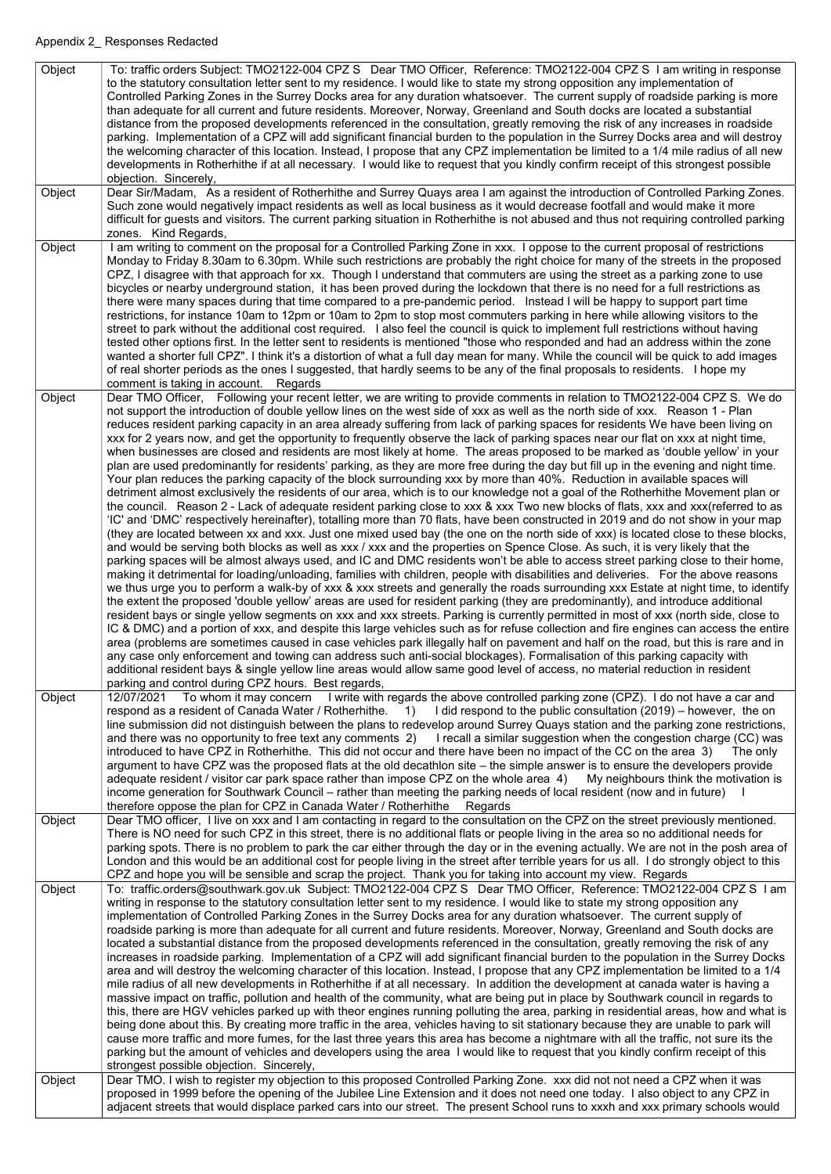| Object | To: traffic orders Subject: TMO2122-004 CPZ S Dear TMO Officer, Reference: TMO2122-004 CPZ S I am writing in response<br>to the statutory consultation letter sent to my residence. I would like to state my strong opposition any implementation of<br>Controlled Parking Zones in the Surrey Docks area for any duration whatsoever. The current supply of roadside parking is more<br>than adequate for all current and future residents. Moreover, Norway, Greenland and South docks are located a substantial<br>distance from the proposed developments referenced in the consultation, greatly removing the risk of any increases in roadside<br>parking. Implementation of a CPZ will add significant financial burden to the population in the Surrey Docks area and will destroy<br>the welcoming character of this location. Instead, I propose that any CPZ implementation be limited to a 1/4 mile radius of all new<br>developments in Rotherhithe if at all necessary. I would like to request that you kindly confirm receipt of this strongest possible<br>objection. Sincerely,                                                                                                                                                                                                                                                                                                                                                                                                                                                                                                                                                                                                                                                                                                                                                                                                                                                                                                                                                                                                                                                                                                                                                                                                                                                                                                                                                                                                                                                                                                                                                                                                                                                                                                                                                                                                                       |
|--------|-------------------------------------------------------------------------------------------------------------------------------------------------------------------------------------------------------------------------------------------------------------------------------------------------------------------------------------------------------------------------------------------------------------------------------------------------------------------------------------------------------------------------------------------------------------------------------------------------------------------------------------------------------------------------------------------------------------------------------------------------------------------------------------------------------------------------------------------------------------------------------------------------------------------------------------------------------------------------------------------------------------------------------------------------------------------------------------------------------------------------------------------------------------------------------------------------------------------------------------------------------------------------------------------------------------------------------------------------------------------------------------------------------------------------------------------------------------------------------------------------------------------------------------------------------------------------------------------------------------------------------------------------------------------------------------------------------------------------------------------------------------------------------------------------------------------------------------------------------------------------------------------------------------------------------------------------------------------------------------------------------------------------------------------------------------------------------------------------------------------------------------------------------------------------------------------------------------------------------------------------------------------------------------------------------------------------------------------------------------------------------------------------------------------------------------------------------------------------------------------------------------------------------------------------------------------------------------------------------------------------------------------------------------------------------------------------------------------------------------------------------------------------------------------------------------------------------------------------------------------------------------------------------------------------|
| Object | Dear Sir/Madam, As a resident of Rotherhithe and Surrey Quays area I am against the introduction of Controlled Parking Zones.<br>Such zone would negatively impact residents as well as local business as it would decrease footfall and would make it more<br>difficult for guests and visitors. The current parking situation in Rotherhithe is not abused and thus not requiring controlled parking<br>zones. Kind Regards,                                                                                                                                                                                                                                                                                                                                                                                                                                                                                                                                                                                                                                                                                                                                                                                                                                                                                                                                                                                                                                                                                                                                                                                                                                                                                                                                                                                                                                                                                                                                                                                                                                                                                                                                                                                                                                                                                                                                                                                                                                                                                                                                                                                                                                                                                                                                                                                                                                                                                          |
| Object | am writing to comment on the proposal for a Controlled Parking Zone in xxx. I oppose to the current proposal of restrictions<br>Monday to Friday 8.30am to 6.30pm. While such restrictions are probably the right choice for many of the streets in the proposed<br>CPZ, I disagree with that approach for xx. Though I understand that commuters are using the street as a parking zone to use<br>bicycles or nearby underground station, it has been proved during the lockdown that there is no need for a full restrictions as<br>there were many spaces during that time compared to a pre-pandemic period. Instead I will be happy to support part time<br>restrictions, for instance 10am to 12pm or 10am to 2pm to stop most commuters parking in here while allowing visitors to the<br>street to park without the additional cost required. I also feel the council is quick to implement full restrictions without having<br>tested other options first. In the letter sent to residents is mentioned "those who responded and had an address within the zone<br>wanted a shorter full CPZ". I think it's a distortion of what a full day mean for many. While the council will be quick to add images<br>of real shorter periods as the ones I suggested, that hardly seems to be any of the final proposals to residents. I hope my<br>comment is taking in account. Regards                                                                                                                                                                                                                                                                                                                                                                                                                                                                                                                                                                                                                                                                                                                                                                                                                                                                                                                                                                                                                                                                                                                                                                                                                                                                                                                                                                                                                                                                                                                               |
| Object | Dear TMO Officer, Following your recent letter, we are writing to provide comments in relation to TMO2122-004 CPZ S. We do<br>not support the introduction of double yellow lines on the west side of xxx as well as the north side of xxx. Reason 1 - Plan<br>reduces resident parking capacity in an area already suffering from lack of parking spaces for residents We have been living on<br>xxx for 2 years now, and get the opportunity to frequently observe the lack of parking spaces near our flat on xxx at night time,<br>when businesses are closed and residents are most likely at home. The areas proposed to be marked as 'double yellow' in your<br>plan are used predominantly for residents' parking, as they are more free during the day but fill up in the evening and night time.<br>Your plan reduces the parking capacity of the block surrounding xxx by more than 40%. Reduction in available spaces will<br>detriment almost exclusively the residents of our area, which is to our knowledge not a goal of the Rotherhithe Movement plan or<br>the council. Reason 2 - Lack of adequate resident parking close to xxx & xxx Two new blocks of flats, xxx and xxx(referred to as<br>'IC' and 'DMC' respectively hereinafter), totalling more than 70 flats, have been constructed in 2019 and do not show in your map<br>(they are located between xx and xxx. Just one mixed used bay (the one on the north side of xxx) is located close to these blocks,<br>and would be serving both blocks as well as xxx / xxx and the properties on Spence Close. As such, it is very likely that the<br>parking spaces will be almost always used, and IC and DMC residents won't be able to access street parking close to their home,<br>making it detrimental for loading/unloading, families with children, people with disabilities and deliveries. For the above reasons<br>we thus urge you to perform a walk-by of xxx & xxx streets and generally the roads surrounding xxx Estate at night time, to identify<br>the extent the proposed 'double yellow' areas are used for resident parking (they are predominantly), and introduce additional<br>resident bays or single yellow segments on xxx and xxx streets. Parking is currently permitted in most of xxx (north side, close to<br>IC & DMC) and a portion of xxx, and despite this large vehicles such as for refuse collection and fire engines can access the entire<br>area (problems are sometimes caused in case vehicles park illegally half on pavement and half on the road, but this is rare and in<br>any case only enforcement and towing can address such anti-social blockages). Formalisation of this parking capacity with<br>additional resident bays & single yellow line areas would allow same good level of access, no material reduction in resident<br>parking and control during CPZ hours. Best regards, |
| Object | To whom it may concern I write with regards the above controlled parking zone (CPZ). I do not have a car and<br>12/07/2021<br>respond as a resident of Canada Water / Rotherhithe. 1) I did respond to the public consultation (2019) – however, the on<br>line submission did not distinguish between the plans to redevelop around Surrey Quays station and the parking zone restrictions,<br>and there was no opportunity to free text any comments 2) I recall a similar suggestion when the congestion charge (CC) was<br>introduced to have CPZ in Rotherhithe. This did not occur and there have been no impact of the CC on the area 3)<br>The only<br>argument to have CPZ was the proposed flats at the old decathion site – the simple answer is to ensure the developers provide<br>adequate resident / visitor car park space rather than impose CPZ on the whole area 4) My neighbours think the motivation is<br>income generation for Southwark Council – rather than meeting the parking needs of local resident (now and in future)<br>therefore oppose the plan for CPZ in Canada Water / Rotherhithe<br>Regards                                                                                                                                                                                                                                                                                                                                                                                                                                                                                                                                                                                                                                                                                                                                                                                                                                                                                                                                                                                                                                                                                                                                                                                                                                                                                                                                                                                                                                                                                                                                                                                                                                                                                                                                                                                     |
| Object | Dear TMO officer, I live on xxx and I am contacting in regard to the consultation on the CPZ on the street previously mentioned.<br>There is NO need for such CPZ in this street, there is no additional flats or people living in the area so no additional needs for<br>parking spots. There is no problem to park the car either through the day or in the evening actually. We are not in the posh area of<br>London and this would be an additional cost for people living in the street after terrible years for us all. I do strongly object to this<br>CPZ and hope you will be sensible and scrap the project. Thank you for taking into account my view. Regards                                                                                                                                                                                                                                                                                                                                                                                                                                                                                                                                                                                                                                                                                                                                                                                                                                                                                                                                                                                                                                                                                                                                                                                                                                                                                                                                                                                                                                                                                                                                                                                                                                                                                                                                                                                                                                                                                                                                                                                                                                                                                                                                                                                                                                              |
| Object | To: traffic.orders@southwark.gov.uk Subject: TMO2122-004 CPZ S Dear TMO Officer, Reference: TMO2122-004 CPZ S I am<br>writing in response to the statutory consultation letter sent to my residence. I would like to state my strong opposition any<br>implementation of Controlled Parking Zones in the Surrey Docks area for any duration whatsoever. The current supply of<br>roadside parking is more than adequate for all current and future residents. Moreover, Norway, Greenland and South docks are<br>located a substantial distance from the proposed developments referenced in the consultation, greatly removing the risk of any<br>increases in roadside parking. Implementation of a CPZ will add significant financial burden to the population in the Surrey Docks<br>area and will destroy the welcoming character of this location. Instead, I propose that any CPZ implementation be limited to a 1/4<br>mile radius of all new developments in Rotherhithe if at all necessary. In addition the development at canada water is having a<br>massive impact on traffic, pollution and health of the community, what are being put in place by Southwark council in regards to<br>this, there are HGV vehicles parked up with theor engines running polluting the area, parking in residential areas, how and what is<br>being done about this. By creating more traffic in the area, vehicles having to sit stationary because they are unable to park will<br>cause more traffic and more fumes, for the last three years this area has become a nightmare with all the traffic, not sure its the<br>parking but the amount of vehicles and developers using the area I would like to request that you kindly confirm receipt of this<br>strongest possible objection. Sincerely,                                                                                                                                                                                                                                                                                                                                                                                                                                                                                                                                                                                                                                                                                                                                                                                                                                                                                                                                                                                                                                                                                                                 |
| Object | Dear TMO. I wish to register my objection to this proposed Controlled Parking Zone. xxx did not not need a CPZ when it was<br>proposed in 1999 before the opening of the Jubilee Line Extension and it does not need one today. I also object to any CPZ in<br>adjacent streets that would displace parked cars into our street. The present School runs to xxxh and xxx primary schools would                                                                                                                                                                                                                                                                                                                                                                                                                                                                                                                                                                                                                                                                                                                                                                                                                                                                                                                                                                                                                                                                                                                                                                                                                                                                                                                                                                                                                                                                                                                                                                                                                                                                                                                                                                                                                                                                                                                                                                                                                                                                                                                                                                                                                                                                                                                                                                                                                                                                                                                          |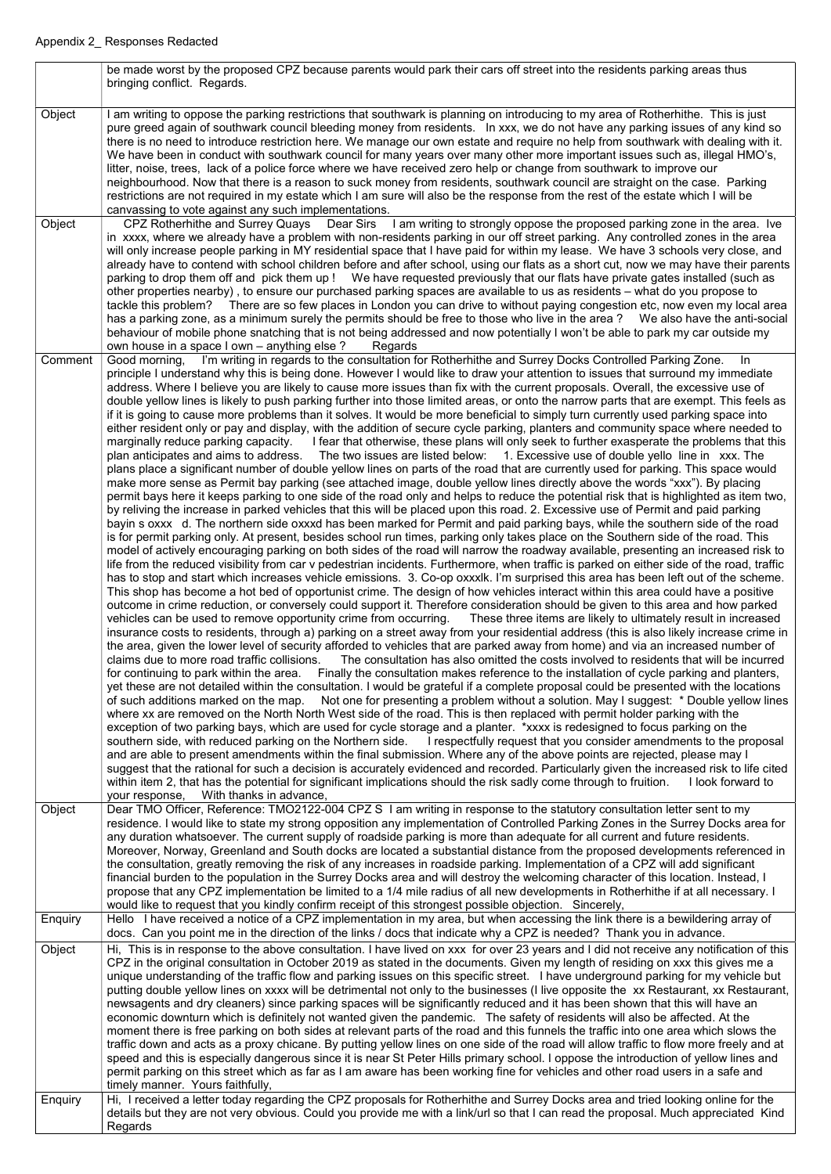|         | be made worst by the proposed CPZ because parents would park their cars off street into the residents parking areas thus<br>bringing conflict. Regards.                                                                                                                                                                                                                                                                                                                                                                                                                                                                                                                                                                                                                                                                                                                                                                                                                                                                                                                                                                                                                                                                                                                                                                                                                                                                                                                                                                                                                                                                                                                                                                                                                                                                                                                                                                                                                                                                                                                                                                                                                                                                                                                                                                                                                                                                                                                                                                                                                                                                                                                                                                                                                                                                                                                                                                                                                                                                                                                                                                                                                                                                                                                                                                                                                                                                                                                                                                                                                                                                                                                                                                                                                                                                                                                                                                                                                                                                                                                                                                                                                                                                                                                                                                                                                                                                                            |
|---------|----------------------------------------------------------------------------------------------------------------------------------------------------------------------------------------------------------------------------------------------------------------------------------------------------------------------------------------------------------------------------------------------------------------------------------------------------------------------------------------------------------------------------------------------------------------------------------------------------------------------------------------------------------------------------------------------------------------------------------------------------------------------------------------------------------------------------------------------------------------------------------------------------------------------------------------------------------------------------------------------------------------------------------------------------------------------------------------------------------------------------------------------------------------------------------------------------------------------------------------------------------------------------------------------------------------------------------------------------------------------------------------------------------------------------------------------------------------------------------------------------------------------------------------------------------------------------------------------------------------------------------------------------------------------------------------------------------------------------------------------------------------------------------------------------------------------------------------------------------------------------------------------------------------------------------------------------------------------------------------------------------------------------------------------------------------------------------------------------------------------------------------------------------------------------------------------------------------------------------------------------------------------------------------------------------------------------------------------------------------------------------------------------------------------------------------------------------------------------------------------------------------------------------------------------------------------------------------------------------------------------------------------------------------------------------------------------------------------------------------------------------------------------------------------------------------------------------------------------------------------------------------------------------------------------------------------------------------------------------------------------------------------------------------------------------------------------------------------------------------------------------------------------------------------------------------------------------------------------------------------------------------------------------------------------------------------------------------------------------------------------------------------------------------------------------------------------------------------------------------------------------------------------------------------------------------------------------------------------------------------------------------------------------------------------------------------------------------------------------------------------------------------------------------------------------------------------------------------------------------------------------------------------------------------------------------------------------------------------------------------------------------------------------------------------------------------------------------------------------------------------------------------------------------------------------------------------------------------------------------------------------------------------------------------------------------------------------------------------------------------------------------------------------------------------------------------------|
| Object  | I am writing to oppose the parking restrictions that southwark is planning on introducing to my area of Rotherhithe. This is just<br>pure greed again of southwark council bleeding money from residents. In xxx, we do not have any parking issues of any kind so<br>there is no need to introduce restriction here. We manage our own estate and require no help from southwark with dealing with it.<br>We have been in conduct with southwark council for many years over many other more important issues such as, illegal HMO's,<br>litter, noise, trees, lack of a police force where we have received zero help or change from southwark to improve our<br>neighbourhood. Now that there is a reason to suck money from residents, southwark council are straight on the case. Parking<br>restrictions are not required in my estate which I am sure will also be the response from the rest of the estate which I will be<br>canvassing to vote against any such implementations.                                                                                                                                                                                                                                                                                                                                                                                                                                                                                                                                                                                                                                                                                                                                                                                                                                                                                                                                                                                                                                                                                                                                                                                                                                                                                                                                                                                                                                                                                                                                                                                                                                                                                                                                                                                                                                                                                                                                                                                                                                                                                                                                                                                                                                                                                                                                                                                                                                                                                                                                                                                                                                                                                                                                                                                                                                                                                                                                                                                                                                                                                                                                                                                                                                                                                                                                                                                                                                                         |
| Object  | CPZ Rotherhithe and Surrey Quays  Dear Sirs  I am writing to strongly oppose the proposed parking zone in the area. Ive<br>in xxxx, where we already have a problem with non-residents parking in our off street parking. Any controlled zones in the area<br>will only increase people parking in MY residential space that I have paid for within my lease. We have 3 schools very close, and<br>already have to contend with school children before and after school, using our flats as a short cut, now we may have their parents<br>parking to drop them off and pick them up! We have requested previously that our flats have private gates installed (such as<br>other properties nearby), to ensure our purchased parking spaces are available to us as residents – what do you propose to<br>tackle this problem? There are so few places in London you can drive to without paying congestion etc, now even my local area<br>has a parking zone, as a minimum surely the permits should be free to those who live in the area? We also have the anti-social<br>behaviour of mobile phone snatching that is not being addressed and now potentially I won't be able to park my car outside my<br>own house in a space I own – anything else?<br>Regards                                                                                                                                                                                                                                                                                                                                                                                                                                                                                                                                                                                                                                                                                                                                                                                                                                                                                                                                                                                                                                                                                                                                                                                                                                                                                                                                                                                                                                                                                                                                                                                                                                                                                                                                                                                                                                                                                                                                                                                                                                                                                                                                                                                                                                                                                                                                                                                                                                                                                                                                                                                                                                                                                                                                                                                                                                                                                                                                                                                                                                                                                                                                                                                 |
| Comment | I'm writing in regards to the consultation for Rotherhithe and Surrey Docks Controlled Parking Zone.<br>Good morning,<br>-In<br>principle I understand why this is being done. However I would like to draw your attention to issues that surround my immediate<br>address. Where I believe you are likely to cause more issues than fix with the current proposals. Overall, the excessive use of<br>double yellow lines is likely to push parking further into those limited areas, or onto the narrow parts that are exempt. This feels as<br>if it is going to cause more problems than it solves. It would be more beneficial to simply turn currently used parking space into<br>either resident only or pay and display, with the addition of secure cycle parking, planters and community space where needed to<br>marginally reduce parking capacity. I fear that otherwise, these plans will only seek to further exasperate the problems that this<br>The two issues are listed below: 1. Excessive use of double yello line in xxx. The<br>plan anticipates and aims to address.<br>plans place a significant number of double yellow lines on parts of the road that are currently used for parking. This space would<br>make more sense as Permit bay parking (see attached image, double yellow lines directly above the words "xxx"). By placing<br>permit bays here it keeps parking to one side of the road only and helps to reduce the potential risk that is highlighted as item two,<br>by reliving the increase in parked vehicles that this will be placed upon this road. 2. Excessive use of Permit and paid parking<br>bayin s oxxx d. The northern side oxxxd has been marked for Permit and paid parking bays, while the southern side of the road<br>is for permit parking only. At present, besides school run times, parking only takes place on the Southern side of the road. This<br>model of actively encouraging parking on both sides of the road will narrow the roadway available, presenting an increased risk to<br>life from the reduced visibility from car v pedestrian incidents. Furthermore, when traffic is parked on either side of the road, traffic<br>has to stop and start which increases vehicle emissions. 3. Co-op oxxxlk. I'm surprised this area has been left out of the scheme.<br>This shop has become a hot bed of opportunist crime. The design of how vehicles interact within this area could have a positive<br>outcome in crime reduction, or conversely could support it. Therefore consideration should be given to this area and how parked<br>vehicles can be used to remove opportunity crime from occurring. These three items are likely to ultimately result in increased<br>insurance costs to residents, through a) parking on a street away from your residential address (this is also likely increase crime in<br>the area, given the lower level of security afforded to vehicles that are parked away from home) and via an increased number of<br>claims due to more road traffic collisions. The consultation has also omitted the costs involved to residents that will be incurred<br>for continuing to park within the area. Finally the consultation makes reference to the installation of cycle parking and planters,<br>yet these are not detailed within the consultation. I would be grateful if a complete proposal could be presented with the locations<br>of such additions marked on the map. Not one for presenting a problem without a solution. May I suggest: * Double yellow lines<br>where xx are removed on the North North West side of the road. This is then replaced with permit holder parking with the<br>exception of two parking bays, which are used for cycle storage and a planter. *xxxx is redesigned to focus parking on the<br>southern side, with reduced parking on the Northern side. I respectfully request that you consider amendments to the proposal<br>and are able to present amendments within the final submission. Where any of the above points are rejected, please may I<br>suggest that the rational for such a decision is accurately evidenced and recorded. Particularly given the increased risk to life cited<br>within item 2, that has the potential for significant implications should the risk sadly come through to fruition.<br>I look forward to<br>your response, With thanks in advance, |
| Object  | Dear TMO Officer, Reference: TMO2122-004 CPZ S I am writing in response to the statutory consultation letter sent to my<br>residence. I would like to state my strong opposition any implementation of Controlled Parking Zones in the Surrey Docks area for<br>any duration whatsoever. The current supply of roadside parking is more than adequate for all current and future residents.<br>Moreover, Norway, Greenland and South docks are located a substantial distance from the proposed developments referenced in<br>the consultation, greatly removing the risk of any increases in roadside parking. Implementation of a CPZ will add significant<br>financial burden to the population in the Surrey Docks area and will destroy the welcoming character of this location. Instead, I<br>propose that any CPZ implementation be limited to a 1/4 mile radius of all new developments in Rotherhithe if at all necessary. I<br>would like to request that you kindly confirm receipt of this strongest possible objection. Sincerely,                                                                                                                                                                                                                                                                                                                                                                                                                                                                                                                                                                                                                                                                                                                                                                                                                                                                                                                                                                                                                                                                                                                                                                                                                                                                                                                                                                                                                                                                                                                                                                                                                                                                                                                                                                                                                                                                                                                                                                                                                                                                                                                                                                                                                                                                                                                                                                                                                                                                                                                                                                                                                                                                                                                                                                                                                                                                                                                                                                                                                                                                                                                                                                                                                                                                                                                                                                                                   |
| Enquiry | Hello I have received a notice of a CPZ implementation in my area, but when accessing the link there is a bewildering array of<br>docs. Can you point me in the direction of the links / docs that indicate why a CPZ is needed? Thank you in advance.                                                                                                                                                                                                                                                                                                                                                                                                                                                                                                                                                                                                                                                                                                                                                                                                                                                                                                                                                                                                                                                                                                                                                                                                                                                                                                                                                                                                                                                                                                                                                                                                                                                                                                                                                                                                                                                                                                                                                                                                                                                                                                                                                                                                                                                                                                                                                                                                                                                                                                                                                                                                                                                                                                                                                                                                                                                                                                                                                                                                                                                                                                                                                                                                                                                                                                                                                                                                                                                                                                                                                                                                                                                                                                                                                                                                                                                                                                                                                                                                                                                                                                                                                                                             |
| Object  | Hi, This is in response to the above consultation. I have lived on xxx for over 23 years and I did not receive any notification of this<br>CPZ in the original consultation in October 2019 as stated in the documents. Given my length of residing on xxx this gives me a<br>unique understanding of the traffic flow and parking issues on this specific street. I have underground parking for my vehicle but<br>putting double yellow lines on xxxx will be detrimental not only to the businesses (I live opposite the xx Restaurant, xx Restaurant,<br>newsagents and dry cleaners) since parking spaces will be significantly reduced and it has been shown that this will have an<br>economic downturn which is definitely not wanted given the pandemic. The safety of residents will also be affected. At the<br>moment there is free parking on both sides at relevant parts of the road and this funnels the traffic into one area which slows the<br>traffic down and acts as a proxy chicane. By putting yellow lines on one side of the road will allow traffic to flow more freely and at<br>speed and this is especially dangerous since it is near St Peter Hills primary school. I oppose the introduction of yellow lines and<br>permit parking on this street which as far as I am aware has been working fine for vehicles and other road users in a safe and<br>timely manner. Yours faithfully,                                                                                                                                                                                                                                                                                                                                                                                                                                                                                                                                                                                                                                                                                                                                                                                                                                                                                                                                                                                                                                                                                                                                                                                                                                                                                                                                                                                                                                                                                                                                                                                                                                                                                                                                                                                                                                                                                                                                                                                                                                                                                                                                                                                                                                                                                                                                                                                                                                                                                                                                                                                                                                                                                                                                                                                                                                                                                                                                                                                                                            |
| Enquiry | Hi, I received a letter today regarding the CPZ proposals for Rotherhithe and Surrey Docks area and tried looking online for the<br>details but they are not very obvious. Could you provide me with a link/url so that I can read the proposal. Much appreciated Kind<br>Regards                                                                                                                                                                                                                                                                                                                                                                                                                                                                                                                                                                                                                                                                                                                                                                                                                                                                                                                                                                                                                                                                                                                                                                                                                                                                                                                                                                                                                                                                                                                                                                                                                                                                                                                                                                                                                                                                                                                                                                                                                                                                                                                                                                                                                                                                                                                                                                                                                                                                                                                                                                                                                                                                                                                                                                                                                                                                                                                                                                                                                                                                                                                                                                                                                                                                                                                                                                                                                                                                                                                                                                                                                                                                                                                                                                                                                                                                                                                                                                                                                                                                                                                                                                  |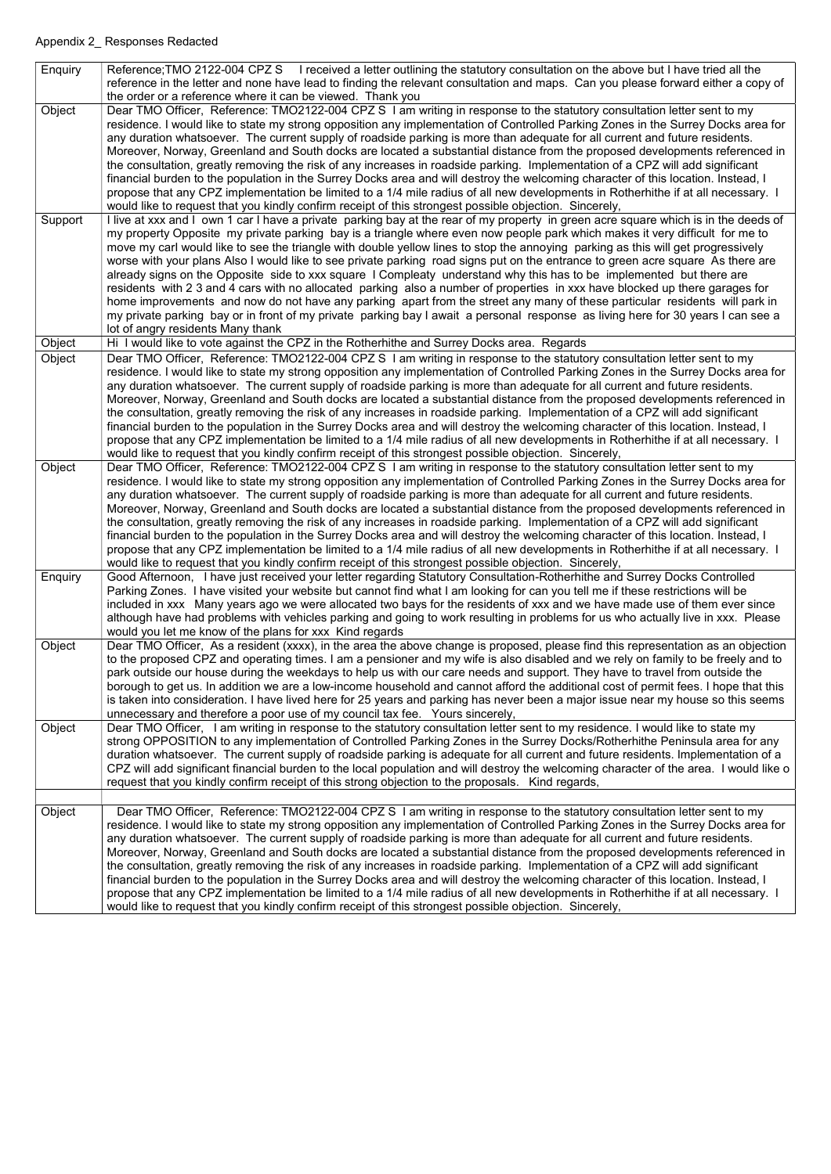| Enquiry | Reference; TMO 2122-004 CPZ S I received a letter outlining the statutory consultation on the above but I have tried all the<br>reference in the letter and none have lead to finding the relevant consultation and maps. Can you please forward either a copy of                                                                                                                                                                                                                                                                                                                                                                                                                                                                                                                                                                                                                                                                                                                                                                                                                                          |
|---------|------------------------------------------------------------------------------------------------------------------------------------------------------------------------------------------------------------------------------------------------------------------------------------------------------------------------------------------------------------------------------------------------------------------------------------------------------------------------------------------------------------------------------------------------------------------------------------------------------------------------------------------------------------------------------------------------------------------------------------------------------------------------------------------------------------------------------------------------------------------------------------------------------------------------------------------------------------------------------------------------------------------------------------------------------------------------------------------------------------|
|         | the order or a reference where it can be viewed. Thank you                                                                                                                                                                                                                                                                                                                                                                                                                                                                                                                                                                                                                                                                                                                                                                                                                                                                                                                                                                                                                                                 |
| Object  | Dear TMO Officer, Reference: TMO2122-004 CPZ S I am writing in response to the statutory consultation letter sent to my<br>residence. I would like to state my strong opposition any implementation of Controlled Parking Zones in the Surrey Docks area for<br>any duration whatsoever. The current supply of roadside parking is more than adequate for all current and future residents.<br>Moreover, Norway, Greenland and South docks are located a substantial distance from the proposed developments referenced in<br>the consultation, greatly removing the risk of any increases in roadside parking. Implementation of a CPZ will add significant<br>financial burden to the population in the Surrey Docks area and will destroy the welcoming character of this location. Instead, I<br>propose that any CPZ implementation be limited to a 1/4 mile radius of all new developments in Rotherhithe if at all necessary. I<br>would like to request that you kindly confirm receipt of this strongest possible objection. Sincerely,                                                           |
| Support | I live at xxx and I own 1 car I have a private parking bay at the rear of my property in green acre square which is in the deeds of<br>my property Opposite my private parking bay is a triangle where even now people park which makes it very difficult for me to<br>move my carl would like to see the triangle with double yellow lines to stop the annoying parking as this will get progressively<br>worse with your plans Also I would like to see private parking road signs put on the entrance to green acre square As there are<br>already signs on the Opposite side to xxx square I Compleaty understand why this has to be implemented but there are<br>residents with 2 3 and 4 cars with no allocated parking also a number of properties in xxx have blocked up there garages for<br>home improvements and now do not have any parking apart from the street any many of these particular residents will park in<br>my private parking bay or in front of my private parking bay I await a personal response as living here for 30 years I can see a<br>lot of angry residents Many thank |
| Object  | Hi I would like to vote against the CPZ in the Rotherhithe and Surrey Docks area. Regards                                                                                                                                                                                                                                                                                                                                                                                                                                                                                                                                                                                                                                                                                                                                                                                                                                                                                                                                                                                                                  |
| Object  | Dear TMO Officer, Reference: TMO2122-004 CPZ S I am writing in response to the statutory consultation letter sent to my<br>residence. I would like to state my strong opposition any implementation of Controlled Parking Zones in the Surrey Docks area for<br>any duration whatsoever. The current supply of roadside parking is more than adequate for all current and future residents.<br>Moreover, Norway, Greenland and South docks are located a substantial distance from the proposed developments referenced in<br>the consultation, greatly removing the risk of any increases in roadside parking. Implementation of a CPZ will add significant<br>financial burden to the population in the Surrey Docks area and will destroy the welcoming character of this location. Instead, I<br>propose that any CPZ implementation be limited to a 1/4 mile radius of all new developments in Rotherhithe if at all necessary. I<br>would like to request that you kindly confirm receipt of this strongest possible objection. Sincerely,                                                           |
| Object  | Dear TMO Officer, Reference: TMO2122-004 CPZ S I am writing in response to the statutory consultation letter sent to my<br>residence. I would like to state my strong opposition any implementation of Controlled Parking Zones in the Surrey Docks area for<br>any duration whatsoever. The current supply of roadside parking is more than adequate for all current and future residents.<br>Moreover, Norway, Greenland and South docks are located a substantial distance from the proposed developments referenced in<br>the consultation, greatly removing the risk of any increases in roadside parking. Implementation of a CPZ will add significant<br>financial burden to the population in the Surrey Docks area and will destroy the welcoming character of this location. Instead, I<br>propose that any CPZ implementation be limited to a 1/4 mile radius of all new developments in Rotherhithe if at all necessary. I<br>would like to request that you kindly confirm receipt of this strongest possible objection. Sincerely,                                                           |
| Enquiry | Good Afternoon, I have just received your letter regarding Statutory Consultation-Rotherhithe and Surrey Docks Controlled<br>Parking Zones. I have visited your website but cannot find what I am looking for can you tell me if these restrictions will be<br>included in xxx Many years ago we were allocated two bays for the residents of xxx and we have made use of them ever since<br>although have had problems with vehicles parking and going to work resulting in problems for us who actually live in xxx. Please<br>would you let me know of the plans for xxx Kind regards                                                                                                                                                                                                                                                                                                                                                                                                                                                                                                                   |
| Object  | Dear TMO Officer, As a resident (xxxx), in the area the above change is proposed, please find this representation as an objection<br>to the proposed CPZ and operating times. I am a pensioner and my wife is also disabled and we rely on family to be freely and to<br>park outside our house during the weekdays to help us with our care needs and support. They have to travel from outside the<br>borough to get us. In addition we are a low-income household and cannot afford the additional cost of permit fees. I hope that this<br>is taken into consideration. I have lived here for 25 years and parking has never been a major issue near my house so this seems<br>unnecessary and therefore a poor use of my council tax fee. Yours sincerely,                                                                                                                                                                                                                                                                                                                                            |
| Object  | Dear TMO Officer, I am writing in response to the statutory consultation letter sent to my residence. I would like to state my<br>strong OPPOSITION to any implementation of Controlled Parking Zones in the Surrey Docks/Rotherhithe Peninsula area for any<br>duration whatsoever. The current supply of roadside parking is adequate for all current and future residents. Implementation of a<br>CPZ will add significant financial burden to the local population and will destroy the welcoming character of the area. I would like o<br>request that you kindly confirm receipt of this strong objection to the proposals. Kind regards,                                                                                                                                                                                                                                                                                                                                                                                                                                                            |
|         |                                                                                                                                                                                                                                                                                                                                                                                                                                                                                                                                                                                                                                                                                                                                                                                                                                                                                                                                                                                                                                                                                                            |
| Object  | Dear TMO Officer, Reference: TMO2122-004 CPZ S I am writing in response to the statutory consultation letter sent to my<br>residence. I would like to state my strong opposition any implementation of Controlled Parking Zones in the Surrey Docks area for<br>any duration whatsoever. The current supply of roadside parking is more than adequate for all current and future residents.<br>Moreover, Norway, Greenland and South docks are located a substantial distance from the proposed developments referenced in<br>the consultation, greatly removing the risk of any increases in roadside parking. Implementation of a CPZ will add significant<br>financial burden to the population in the Surrey Docks area and will destroy the welcoming character of this location. Instead, I                                                                                                                                                                                                                                                                                                          |

propose that any CPZ implementation be limited to a 1/4 mile radius of all new developments in Rotherhithe if at all necessary. I would like to request that you kindly confirm receipt of this strongest possible objection. Sincerely,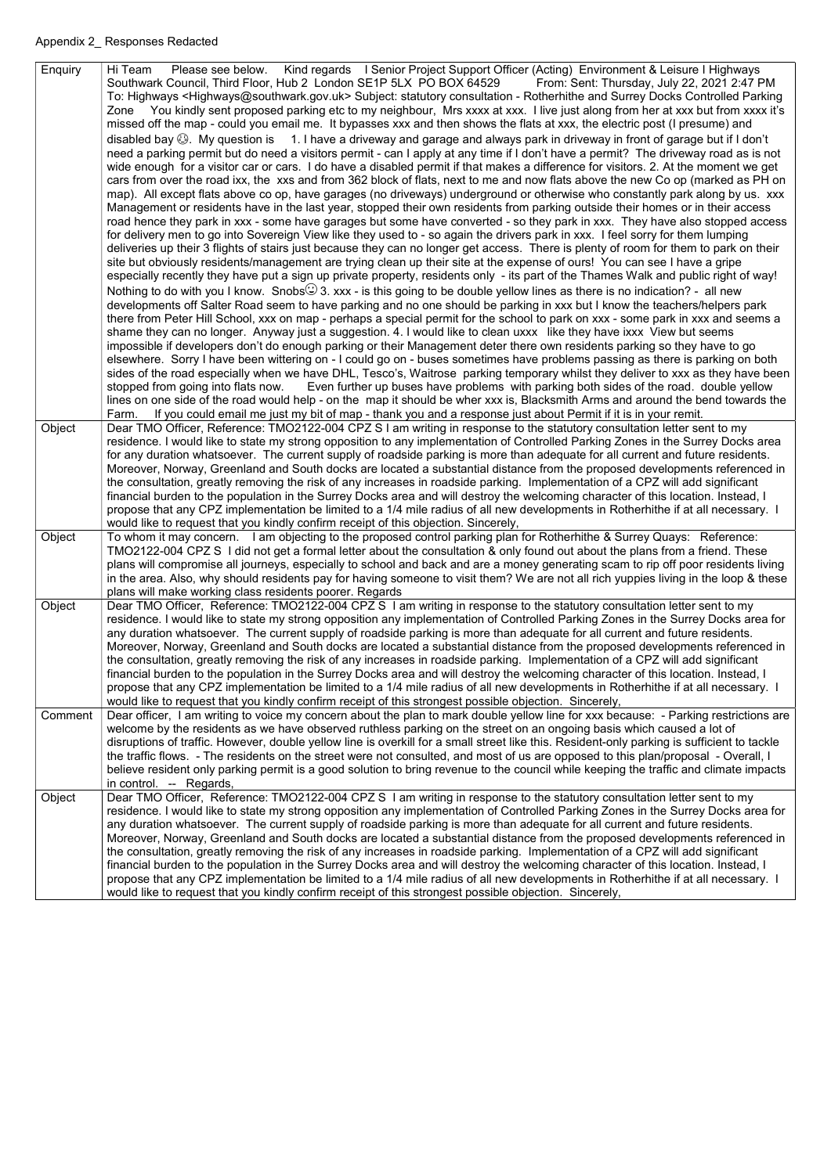| Enquiry | Hi Team Please see below. Kind regards I Senior Project Support Officer (Acting) Environment & Leisure I Highways<br>Southwark Council, Third Floor, Hub 2 London SE1P 5LX PO BOX 64529<br>From: Sent: Thursday, July 22, 2021 2:47 PM<br>To: Highways <highways@southwark.gov.uk> Subject: statutory consultation - Rotherhithe and Surrey Docks Controlled Parking<br/>Zone You kindly sent proposed parking etc to my neighbour, Mrs xxxx at xxx. I live just along from her at xxx but from xxxx it's<br/>missed off the map - could you email me. It bypasses xxx and then shows the flats at xxx, the electric post (I presume) and<br/>disabled bay . My question is 1. I have a driveway and garage and always park in driveway in front of garage but if I don't<br/>need a parking permit but do need a visitors permit - can I apply at any time if I don't have a permit? The driveway road as is not<br/>wide enough for a visitor car or cars. I do have a disabled permit if that makes a difference for visitors. 2. At the moment we get<br/>cars from over the road ixx, the xxs and from 362 block of flats, next to me and now flats above the new Co op (marked as PH on<br/>map). All except flats above co op, have garages (no driveways) underground or otherwise who constantly park along by us. xxx<br/>Management or residents have in the last year, stopped their own residents from parking outside their homes or in their access<br/>road hence they park in xxx - some have garages but some have converted - so they park in xxx. They have also stopped access<br/>for delivery men to go into Sovereign View like they used to - so again the drivers park in xxx. I feel sorry for them lumping<br/>deliveries up their 3 flights of stairs just because they can no longer get access. There is plenty of room for them to park on their<br/>site but obviously residents/management are trying clean up their site at the expense of ours! You can see I have a gripe<br/>especially recently they have put a sign up private property, residents only - its part of the Thames Walk and public right of way!<br/>Nothing to do with you I know. Snobs(<math>\bigcirc</math>) 3. xxx - is this going to be double yellow lines as there is no indication? - all new<br/>developments off Salter Road seem to have parking and no one should be parking in xxx but I know the teachers/helpers park<br/>there from Peter Hill School, xxx on map - perhaps a special permit for the school to park on xxx - some park in xxx and seems a<br/>shame they can no longer. Anyway just a suggestion. 4. I would like to clean uxxx like they have ixxx View but seems<br/>impossible if developers don't do enough parking or their Management deter there own residents parking so they have to go<br/>elsewhere. Sorry I have been wittering on - I could go on - buses sometimes have problems passing as there is parking on both<br/>sides of the road especially when we have DHL, Tesco's, Waitrose parking temporary whilst they deliver to xxx as they have been<br/>stopped from going into flats now. Even further up buses have problems with parking both sides of the road. double yellow<br/>lines on one side of the road would help - on the map it should be wher xxx is, Blacksmith Arms and around the bend towards the<br/>If you could email me just my bit of map - thank you and a response just about Permit if it is in your remit.<br/>Farm.</highways@southwark.gov.uk> |
|---------|-----------------------------------------------------------------------------------------------------------------------------------------------------------------------------------------------------------------------------------------------------------------------------------------------------------------------------------------------------------------------------------------------------------------------------------------------------------------------------------------------------------------------------------------------------------------------------------------------------------------------------------------------------------------------------------------------------------------------------------------------------------------------------------------------------------------------------------------------------------------------------------------------------------------------------------------------------------------------------------------------------------------------------------------------------------------------------------------------------------------------------------------------------------------------------------------------------------------------------------------------------------------------------------------------------------------------------------------------------------------------------------------------------------------------------------------------------------------------------------------------------------------------------------------------------------------------------------------------------------------------------------------------------------------------------------------------------------------------------------------------------------------------------------------------------------------------------------------------------------------------------------------------------------------------------------------------------------------------------------------------------------------------------------------------------------------------------------------------------------------------------------------------------------------------------------------------------------------------------------------------------------------------------------------------------------------------------------------------------------------------------------------------------------------------------------------------------------------------------------------------------------------------------------------------------------------------------------------------------------------------------------------------------------------------------------------------------------------------------------------------------------------------------------------------------------------------------------------------------------------------------------------------------------------------------------------------------------------------------------------------------------------------------------------------------------------------------------------------------------------------------------------------------------------------------------------------------------------------------------------------------------------------------------------------------------------------------------------------------------------------------------------------------------------------------------------------------------------------------------------------------------------------------------------|
| Object  | Dear TMO Officer, Reference: TMO2122-004 CPZ S I am writing in response to the statutory consultation letter sent to my<br>residence. I would like to state my strong opposition to any implementation of Controlled Parking Zones in the Surrey Docks area<br>for any duration whatsoever. The current supply of roadside parking is more than adequate for all current and future residents.<br>Moreover, Norway, Greenland and South docks are located a substantial distance from the proposed developments referenced in<br>the consultation, greatly removing the risk of any increases in roadside parking. Implementation of a CPZ will add significant<br>financial burden to the population in the Surrey Docks area and will destroy the welcoming character of this location. Instead, I<br>propose that any CPZ implementation be limited to a 1/4 mile radius of all new developments in Rotherhithe if at all necessary. I<br>would like to request that you kindly confirm receipt of this objection. Sincerely,                                                                                                                                                                                                                                                                                                                                                                                                                                                                                                                                                                                                                                                                                                                                                                                                                                                                                                                                                                                                                                                                                                                                                                                                                                                                                                                                                                                                                                                                                                                                                                                                                                                                                                                                                                                                                                                                                                                                                                                                                                                                                                                                                                                                                                                                                                                                                                                                                                                                                                        |
| Object  | To whom it may concern. I am objecting to the proposed control parking plan for Rotherhithe & Surrey Quays: Reference:<br>TMO2122-004 CPZ S I did not get a formal letter about the consultation & only found out about the plans from a friend. These<br>plans will compromise all journeys, especially to school and back and are a money generating scam to rip off poor residents living<br>in the area. Also, why should residents pay for having someone to visit them? We are not all rich yuppies living in the loop & these<br>plans will make working class residents poorer. Regards                                                                                                                                                                                                                                                                                                                                                                                                                                                                                                                                                                                                                                                                                                                                                                                                                                                                                                                                                                                                                                                                                                                                                                                                                                                                                                                                                                                                                                                                                                                                                                                                                                                                                                                                                                                                                                                                                                                                                                                                                                                                                                                                                                                                                                                                                                                                                                                                                                                                                                                                                                                                                                                                                                                                                                                                                                                                                                                                         |
| Object  | Dear TMO Officer, Reference: TMO2122-004 CPZ S I am writing in response to the statutory consultation letter sent to my<br>residence. I would like to state my strong opposition any implementation of Controlled Parking Zones in the Surrey Docks area for<br>any duration whatsoever. The current supply of roadside parking is more than adequate for all current and future residents.<br>Moreover, Norway, Greenland and South docks are located a substantial distance from the proposed developments referenced in<br>the consultation, greatly removing the risk of any increases in roadside parking. Implementation of a CPZ will add significant<br>financial burden to the population in the Surrey Docks area and will destroy the welcoming character of this location. Instead, I<br>propose that any CPZ implementation be limited to a 1/4 mile radius of all new developments in Rotherhithe if at all necessary. I<br>would like to request that you kindly confirm receipt of this strongest possible objection. Sincerely,                                                                                                                                                                                                                                                                                                                                                                                                                                                                                                                                                                                                                                                                                                                                                                                                                                                                                                                                                                                                                                                                                                                                                                                                                                                                                                                                                                                                                                                                                                                                                                                                                                                                                                                                                                                                                                                                                                                                                                                                                                                                                                                                                                                                                                                                                                                                                                                                                                                                                        |
| Comment | Dear officer, I am writing to voice my concern about the plan to mark double yellow line for xxx because: - Parking restrictions are<br>welcome by the residents as we have observed ruthless parking on the street on an ongoing basis which caused a lot of<br>disruptions of traffic. However, double yellow line is overkill for a small street like this. Resident-only parking is sufficient to tackle<br>the traffic flows. - The residents on the street were not consulted, and most of us are opposed to this plan/proposal - Overall, I<br>believe resident only parking permit is a good solution to bring revenue to the council while keeping the traffic and climate impacts<br>in control. -- Regards,                                                                                                                                                                                                                                                                                                                                                                                                                                                                                                                                                                                                                                                                                                                                                                                                                                                                                                                                                                                                                                                                                                                                                                                                                                                                                                                                                                                                                                                                                                                                                                                                                                                                                                                                                                                                                                                                                                                                                                                                                                                                                                                                                                                                                                                                                                                                                                                                                                                                                                                                                                                                                                                                                                                                                                                                                  |
| Object  | Dear TMO Officer, Reference: TMO2122-004 CPZ S I am writing in response to the statutory consultation letter sent to my<br>residence. I would like to state my strong opposition any implementation of Controlled Parking Zones in the Surrey Docks area for<br>any duration whatsoever. The current supply of roadside parking is more than adequate for all current and future residents.<br>Moreover, Norway, Greenland and South docks are located a substantial distance from the proposed developments referenced in<br>the consultation, greatly removing the risk of any increases in roadside parking. Implementation of a CPZ will add significant<br>financial burden to the population in the Surrey Docks area and will destroy the welcoming character of this location. Instead, I<br>propose that any CPZ implementation be limited to a 1/4 mile radius of all new developments in Rotherhithe if at all necessary. I                                                                                                                                                                                                                                                                                                                                                                                                                                                                                                                                                                                                                                                                                                                                                                                                                                                                                                                                                                                                                                                                                                                                                                                                                                                                                                                                                                                                                                                                                                                                                                                                                                                                                                                                                                                                                                                                                                                                                                                                                                                                                                                                                                                                                                                                                                                                                                                                                                                                                                                                                                                                  |

would like to request that you kindly confirm receipt of this strongest possible objection. Sincerely,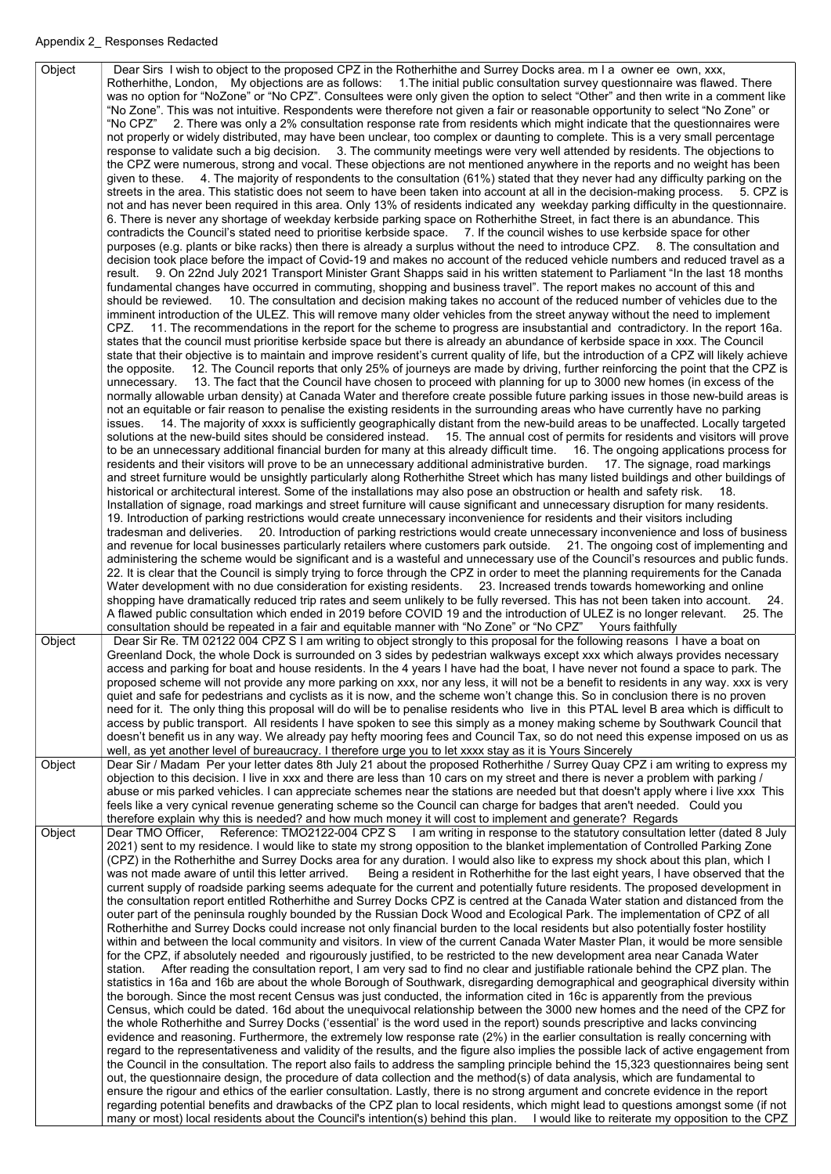Object | Dear Sirs I wish to object to the proposed CPZ in the Rotherhithe and Surrey Docks area. m I a owner ee own, xxx, Rotherhithe, London, My objections are as follows: 1.The initial public consultation survey questionnaire was flawed. There was no option for "NoZone" or "No CPZ". Consultees were only given the option to select "Other" and then write in a comment like "No Zone". This was not intuitive. Respondents were therefore not given a fair or reasonable opportunity to select "No Zone" or "No CPZ" 2. There was only a 2% consultation response rate from residents which might indicate that the questionnaires were not properly or widely distributed, may have been unclear, too complex or daunting to complete. This is a very small percentage response to validate such a big decision. 3. The community meetings were very well attended by residents. The objections to the CPZ were numerous, strong and vocal. These objections are not mentioned anywhere in the reports and no weight has been given to these. 4. The majority of respondents to the consultation (61%) stated that they never had any difficulty parking on the streets in the area. This statistic does not seem to have been taken into account at all in the decision-making process. 5. CPZ is not and has never been required in this area. Only 13% of residents indicated any weekday parking difficulty in the questionnaire. 6. There is never any shortage of weekday kerbside parking space on Rotherhithe Street, in fact there is an abundance. This contradicts the Council's stated need to prioritise kerbside space. 7. If the council wishes to use kerbside space for other purposes (e.g. plants or bike racks) then there is already a surplus without the need to introduce CPZ. 8. The consultation and decision took place before the impact of Covid-19 and makes no account of the reduced vehicle numbers and reduced travel as a result. 9. On 22nd July 2021 Transport Minister Grant Shapps said in his written statement to Parliament "In the last 18 months fundamental changes have occurred in commuting, shopping and business travel". The report makes no account of this and should be reviewed. 10. The consultation and decision making takes no account of the reduced number of vehicles due to the imminent introduction of the ULEZ. This will remove many older vehicles from the street anyway without the need to implement CPZ. 11. The recommendations in the report for the scheme to progress are insubstantial and contradictory. In the report 16a. states that the council must prioritise kerbside space but there is already an abundance of kerbside space in xxx. The Council state that their objective is to maintain and improve resident's current quality of life, but the introduction of a CPZ will likely achieve the opposite. 12. The Council reports that only 25% of journeys are made by driving, further reinforcing the point that the CPZ is unnecessary. 13. The fact that the Council have chosen to proceed with planning for up to 3000 new homes (in excess of the normally allowable urban density) at Canada Water and therefore create possible future parking issues in those new-build areas is not an equitable or fair reason to penalise the existing residents in the surrounding areas who have currently have no parking issues. 14. The majority of xxxx is sufficiently geographically distant from the new-build areas to be unaffected. Locally targeted solutions at the new-build sites should be considered instead. 15. The annual cost of permits for residents and visitors will prove to be an unnecessary additional financial burden for many at this already difficult time. 16. The ongoing applications process for residents and their visitors will prove to be an unnecessary additional administrative burden. 17. The signage, road markings and street furniture would be unsightly particularly along Rotherhithe Street which has many listed buildings and other buildings of historical or architectural interest. Some of the installations may also pose an obstruction or health and safety risk. 18. Installation of signage, road markings and street furniture will cause significant and unnecessary disruption for many residents. 19. Introduction of parking restrictions would create unnecessary inconvenience for residents and their visitors including tradesman and deliveries. 20. Introduction of parking restrictions would create unnecessary inconvenience and loss of business and revenue for local businesses particularly retailers where customers park outside. 21. The ongoing cost of implementing and administering the scheme would be significant and is a wasteful and unnecessary use of the Council's resources and public funds. 22. It is clear that the Council is simply trying to force through the CPZ in order to meet the planning requirements for the Canada Water development with no due consideration for existing residents. 23. Increased trends towards homeworking and online shopping have dramatically reduced trip rates and seem unlikely to be fully reversed. This has not been taken into account. 24. A flawed public consultation which ended in 2019 before COVID 19 and the introduction of ULEZ is no longer relevant. 25. The consultation should be repeated in a fair and equitable manner with "No Zone" or "No CPZ" Yours faithfully Object | Dear Sir Re. TM 02122 004 CPZ S I am writing to object strongly to this proposal for the following reasons I have a boat on Greenland Dock, the whole Dock is surrounded on 3 sides by pedestrian walkways except xxx which always provides necessary access and parking for boat and house residents. In the 4 years I have had the boat, I have never not found a space to park. The proposed scheme will not provide any more parking on xxx, nor any less, it will not be a benefit to residents in any way. xxx is very quiet and safe for pedestrians and cyclists as it is now, and the scheme won't change this. So in conclusion there is no proven need for it. The only thing this proposal will do will be to penalise residents who live in this PTAL level B area which is difficult to access by public transport. All residents I have spoken to see this simply as a money making scheme by Southwark Council that doesn't benefit us in any way. We already pay hefty mooring fees and Council Tax, so do not need this expense imposed on us as well, as yet another level of bureaucracy. I therefore urge you to let xxxx stay as it is Yours Sincerely Object | Dear Sir / Madam Per your letter dates 8th July 21 about the proposed Rotherhithe / Surrey Quay CPZ i am writing to express my objection to this decision. I live in xxx and there are less than 10 cars on my street and there is never a problem with parking / abuse or mis parked vehicles. I can appreciate schemes near the stations are needed but that doesn't apply where i live xxx This feels like a very cynical revenue generating scheme so the Council can charge for badges that aren't needed. Could you therefore explain why this is needed? and how much money it will cost to implement and generate? Regards Object | Dear TMO Officer, Reference: TMO2122-004 CPZ S | am writing in response to the statutory consultation letter (dated 8 July 2021) sent to my residence. I would like to state my strong opposition to the blanket implementation of Controlled Parking Zone (CPZ) in the Rotherhithe and Surrey Docks area for any duration. I would also like to express my shock about this plan, which I was not made aware of until this letter arrived. Being a resident in Rotherhithe for the last eight years, I have observed that the current supply of roadside parking seems adequate for the current and potentially future residents. The proposed development in the consultation report entitled Rotherhithe and Surrey Docks CPZ is centred at the Canada Water station and distanced from the outer part of the peninsula roughly bounded by the Russian Dock Wood and Ecological Park. The implementation of CPZ of all Rotherhithe and Surrey Docks could increase not only financial burden to the local residents but also potentially foster hostility within and between the local community and visitors. In view of the current Canada Water Master Plan, it would be more sensible for the CPZ, if absolutely needed and rigourously justified, to be restricted to the new development area near Canada Water station. After reading the consultation report, I am very sad to find no clear and justifiable rationale behind the CPZ plan. The statistics in 16a and 16b are about the whole Borough of Southwark, disregarding demographical and geographical diversity within the borough. Since the most recent Census was just conducted, the information cited in 16c is apparently from the previous Census, which could be dated. 16d about the unequivocal relationship between the 3000 new homes and the need of the CPZ for the whole Rotherhithe and Surrey Docks ('essential' is the word used in the report) sounds prescriptive and lacks convincing evidence and reasoning. Furthermore, the extremely low response rate (2%) in the earlier consultation is really concerning with regard to the representativeness and validity of the results, and the figure also implies the possible lack of active engagement from the Council in the consultation. The report also fails to address the sampling principle behind the 15,323 questionnaires being sent out, the questionnaire design, the procedure of data collection and the method(s) of data analysis, which are fundamental to ensure the rigour and ethics of the earlier consultation. Lastly, there is no strong argument and concrete evidence in the report regarding potential benefits and drawbacks of the CPZ plan to local residents, which might lead to questions amongst some (if not many or most) local residents about the Council's intention(s) behind this plan. I would like to reiterate my opposition to the CPZ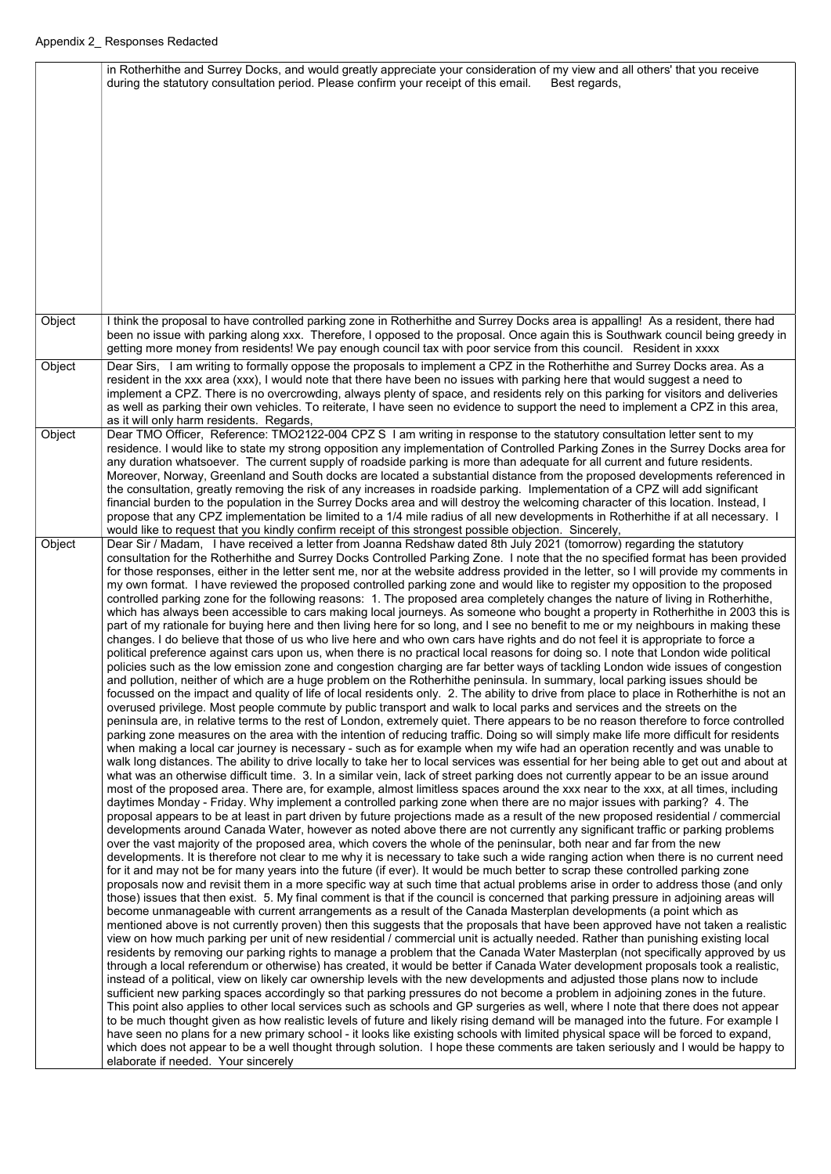|        | in Rotherhithe and Surrey Docks, and would greatly appreciate your consideration of my view and all others' that you receive<br>during the statutory consultation period. Please confirm your receipt of this email.<br>Best regards,                                                                                                                                                                                                                                                                                                                                                                                                                                                                                                                                                                                                                                                                                                                                                                                                                                                                                                                                                                                                                                                                                                                                                                                                                                                                                                                                                                                                                                                                                                                                                                                                                                                                                                                                                                                                                                                                                                                                                                                                                                                                                                                                                                                                                                                                                                                                                                                                                                                                                                                                                                                                                                                                                                                                                                                                                                                                                                                                                                                                                                                                                                                                                                                                                                                                                                          |
|--------|------------------------------------------------------------------------------------------------------------------------------------------------------------------------------------------------------------------------------------------------------------------------------------------------------------------------------------------------------------------------------------------------------------------------------------------------------------------------------------------------------------------------------------------------------------------------------------------------------------------------------------------------------------------------------------------------------------------------------------------------------------------------------------------------------------------------------------------------------------------------------------------------------------------------------------------------------------------------------------------------------------------------------------------------------------------------------------------------------------------------------------------------------------------------------------------------------------------------------------------------------------------------------------------------------------------------------------------------------------------------------------------------------------------------------------------------------------------------------------------------------------------------------------------------------------------------------------------------------------------------------------------------------------------------------------------------------------------------------------------------------------------------------------------------------------------------------------------------------------------------------------------------------------------------------------------------------------------------------------------------------------------------------------------------------------------------------------------------------------------------------------------------------------------------------------------------------------------------------------------------------------------------------------------------------------------------------------------------------------------------------------------------------------------------------------------------------------------------------------------------------------------------------------------------------------------------------------------------------------------------------------------------------------------------------------------------------------------------------------------------------------------------------------------------------------------------------------------------------------------------------------------------------------------------------------------------------------------------------------------------------------------------------------------------------------------------------------------------------------------------------------------------------------------------------------------------------------------------------------------------------------------------------------------------------------------------------------------------------------------------------------------------------------------------------------------------------------------------------------------------------------------------------------------------|
|        |                                                                                                                                                                                                                                                                                                                                                                                                                                                                                                                                                                                                                                                                                                                                                                                                                                                                                                                                                                                                                                                                                                                                                                                                                                                                                                                                                                                                                                                                                                                                                                                                                                                                                                                                                                                                                                                                                                                                                                                                                                                                                                                                                                                                                                                                                                                                                                                                                                                                                                                                                                                                                                                                                                                                                                                                                                                                                                                                                                                                                                                                                                                                                                                                                                                                                                                                                                                                                                                                                                                                                |
|        |                                                                                                                                                                                                                                                                                                                                                                                                                                                                                                                                                                                                                                                                                                                                                                                                                                                                                                                                                                                                                                                                                                                                                                                                                                                                                                                                                                                                                                                                                                                                                                                                                                                                                                                                                                                                                                                                                                                                                                                                                                                                                                                                                                                                                                                                                                                                                                                                                                                                                                                                                                                                                                                                                                                                                                                                                                                                                                                                                                                                                                                                                                                                                                                                                                                                                                                                                                                                                                                                                                                                                |
|        |                                                                                                                                                                                                                                                                                                                                                                                                                                                                                                                                                                                                                                                                                                                                                                                                                                                                                                                                                                                                                                                                                                                                                                                                                                                                                                                                                                                                                                                                                                                                                                                                                                                                                                                                                                                                                                                                                                                                                                                                                                                                                                                                                                                                                                                                                                                                                                                                                                                                                                                                                                                                                                                                                                                                                                                                                                                                                                                                                                                                                                                                                                                                                                                                                                                                                                                                                                                                                                                                                                                                                |
| Object | I think the proposal to have controlled parking zone in Rotherhithe and Surrey Docks area is appalling! As a resident, there had<br>been no issue with parking along xxx. Therefore, I opposed to the proposal. Once again this is Southwark council being greedy in<br>getting more money from residents! We pay enough council tax with poor service from this council. Resident in xxxx                                                                                                                                                                                                                                                                                                                                                                                                                                                                                                                                                                                                                                                                                                                                                                                                                                                                                                                                                                                                                                                                                                                                                                                                                                                                                                                                                                                                                                                                                                                                                                                                                                                                                                                                                                                                                                                                                                                                                                                                                                                                                                                                                                                                                                                                                                                                                                                                                                                                                                                                                                                                                                                                                                                                                                                                                                                                                                                                                                                                                                                                                                                                                     |
| Object | Dear Sirs, I am writing to formally oppose the proposals to implement a CPZ in the Rotherhithe and Surrey Docks area. As a<br>resident in the xxx area (xxx), I would note that there have been no issues with parking here that would suggest a need to<br>implement a CPZ. There is no overcrowding, always plenty of space, and residents rely on this parking for visitors and deliveries<br>as well as parking their own vehicles. To reiterate, I have seen no evidence to support the need to implement a CPZ in this area,<br>as it will only harm residents. Regards,                                                                                                                                                                                                                                                                                                                                                                                                                                                                                                                                                                                                                                                                                                                                                                                                                                                                                                                                                                                                                                                                                                                                                                                                                                                                                                                                                                                                                                                                                                                                                                                                                                                                                                                                                                                                                                                                                                                                                                                                                                                                                                                                                                                                                                                                                                                                                                                                                                                                                                                                                                                                                                                                                                                                                                                                                                                                                                                                                                 |
| Object | Dear TMO Officer, Reference: TMO2122-004 CPZ S I am writing in response to the statutory consultation letter sent to my<br>residence. I would like to state my strong opposition any implementation of Controlled Parking Zones in the Surrey Docks area for<br>any duration whatsoever. The current supply of roadside parking is more than adequate for all current and future residents.<br>Moreover, Norway, Greenland and South docks are located a substantial distance from the proposed developments referenced in<br>the consultation, greatly removing the risk of any increases in roadside parking. Implementation of a CPZ will add significant<br>financial burden to the population in the Surrey Docks area and will destroy the welcoming character of this location. Instead, I<br>propose that any CPZ implementation be limited to a 1/4 mile radius of all new developments in Rotherhithe if at all necessary. I<br>would like to request that you kindly confirm receipt of this strongest possible objection. Sincerely,                                                                                                                                                                                                                                                                                                                                                                                                                                                                                                                                                                                                                                                                                                                                                                                                                                                                                                                                                                                                                                                                                                                                                                                                                                                                                                                                                                                                                                                                                                                                                                                                                                                                                                                                                                                                                                                                                                                                                                                                                                                                                                                                                                                                                                                                                                                                                                                                                                                                                               |
| Object | Dear Sir / Madam, I have received a letter from Joanna Redshaw dated 8th July 2021 (tomorrow) regarding the statutory<br>consultation for the Rotherhithe and Surrey Docks Controlled Parking Zone. I note that the no specified format has been provided<br>for those responses, either in the letter sent me, nor at the website address provided in the letter, so I will provide my comments in<br>my own format. I have reviewed the proposed controlled parking zone and would like to register my opposition to the proposed<br>controlled parking zone for the following reasons: 1. The proposed area completely changes the nature of living in Rotherhithe,<br>which has always been accessible to cars making local journeys. As someone who bought a property in Rotherhithe in 2003 this is<br>part of my rationale for buying here and then living here for so long, and I see no benefit to me or my neighbours in making these<br>changes. I do believe that those of us who live here and who own cars have rights and do not feel it is appropriate to force a<br>political preference against cars upon us, when there is no practical local reasons for doing so. I note that London wide political<br>policies such as the low emission zone and congestion charging are far better ways of tackling London wide issues of congestion<br>and pollution, neither of which are a huge problem on the Rotherhithe peninsula. In summary, local parking issues should be<br>focussed on the impact and quality of life of local residents only. 2. The ability to drive from place to place in Rotherhithe is not an<br>overused privilege. Most people commute by public transport and walk to local parks and services and the streets on the<br>peninsula are, in relative terms to the rest of London, extremely quiet. There appears to be no reason therefore to force controlled<br>parking zone measures on the area with the intention of reducing traffic. Doing so will simply make life more difficult for residents<br>when making a local car journey is necessary - such as for example when my wife had an operation recently and was unable to<br>walk long distances. The ability to drive locally to take her to local services was essential for her being able to get out and about at<br>what was an otherwise difficult time. 3. In a similar vein, lack of street parking does not currently appear to be an issue around<br>most of the proposed area. There are, for example, almost limitless spaces around the xxx near to the xxx, at all times, including<br>daytimes Monday - Friday. Why implement a controlled parking zone when there are no major issues with parking? 4. The<br>proposal appears to be at least in part driven by future projections made as a result of the new proposed residential / commercial<br>developments around Canada Water, however as noted above there are not currently any significant traffic or parking problems<br>over the vast majority of the proposed area, which covers the whole of the peninsular, both near and far from the new<br>developments. It is therefore not clear to me why it is necessary to take such a wide ranging action when there is no current need<br>for it and may not be for many years into the future (if ever). It would be much better to scrap these controlled parking zone<br>proposals now and revisit them in a more specific way at such time that actual problems arise in order to address those (and only |

those) issues that then exist. 5. My final comment is that if the council is concerned that parking pressure in adjoining areas will become unmanageable with current arrangements as a result of the Canada Masterplan developments (a point which as mentioned above is not currently proven) then this suggests that the proposals that have been approved have not taken a realistic view on how much parking per unit of new residential / commercial unit is actually needed. Rather than punishing existing local residents by removing our parking rights to manage a problem that the Canada Water Masterplan (not specifically approved by us through a local referendum or otherwise) has created, it would be better if Canada Water development proposals took a realistic, instead of a political, view on likely car ownership levels with the new developments and adjusted those plans now to include sufficient new parking spaces accordingly so that parking pressures do not become a problem in adjoining zones in the future. This point also applies to other local services such as schools and GP surgeries as well, where I note that there does not appear to be much thought given as how realistic levels of future and likely rising demand will be managed into the future. For example I have seen no plans for a new primary school - it looks like existing schools with limited physical space will be forced to expand, which does not appear to be a well thought through solution. I hope these comments are taken seriously and I would be happy to elaborate if needed. Your sincerely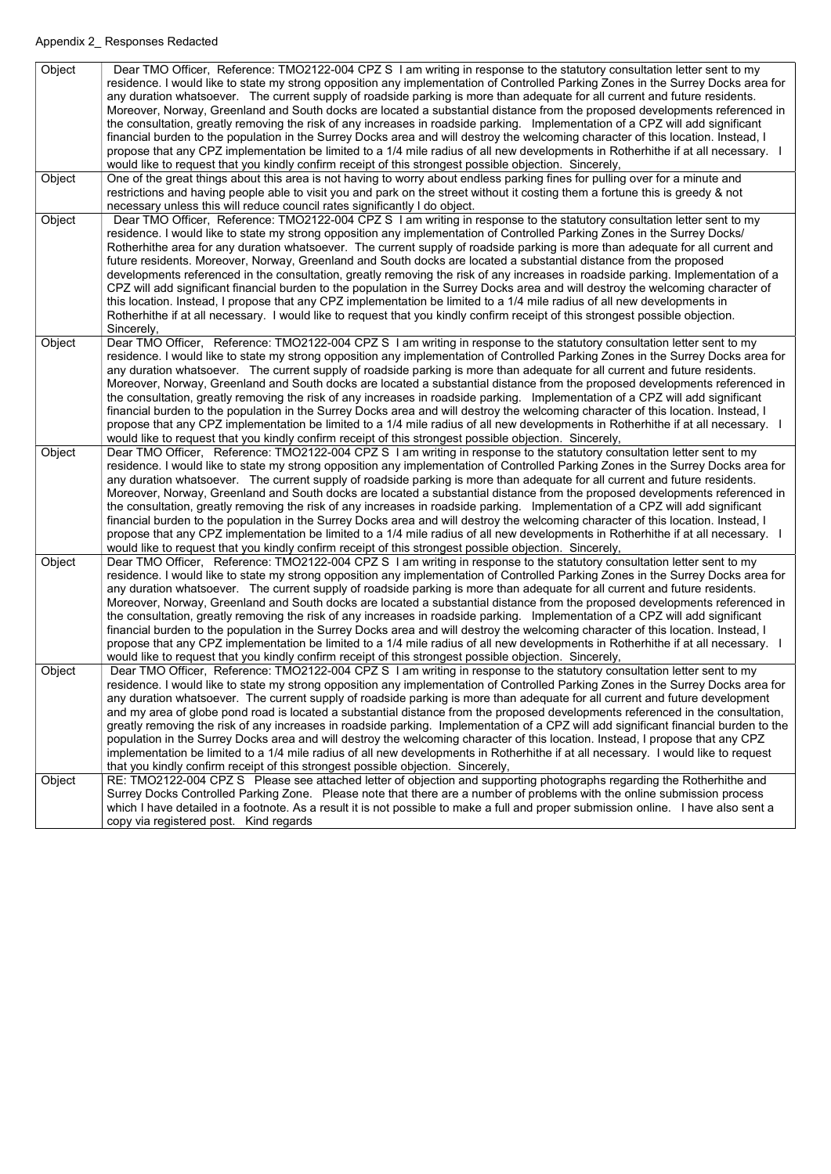| Object | Dear TMO Officer, Reference: TMO2122-004 CPZ S I am writing in response to the statutory consultation letter sent to my<br>residence. I would like to state my strong opposition any implementation of Controlled Parking Zones in the Surrey Docks area for         |
|--------|----------------------------------------------------------------------------------------------------------------------------------------------------------------------------------------------------------------------------------------------------------------------|
|        | any duration whatsoever. The current supply of roadside parking is more than adequate for all current and future residents.<br>Moreover, Norway, Greenland and South docks are located a substantial distance from the proposed developments referenced in           |
|        | the consultation, greatly removing the risk of any increases in roadside parking. Implementation of a CPZ will add significant                                                                                                                                       |
|        | financial burden to the population in the Surrey Docks area and will destroy the welcoming character of this location. Instead, I                                                                                                                                    |
|        | propose that any CPZ implementation be limited to a 1/4 mile radius of all new developments in Rotherhithe if at all necessary. I                                                                                                                                    |
|        | would like to request that you kindly confirm receipt of this strongest possible objection. Sincerely,                                                                                                                                                               |
| Object | One of the great things about this area is not having to worry about endless parking fines for pulling over for a minute and                                                                                                                                         |
|        | restrictions and having people able to visit you and park on the street without it costing them a fortune this is greedy & not                                                                                                                                       |
|        | necessary unless this will reduce council rates significantly I do object.                                                                                                                                                                                           |
| Object | Dear TMO Officer, Reference: TMO2122-004 CPZ S I am writing in response to the statutory consultation letter sent to my                                                                                                                                              |
|        | residence. I would like to state my strong opposition any implementation of Controlled Parking Zones in the Surrey Docks/                                                                                                                                            |
|        | Rotherhithe area for any duration whatsoever. The current supply of roadside parking is more than adequate for all current and                                                                                                                                       |
|        | future residents. Moreover, Norway, Greenland and South docks are located a substantial distance from the proposed                                                                                                                                                   |
|        | developments referenced in the consultation, greatly removing the risk of any increases in roadside parking. Implementation of a<br>CPZ will add significant financial burden to the population in the Surrey Docks area and will destroy the welcoming character of |
|        | this location. Instead, I propose that any CPZ implementation be limited to a 1/4 mile radius of all new developments in                                                                                                                                             |
|        | Rotherhithe if at all necessary. I would like to request that you kindly confirm receipt of this strongest possible objection.                                                                                                                                       |
|        | Sincerely,                                                                                                                                                                                                                                                           |
| Object | Dear TMO Officer, Reference: TMO2122-004 CPZ S I am writing in response to the statutory consultation letter sent to my                                                                                                                                              |
|        | residence. I would like to state my strong opposition any implementation of Controlled Parking Zones in the Surrey Docks area for                                                                                                                                    |
|        | any duration whatsoever. The current supply of roadside parking is more than adequate for all current and future residents.                                                                                                                                          |
|        | Moreover, Norway, Greenland and South docks are located a substantial distance from the proposed developments referenced in                                                                                                                                          |
|        | the consultation, greatly removing the risk of any increases in roadside parking. Implementation of a CPZ will add significant                                                                                                                                       |
|        | financial burden to the population in the Surrey Docks area and will destroy the welcoming character of this location. Instead, I                                                                                                                                    |
|        | propose that any CPZ implementation be limited to a 1/4 mile radius of all new developments in Rotherhithe if at all necessary. I                                                                                                                                    |
|        | would like to request that you kindly confirm receipt of this strongest possible objection. Sincerely,                                                                                                                                                               |
| Object | Dear TMO Officer, Reference: TMO2122-004 CPZ S I am writing in response to the statutory consultation letter sent to my                                                                                                                                              |
|        | residence. I would like to state my strong opposition any implementation of Controlled Parking Zones in the Surrey Docks area for                                                                                                                                    |
|        | any duration whatsoever. The current supply of roadside parking is more than adequate for all current and future residents.                                                                                                                                          |
|        | Moreover, Norway, Greenland and South docks are located a substantial distance from the proposed developments referenced in<br>the consultation, greatly removing the risk of any increases in roadside parking. Implementation of a CPZ will add significant        |
|        | financial burden to the population in the Surrey Docks area and will destroy the welcoming character of this location. Instead, I                                                                                                                                    |
|        | propose that any CPZ implementation be limited to a 1/4 mile radius of all new developments in Rotherhithe if at all necessary. I                                                                                                                                    |
|        | would like to request that you kindly confirm receipt of this strongest possible objection. Sincerely,                                                                                                                                                               |
| Object | Dear TMO Officer, Reference: TMO2122-004 CPZ S I am writing in response to the statutory consultation letter sent to my                                                                                                                                              |
|        | residence. I would like to state my strong opposition any implementation of Controlled Parking Zones in the Surrey Docks area for                                                                                                                                    |
|        | any duration whatsoever. The current supply of roadside parking is more than adequate for all current and future residents.                                                                                                                                          |
|        | Moreover, Norway, Greenland and South docks are located a substantial distance from the proposed developments referenced in                                                                                                                                          |
|        | the consultation, greatly removing the risk of any increases in roadside parking. Implementation of a CPZ will add significant                                                                                                                                       |
|        | financial burden to the population in the Surrey Docks area and will destroy the welcoming character of this location. Instead, I                                                                                                                                    |
|        | propose that any CPZ implementation be limited to a 1/4 mile radius of all new developments in Rotherhithe if at all necessary. I                                                                                                                                    |
|        | would like to request that you kindly confirm receipt of this strongest possible objection. Sincerely,                                                                                                                                                               |
| Object | Dear TMO Officer, Reference: TMO2122-004 CPZ S I am writing in response to the statutory consultation letter sent to my                                                                                                                                              |
|        | residence. I would like to state my strong opposition any implementation of Controlled Parking Zones in the Surrey Docks area for                                                                                                                                    |
|        | any duration whatsoever. The current supply of roadside parking is more than adequate for all current and future development<br>and my area of globe pond road is located a substantial distance from the proposed developments referenced in the consultation,      |
|        | greatly removing the risk of any increases in roadside parking. Implementation of a CPZ will add significant financial burden to the                                                                                                                                 |
|        | population in the Surrey Docks area and will destroy the welcoming character of this location. Instead, I propose that any CPZ                                                                                                                                       |
|        | implementation be limited to a 1/4 mile radius of all new developments in Rotherhithe if at all necessary. I would like to request                                                                                                                                   |
|        | that you kindly confirm receipt of this strongest possible objection. Sincerely,                                                                                                                                                                                     |
| Object | RE: TMO2122-004 CPZ S Please see attached letter of objection and supporting photographs regarding the Rotherhithe and                                                                                                                                               |
|        | Surrey Docks Controlled Parking Zone. Please note that there are a number of problems with the online submission process                                                                                                                                             |
|        | which I have detailed in a footnote. As a result it is not possible to make a full and proper submission online. I have also sent a                                                                                                                                  |
|        | copy via registered post. Kind regards                                                                                                                                                                                                                               |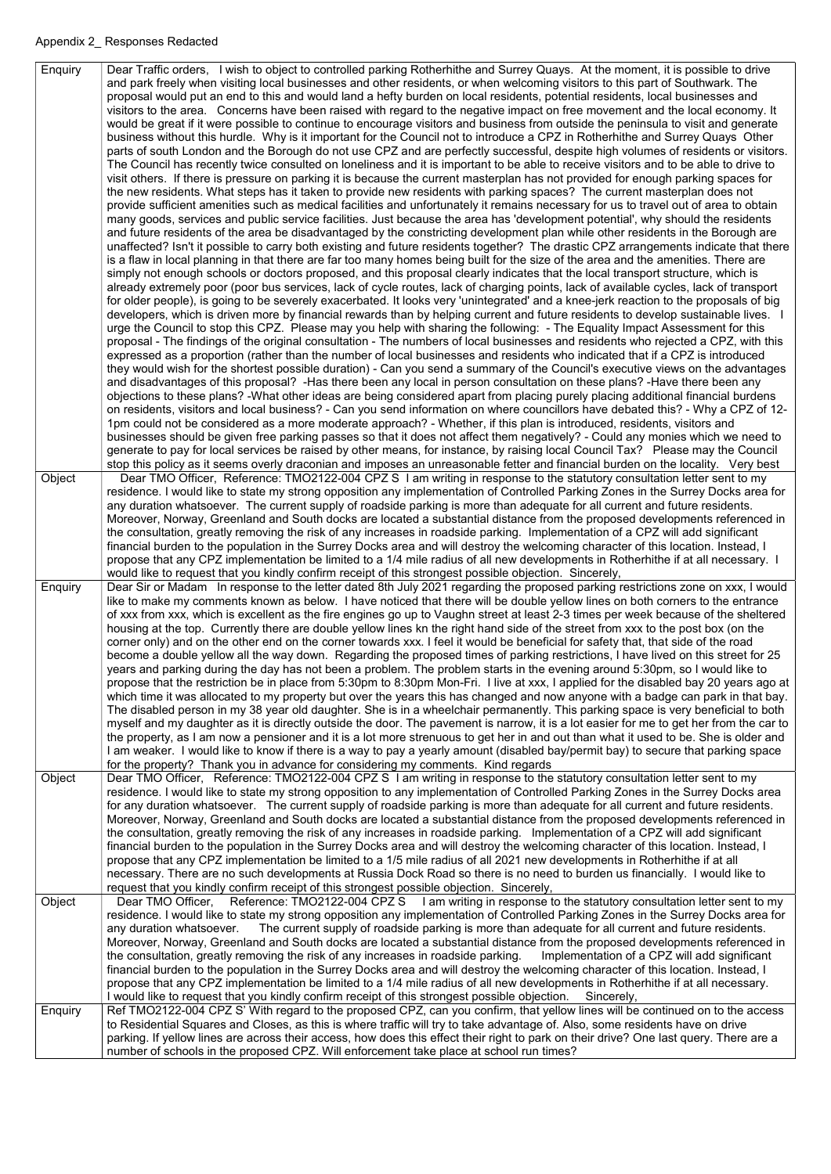Enquiry | Dear Traffic orders, I wish to object to controlled parking Rotherhithe and Surrey Quays. At the moment, it is possible to drive and park freely when visiting local businesses and other residents, or when welcoming visitors to this part of Southwark. The proposal would put an end to this and would land a hefty burden on local residents, potential residents, local businesses and visitors to the area. Concerns have been raised with regard to the negative impact on free movement and the local economy. It would be great if it were possible to continue to encourage visitors and business from outside the peninsula to visit and generate business without this hurdle. Why is it important for the Council not to introduce a CPZ in Rotherhithe and Surrey Quays Other parts of south London and the Borough do not use CPZ and are perfectly successful, despite high volumes of residents or visitors. The Council has recently twice consulted on loneliness and it is important to be able to receive visitors and to be able to drive to visit others. If there is pressure on parking it is because the current masterplan has not provided for enough parking spaces for the new residents. What steps has it taken to provide new residents with parking spaces? The current masterplan does not provide sufficient amenities such as medical facilities and unfortunately it remains necessary for us to travel out of area to obtain many goods, services and public service facilities. Just because the area has 'development potential', why should the residents and future residents of the area be disadvantaged by the constricting development plan while other residents in the Borough are unaffected? Isn't it possible to carry both existing and future residents together? The drastic CPZ arrangements indicate that there is a flaw in local planning in that there are far too many homes being built for the size of the area and the amenities. There are simply not enough schools or doctors proposed, and this proposal clearly indicates that the local transport structure, which is already extremely poor (poor bus services, lack of cycle routes, lack of charging points, lack of available cycles, lack of transport for older people), is going to be severely exacerbated. It looks very 'unintegrated' and a knee-jerk reaction to the proposals of big developers, which is driven more by financial rewards than by helping current and future residents to develop sustainable lives. I urge the Council to stop this CPZ. Please may you help with sharing the following: - The Equality Impact Assessment for this proposal - The findings of the original consultation - The numbers of local businesses and residents who rejected a CPZ, with this expressed as a proportion (rather than the number of local businesses and residents who indicated that if a CPZ is introduced they would wish for the shortest possible duration) - Can you send a summary of the Council's executive views on the advantages and disadvantages of this proposal? -Has there been any local in person consultation on these plans? -Have there been any objections to these plans? -What other ideas are being considered apart from placing purely placing additional financial burdens on residents, visitors and local business? - Can you send information on where councillors have debated this? - Why a CPZ of 12- 1pm could not be considered as a more moderate approach? - Whether, if this plan is introduced, residents, visitors and businesses should be given free parking passes so that it does not affect them negatively? - Could any monies which we need to generate to pay for local services be raised by other means, for instance, by raising local Council Tax? Please may the Council stop this policy as it seems overly draconian and imposes an unreasonable fetter and financial burden on the locality. Very best Object | Dear TMO Officer, Reference: TMO2122-004 CPZ S I am writing in response to the statutory consultation letter sent to my residence. I would like to state my strong opposition any implementation of Controlled Parking Zones in the Surrey Docks area for any duration whatsoever. The current supply of roadside parking is more than adequate for all current and future residents. Moreover, Norway, Greenland and South docks are located a substantial distance from the proposed developments referenced in the consultation, greatly removing the risk of any increases in roadside parking. Implementation of a CPZ will add significant financial burden to the population in the Surrey Docks area and will destroy the welcoming character of this location. Instead, I propose that any CPZ implementation be limited to a 1/4 mile radius of all new developments in Rotherhithe if at all necessary. I would like to request that you kindly confirm receipt of this strongest possible objection. Sincerely, Enquiry | Dear Sir or Madam In response to the letter dated 8th July 2021 regarding the proposed parking restrictions zone on xxx, I would like to make my comments known as below. I have noticed that there will be double yellow lines on both corners to the entrance of xxx from xxx, which is excellent as the fire engines go up to Vaughn street at least 2-3 times per week because of the sheltered housing at the top. Currently there are double yellow lines kn the right hand side of the street from xxx to the post box (on the corner only) and on the other end on the corner towards xxx. I feel it would be beneficial for safety that, that side of the road become a double yellow all the way down. Regarding the proposed times of parking restrictions, I have lived on this street for 25 years and parking during the day has not been a problem. The problem starts in the evening around 5:30pm, so I would like to propose that the restriction be in place from 5:30pm to 8:30pm Mon-Fri. I live at xxx, I applied for the disabled bay 20 years ago at which time it was allocated to my property but over the years this has changed and now anyone with a badge can park in that bay. The disabled person in my 38 year old daughter. She is in a wheelchair permanently. This parking space is very beneficial to both myself and my daughter as it is directly outside the door. The pavement is narrow, it is a lot easier for me to get her from the car to the property, as I am now a pensioner and it is a lot more strenuous to get her in and out than what it used to be. She is older and I am weaker. I would like to know if there is a way to pay a yearly amount (disabled bay/permit bay) to secure that parking space for the property? Thank you in advance for considering my comments. Kind regards Object | Dear TMO Officer, Reference: TMO2122-004 CPZ S I am writing in response to the statutory consultation letter sent to my residence. I would like to state my strong opposition to any implementation of Controlled Parking Zones in the Surrey Docks area for any duration whatsoever. The current supply of roadside parking is more than adequate for all current and future residents. Moreover, Norway, Greenland and South docks are located a substantial distance from the proposed developments referenced in the consultation, greatly removing the risk of any increases in roadside parking. Implementation of a CPZ will add significant financial burden to the population in the Surrey Docks area and will destroy the welcoming character of this location. Instead, I propose that any CPZ implementation be limited to a 1/5 mile radius of all 2021 new developments in Rotherhithe if at all necessary. There are no such developments at Russia Dock Road so there is no need to burden us financially. I would like to

|         | request that you kindly confirm receipt of this strongest possible objection. Sincerely,                                               |
|---------|----------------------------------------------------------------------------------------------------------------------------------------|
| Object  | Dear TMO Officer, Reference: TMO2122-004 CPZ S I am writing in response to the statutory consultation letter sent to my                |
|         | residence. I would like to state my strong opposition any implementation of Controlled Parking Zones in the Surrey Docks area for      |
|         | any duration whatsoever. The current supply of roadside parking is more than adequate for all current and future residents.            |
|         | Moreover, Norway, Greenland and South docks are located a substantial distance from the proposed developments referenced in            |
|         | the consultation, greatly removing the risk of any increases in roadside parking. Implementation of a CPZ will add significant         |
|         | financial burden to the population in the Surrey Docks area and will destroy the welcoming character of this location. Instead, I      |
|         | propose that any CPZ implementation be limited to a 1/4 mile radius of all new developments in Rotherhithe if at all necessary.        |
|         | I would like to request that you kindly confirm receipt of this strongest possible objection. Sincerely,                               |
| Enquiry | Ref TMO2122-004 CPZ S' With regard to the proposed CPZ, can you confirm, that yellow lines will be continued on to the access          |
|         | to Residential Squares and Closes, as this is where traffic will try to take advantage of. Also, some residents have on drive          |
|         | parking. If yellow lines are across their access, how does this effect their right to park on their drive? One last query. There are a |
|         | number of schools in the proposed CPZ. Will enforcement take place at school run times?                                                |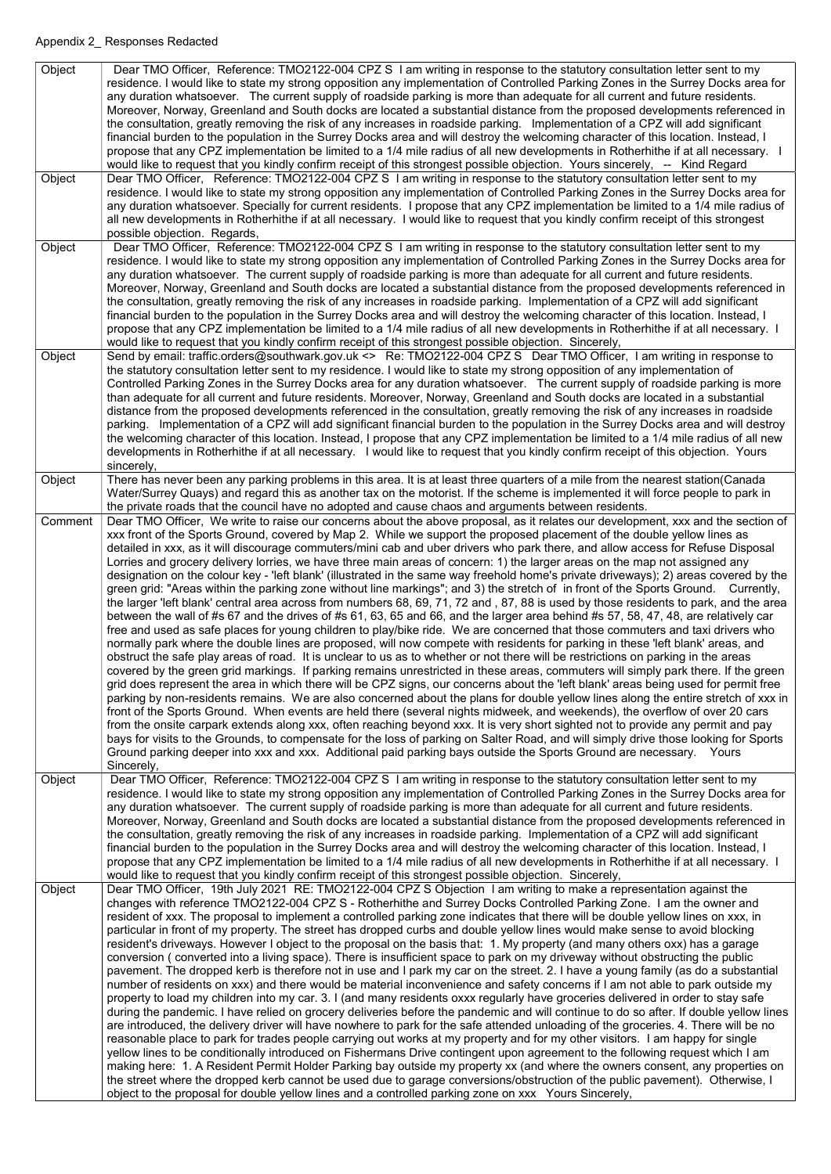| Object  | Dear TMO Officer, Reference: TMO2122-004 CPZ S I am writing in response to the statutory consultation letter sent to my<br>residence. I would like to state my strong opposition any implementation of Controlled Parking Zones in the Surrey Docks area for<br>any duration whatsoever. The current supply of roadside parking is more than adequate for all current and future residents.<br>Moreover, Norway, Greenland and South docks are located a substantial distance from the proposed developments referenced in<br>the consultation, greatly removing the risk of any increases in roadside parking. Implementation of a CPZ will add significant<br>financial burden to the population in the Surrey Docks area and will destroy the welcoming character of this location. Instead, I<br>propose that any CPZ implementation be limited to a 1/4 mile radius of all new developments in Rotherhithe if at all necessary. I<br>would like to request that you kindly confirm receipt of this strongest possible objection. Yours sincerely, -- Kind Regard                                                                                                                                                                                                                                                                                                                                                                                                                                                                                                                                                                                                                                                                                                                                                                                                                                                                                                                                                                                                                                                                                                                                                                                                                                                                                                                                                                                                 |
|---------|-----------------------------------------------------------------------------------------------------------------------------------------------------------------------------------------------------------------------------------------------------------------------------------------------------------------------------------------------------------------------------------------------------------------------------------------------------------------------------------------------------------------------------------------------------------------------------------------------------------------------------------------------------------------------------------------------------------------------------------------------------------------------------------------------------------------------------------------------------------------------------------------------------------------------------------------------------------------------------------------------------------------------------------------------------------------------------------------------------------------------------------------------------------------------------------------------------------------------------------------------------------------------------------------------------------------------------------------------------------------------------------------------------------------------------------------------------------------------------------------------------------------------------------------------------------------------------------------------------------------------------------------------------------------------------------------------------------------------------------------------------------------------------------------------------------------------------------------------------------------------------------------------------------------------------------------------------------------------------------------------------------------------------------------------------------------------------------------------------------------------------------------------------------------------------------------------------------------------------------------------------------------------------------------------------------------------------------------------------------------------------------------------------------------------------------------------------------------------|
| Object  | Dear TMO Officer, Reference: TMO2122-004 CPZ S I am writing in response to the statutory consultation letter sent to my<br>residence. I would like to state my strong opposition any implementation of Controlled Parking Zones in the Surrey Docks area for<br>any duration whatsoever. Specially for current residents. I propose that any CPZ implementation be limited to a 1/4 mile radius of<br>all new developments in Rotherhithe if at all necessary. I would like to request that you kindly confirm receipt of this strongest<br>possible objection. Regards,                                                                                                                                                                                                                                                                                                                                                                                                                                                                                                                                                                                                                                                                                                                                                                                                                                                                                                                                                                                                                                                                                                                                                                                                                                                                                                                                                                                                                                                                                                                                                                                                                                                                                                                                                                                                                                                                                              |
| Object  | Dear TMO Officer, Reference: TMO2122-004 CPZ S I am writing in response to the statutory consultation letter sent to my<br>residence. I would like to state my strong opposition any implementation of Controlled Parking Zones in the Surrey Docks area for<br>any duration whatsoever. The current supply of roadside parking is more than adequate for all current and future residents.<br>Moreover, Norway, Greenland and South docks are located a substantial distance from the proposed developments referenced in<br>the consultation, greatly removing the risk of any increases in roadside parking. Implementation of a CPZ will add significant<br>financial burden to the population in the Surrey Docks area and will destroy the welcoming character of this location. Instead, I<br>propose that any CPZ implementation be limited to a 1/4 mile radius of all new developments in Rotherhithe if at all necessary. I<br>would like to request that you kindly confirm receipt of this strongest possible objection. Sincerely,                                                                                                                                                                                                                                                                                                                                                                                                                                                                                                                                                                                                                                                                                                                                                                                                                                                                                                                                                                                                                                                                                                                                                                                                                                                                                                                                                                                                                      |
| Object  | Send by email: traffic.orders@southwark.gov.uk <> Re: TMO2122-004 CPZ S Dear TMO Officer, I am writing in response to<br>the statutory consultation letter sent to my residence. I would like to state my strong opposition of any implementation of<br>Controlled Parking Zones in the Surrey Docks area for any duration whatsoever. The current supply of roadside parking is more<br>than adequate for all current and future residents. Moreover, Norway, Greenland and South docks are located in a substantial<br>distance from the proposed developments referenced in the consultation, greatly removing the risk of any increases in roadside<br>parking. Implementation of a CPZ will add significant financial burden to the population in the Surrey Docks area and will destroy<br>the welcoming character of this location. Instead, I propose that any CPZ implementation be limited to a 1/4 mile radius of all new<br>developments in Rotherhithe if at all necessary. I would like to request that you kindly confirm receipt of this objection. Yours<br>sincerely,                                                                                                                                                                                                                                                                                                                                                                                                                                                                                                                                                                                                                                                                                                                                                                                                                                                                                                                                                                                                                                                                                                                                                                                                                                                                                                                                                                               |
| Object  | There has never been any parking problems in this area. It is at least three quarters of a mile from the nearest station(Canada<br>Water/Surrey Quays) and regard this as another tax on the motorist. If the scheme is implemented it will force people to park in<br>the private roads that the council have no adopted and cause chaos and arguments between residents.                                                                                                                                                                                                                                                                                                                                                                                                                                                                                                                                                                                                                                                                                                                                                                                                                                                                                                                                                                                                                                                                                                                                                                                                                                                                                                                                                                                                                                                                                                                                                                                                                                                                                                                                                                                                                                                                                                                                                                                                                                                                                            |
| Comment | Dear TMO Officer, We write to raise our concerns about the above proposal, as it relates our development, xxx and the section of<br>xxx front of the Sports Ground, covered by Map 2. While we support the proposed placement of the double yellow lines as<br>detailed in xxx, as it will discourage commuters/mini cab and uber drivers who park there, and allow access for Refuse Disposal<br>Lorries and grocery delivery lorries, we have three main areas of concern: 1) the larger areas on the map not assigned any<br>designation on the colour key - 'left blank' (illustrated in the same way freehold home's private driveways); 2) areas covered by the<br>green grid: "Areas within the parking zone without line markings"; and 3) the stretch of in front of the Sports Ground. Currently,<br>the larger 'left blank' central area across from numbers 68, 69, 71, 72 and, 87, 88 is used by those residents to park, and the area<br>between the wall of #s 67 and the drives of #s 61, 63, 65 and 66, and the larger area behind #s 57, 58, 47, 48, are relatively car<br>free and used as safe places for young children to play/bike ride. We are concerned that those commuters and taxi drivers who<br>normally park where the double lines are proposed, will now compete with residents for parking in these 'left blank' areas, and<br>obstruct the safe play areas of road. It is unclear to us as to whether or not there will be restrictions on parking in the areas<br>covered by the green grid markings. If parking remains unrestricted in these areas, commuters will simply park there. If the green<br>grid does represent the area in which there will be CPZ signs, our concerns about the 'left blank' areas being used for permit free<br>parking by non-residents remains. We are also concerned about the plans for double yellow lines along the entire stretch of xxx in<br>front of the Sports Ground. When events are held there (several nights midweek, and weekends), the overflow of over 20 cars<br>from the onsite carpark extends along xxx, often reaching beyond xxx. It is very short sighted not to provide any permit and pay<br>bays for visits to the Grounds, to compensate for the loss of parking on Salter Road, and will simply drive those looking for Sports<br>Ground parking deeper into xxx and xxx. Additional paid parking bays outside the Sports Ground are necessary. Yours<br>Sincerely, |
| Object  | Dear TMO Officer, Reference: TMO2122-004 CPZ S I am writing in response to the statutory consultation letter sent to my<br>residence. I would like to state my strong opposition any implementation of Controlled Parking Zones in the Surrey Docks area for<br>any duration whatsoever. The current supply of roadside parking is more than adequate for all current and future residents.<br>Moreover, Norway, Greenland and South docks are located a substantial distance from the proposed developments referenced in<br>the consultation, greatly removing the risk of any increases in roadside parking. Implementation of a CPZ will add significant<br>financial burden to the population in the Surrey Docks area and will destroy the welcoming character of this location. Instead, I                                                                                                                                                                                                                                                                                                                                                                                                                                                                                                                                                                                                                                                                                                                                                                                                                                                                                                                                                                                                                                                                                                                                                                                                                                                                                                                                                                                                                                                                                                                                                                                                                                                                     |
|         | propose that any CPZ implementation be limited to a 1/4 mile radius of all new developments in Rotherhithe if at all necessary. I<br>would like to request that you kindly confirm receipt of this strongest possible objection. Sincerely,                                                                                                                                                                                                                                                                                                                                                                                                                                                                                                                                                                                                                                                                                                                                                                                                                                                                                                                                                                                                                                                                                                                                                                                                                                                                                                                                                                                                                                                                                                                                                                                                                                                                                                                                                                                                                                                                                                                                                                                                                                                                                                                                                                                                                           |

Object | Dear TMO Officer, 19th July 2021 RE: TMO2122-004 CPZ S Objection I am writing to make a representation against the changes with reference TMO2122-004 CPZ S - Rotherhithe and Surrey Docks Controlled Parking Zone. I am the owner and resident of xxx. The proposal to implement a controlled parking zone indicates that there will be double yellow lines on xxx, in particular in front of my property. The street has dropped curbs and double yellow lines would make sense to avoid blocking resident's driveways. However I object to the proposal on the basis that: 1. My property (and many others oxx) has a garage conversion ( converted into a living space). There is insufficient space to park on my driveway without obstructing the public pavement. The dropped kerb is therefore not in use and I park my car on the street. 2. I have a young family (as do a substantial number of residents on xxx) and there would be material inconvenience and safety concerns if I am not able to park outside my property to load my children into my car. 3. I (and many residents oxxx regularly have groceries delivered in order to stay safe during the pandemic. I have relied on grocery deliveries before the pandemic and will continue to do so after. If double yellow lines are introduced, the delivery driver will have nowhere to park for the safe attended unloading of the groceries. 4. There will be no reasonable place to park for trades people carrying out works at my property and for my other visitors. I am happy for single yellow lines to be conditionally introduced on Fishermans Drive contingent upon agreement to the following request which I am making here: 1. A Resident Permit Holder Parking bay outside my property xx (and where the owners consent, any properties on the street where the dropped kerb cannot be used due to garage conversions/obstruction of the public pavement). Otherwise, I object to the proposal for double yellow lines and a controlled parking zone on xxx Yours Sincerely,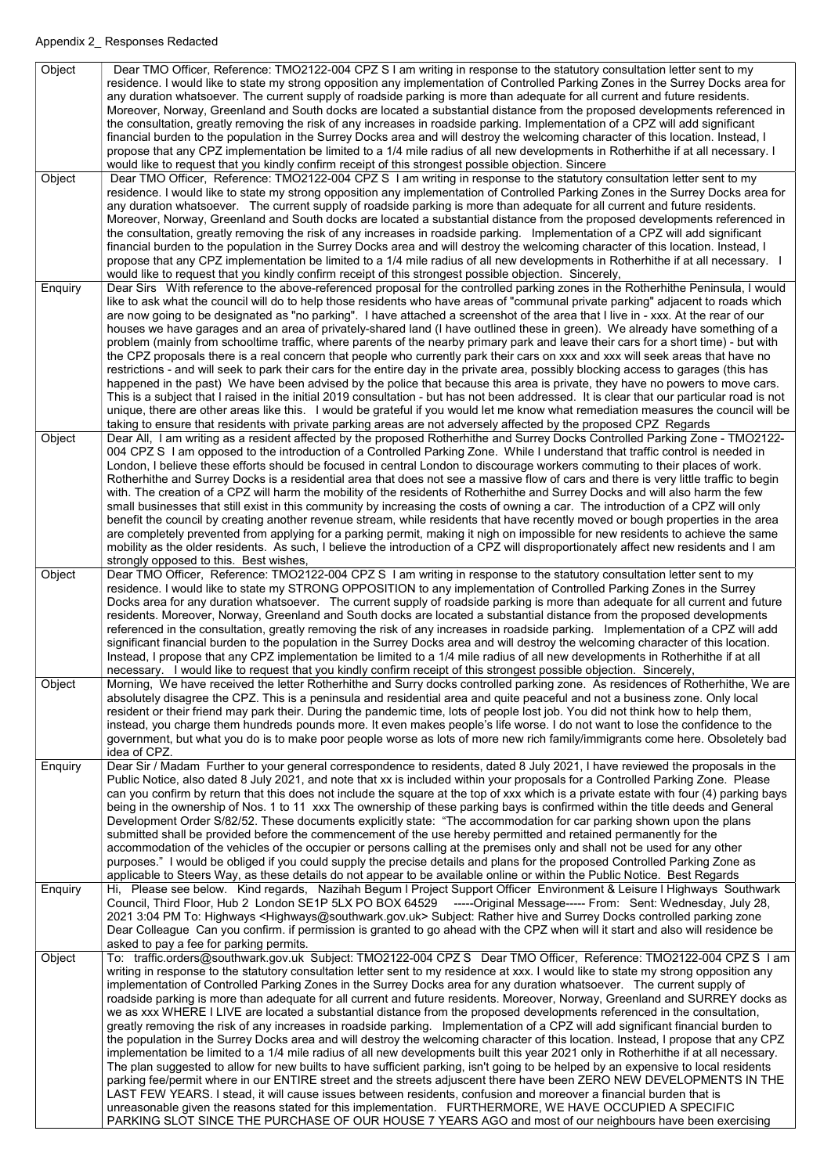| Object  | Dear TMO Officer, Reference: TMO2122-004 CPZ S I am writing in response to the statutory consultation letter sent to my                                                                                                                                                |
|---------|------------------------------------------------------------------------------------------------------------------------------------------------------------------------------------------------------------------------------------------------------------------------|
|         | residence. I would like to state my strong opposition any implementation of Controlled Parking Zones in the Surrey Docks area for                                                                                                                                      |
|         | any duration whatsoever. The current supply of roadside parking is more than adequate for all current and future residents.                                                                                                                                            |
|         | Moreover, Norway, Greenland and South docks are located a substantial distance from the proposed developments referenced in                                                                                                                                            |
|         | the consultation, greatly removing the risk of any increases in roadside parking. Implementation of a CPZ will add significant<br>financial burden to the population in the Surrey Docks area and will destroy the welcoming character of this location. Instead, I    |
|         | propose that any CPZ implementation be limited to a 1/4 mile radius of all new developments in Rotherhithe if at all necessary. I                                                                                                                                      |
|         | would like to request that you kindly confirm receipt of this strongest possible objection. Sincere                                                                                                                                                                    |
| Object  | Dear TMO Officer, Reference: TMO2122-004 CPZ S 1 am writing in response to the statutory consultation letter sent to my                                                                                                                                                |
|         | residence. I would like to state my strong opposition any implementation of Controlled Parking Zones in the Surrey Docks area for                                                                                                                                      |
|         | any duration whatsoever. The current supply of roadside parking is more than adequate for all current and future residents.                                                                                                                                            |
|         | Moreover, Norway, Greenland and South docks are located a substantial distance from the proposed developments referenced in                                                                                                                                            |
|         | the consultation, greatly removing the risk of any increases in roadside parking. Implementation of a CPZ will add significant                                                                                                                                         |
|         | financial burden to the population in the Surrey Docks area and will destroy the welcoming character of this location. Instead, I                                                                                                                                      |
|         | propose that any CPZ implementation be limited to a 1/4 mile radius of all new developments in Rotherhithe if at all necessary.                                                                                                                                        |
|         | would like to request that you kindly confirm receipt of this strongest possible objection. Sincerely,                                                                                                                                                                 |
| Enquiry | Dear Sirs With reference to the above-referenced proposal for the controlled parking zones in the Rotherhithe Peninsula, I would                                                                                                                                       |
|         | like to ask what the council will do to help those residents who have areas of "communal private parking" adjacent to roads which                                                                                                                                      |
|         | are now going to be designated as "no parking". I have attached a screenshot of the area that I live in - xxx. At the rear of our                                                                                                                                      |
|         | houses we have garages and an area of privately-shared land (I have outlined these in green). We already have something of a                                                                                                                                           |
|         | problem (mainly from schooltime traffic, where parents of the nearby primary park and leave their cars for a short time) - but with                                                                                                                                    |
|         | the CPZ proposals there is a real concern that people who currently park their cars on xxx and xxx will seek areas that have no                                                                                                                                        |
|         | restrictions - and will seek to park their cars for the entire day in the private area, possibly blocking access to garages (this has<br>happened in the past) We have been advised by the police that because this area is private, they have no powers to move cars. |
|         | This is a subject that I raised in the initial 2019 consultation - but has not been addressed. It is clear that our particular road is not                                                                                                                             |
|         | unique, there are other areas like this. I would be grateful if you would let me know what remediation measures the council will be                                                                                                                                    |
|         | taking to ensure that residents with private parking areas are not adversely affected by the proposed CPZ Regards                                                                                                                                                      |
| Object  | Dear All, I am writing as a resident affected by the proposed Rotherhithe and Surrey Docks Controlled Parking Zone - TMO2122-                                                                                                                                          |
|         | 004 CPZ S I am opposed to the introduction of a Controlled Parking Zone. While I understand that traffic control is needed in                                                                                                                                          |
|         | London, I believe these efforts should be focused in central London to discourage workers commuting to their places of work.                                                                                                                                           |
|         | Rotherhithe and Surrey Docks is a residential area that does not see a massive flow of cars and there is very little traffic to begin                                                                                                                                  |
|         | with. The creation of a CPZ will harm the mobility of the residents of Rotherhithe and Surrey Docks and will also harm the few                                                                                                                                         |
|         | small businesses that still exist in this community by increasing the costs of owning a car. The introduction of a CPZ will only                                                                                                                                       |
|         | benefit the council by creating another revenue stream, while residents that have recently moved or bough properties in the area                                                                                                                                       |
|         | are completely prevented from applying for a parking permit, making it nigh on impossible for new residents to achieve the same<br>mobility as the older residents. As such, I believe the introduction of a CPZ will disproportionately affect new residents and I am |
|         | strongly opposed to this. Best wishes,                                                                                                                                                                                                                                 |
| Object  | Dear TMO Officer, Reference: TMO2122-004 CPZ S I am writing in response to the statutory consultation letter sent to my                                                                                                                                                |
|         | residence. I would like to state my STRONG OPPOSITION to any implementation of Controlled Parking Zones in the Surrey                                                                                                                                                  |
|         | Docks area for any duration whatsoever. The current supply of roadside parking is more than adequate for all current and future                                                                                                                                        |
|         | residents. Moreover, Norway, Greenland and South docks are located a substantial distance from the proposed developments                                                                                                                                               |
|         | referenced in the consultation, greatly removing the risk of any increases in roadside parking. Implementation of a CPZ will add                                                                                                                                       |
|         | significant financial burden to the population in the Surrey Docks area and will destroy the welcoming character of this location.                                                                                                                                     |
|         | Instead, I propose that any CPZ implementation be limited to a 1/4 mile radius of all new developments in Rotherhithe if at all                                                                                                                                        |
|         | necessary. I would like to request that you kindly confirm receipt of this strongest possible objection. Sincerely,                                                                                                                                                    |
| Object  | Morning, We have received the letter Rotherhithe and Surry docks controlled parking zone. As residences of Rotherhithe, We are                                                                                                                                         |
|         | absolutely disagree the CPZ. This is a peninsula and residential area and quite peaceful and not a business zone. Only local                                                                                                                                           |
|         | resident or their friend may park their. During the pandemic time, lots of people lost job. You did not think how to help them,<br>instead, you charge them hundreds pounds more. It even makes people's life worse. I do not want to lose the confidence to the       |
|         | government, but what you do is to make poor people worse as lots of more new rich family/immigrants come here. Obsoletely bad                                                                                                                                          |
|         | idea of CPZ.                                                                                                                                                                                                                                                           |
| Enquiry | Dear Sir / Madam Further to your general correspondence to residents, dated 8 July 2021, I have reviewed the proposals in the                                                                                                                                          |
|         | Public Notice, also dated 8 July 2021, and note that xx is included within your proposals for a Controlled Parking Zone. Please                                                                                                                                        |
|         | can you confirm by return that this does not include the square at the top of xxx which is a private estate with four (4) parking bays                                                                                                                                 |
|         | being in the ownership of Nos. 1 to 11 xxx The ownership of these parking bays is confirmed within the title deeds and General                                                                                                                                         |
|         | Development Order S/82/52. These documents explicitly state: "The accommodation for car parking shown upon the plans                                                                                                                                                   |
|         | submitted shall be provided before the commencement of the use hereby permitted and retained permanently for the                                                                                                                                                       |
|         | accommodation of the vehicles of the occupier or persons calling at the premises only and shall not be used for any other                                                                                                                                              |
|         | purposes." I would be obliged if you could supply the precise details and plans for the proposed Controlled Parking Zone as                                                                                                                                            |
| Enquiry | applicable to Steers Way, as these details do not appear to be available online or within the Public Notice. Best Regards<br>Hi, Please see below. Kind regards, Nazihah Begum I Project Support Officer Environment & Leisure I Highways Southwark                    |
|         | Council, Third Floor, Hub 2 London SE1P 5LX PO BOX 64529 -----Original Message----- From: Sent: Wednesday, July 28,                                                                                                                                                    |
|         | 2021 3:04 PM To: Highways <highways@southwark.gov.uk> Subject: Rather hive and Surrey Docks controlled parking zone</highways@southwark.gov.uk>                                                                                                                        |
|         | Dear Colleague Can you confirm. if permission is granted to go ahead with the CPZ when will it start and also will residence be                                                                                                                                        |
|         | asked to pay a fee for parking permits.                                                                                                                                                                                                                                |
| Object  | To: traffic.orders@southwark.gov.uk Subject: TMO2122-004 CPZ S Dear TMO Officer, Reference: TMO2122-004 CPZ S I am                                                                                                                                                     |
|         | writing in response to the statutory consultation letter sent to my residence at xxx. I would like to state my strong opposition any                                                                                                                                   |
|         | implementation of Controlled Parking Zones in the Surrey Docks area for any duration whatsoever. The current supply of                                                                                                                                                 |
|         | roadside parking is more than adequate for all current and future residents. Moreover, Norway, Greenland and SURREY docks as                                                                                                                                           |
|         | we as xxx WHERE I LIVE are located a substantial distance from the proposed developments referenced in the consultation,<br>greatly removing the risk of any increases in roadside parking. Implementation of a CPZ will add significant financial burden to           |
|         | the population in the Surrey Docks area and will destroy the welcoming character of this location. Instead, I propose that any CPZ                                                                                                                                     |
|         | implementation be limited to a 1/4 mile radius of all new developments built this year 2021 only in Rotherhithe if at all necessary.                                                                                                                                   |
|         | The plan suggested to allow for new builts to have sufficient parking, isn't going to be helped by an expensive to local residents                                                                                                                                     |
|         | parking fee/permit where in our ENTIRE street and the streets adjuscent there have been ZERO NEW DEVELOPMENTS IN THE                                                                                                                                                   |
|         | LAST FEW YEARS. I stead, it will cause issues between residents, confusion and moreover a financial burden that is                                                                                                                                                     |
|         | unreasonable given the reasons stated for this implementation. FURTHERMORE, WE HAVE OCCUPIED A SPECIFIC                                                                                                                                                                |
|         | PARKING SLOT SINCE THE PURCHASE OF OUR HOUSE 7 YEARS AGO and most of our neighbours have been exercising                                                                                                                                                               |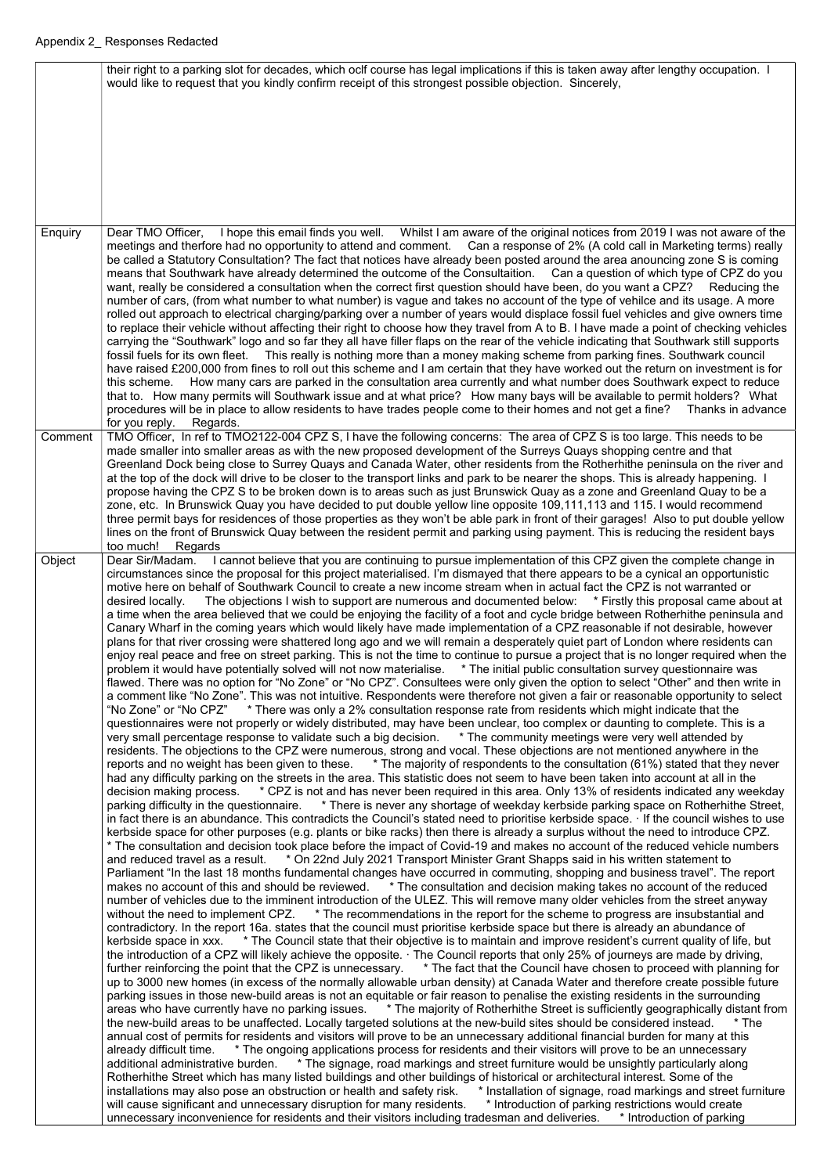|         | their right to a parking slot for decades, which oclf course has legal implications if this is taken away after lengthy occupation. I<br>would like to request that you kindly confirm receipt of this strongest possible objection. Sincerely,                                                                                                                                                                                                                                                                                                                                                                                                                                                                                                                                                                                                                                                                                                                                                                                                                                                                                                                                                                                                                                                                                                                                                                                                                                                                                                                                                                                                                                                                                                                                                                                                                                                                                                                                                                                                                                                                                                                                                                                                                                                                                                                                                                                                                                                                                                                                                                                                                                                                                                                                                                                                                                                                                                                                                                                                                                                                                                                                                                                                                                                                                       |
|---------|---------------------------------------------------------------------------------------------------------------------------------------------------------------------------------------------------------------------------------------------------------------------------------------------------------------------------------------------------------------------------------------------------------------------------------------------------------------------------------------------------------------------------------------------------------------------------------------------------------------------------------------------------------------------------------------------------------------------------------------------------------------------------------------------------------------------------------------------------------------------------------------------------------------------------------------------------------------------------------------------------------------------------------------------------------------------------------------------------------------------------------------------------------------------------------------------------------------------------------------------------------------------------------------------------------------------------------------------------------------------------------------------------------------------------------------------------------------------------------------------------------------------------------------------------------------------------------------------------------------------------------------------------------------------------------------------------------------------------------------------------------------------------------------------------------------------------------------------------------------------------------------------------------------------------------------------------------------------------------------------------------------------------------------------------------------------------------------------------------------------------------------------------------------------------------------------------------------------------------------------------------------------------------------------------------------------------------------------------------------------------------------------------------------------------------------------------------------------------------------------------------------------------------------------------------------------------------------------------------------------------------------------------------------------------------------------------------------------------------------------------------------------------------------------------------------------------------------------------------------------------------------------------------------------------------------------------------------------------------------------------------------------------------------------------------------------------------------------------------------------------------------------------------------------------------------------------------------------------------------------------------------------------------------------------------------------------------------|
| Enquiry | Dear TMO Officer, I hope this email finds you well. Whilst I am aware of the original notices from 2019 I was not aware of the                                                                                                                                                                                                                                                                                                                                                                                                                                                                                                                                                                                                                                                                                                                                                                                                                                                                                                                                                                                                                                                                                                                                                                                                                                                                                                                                                                                                                                                                                                                                                                                                                                                                                                                                                                                                                                                                                                                                                                                                                                                                                                                                                                                                                                                                                                                                                                                                                                                                                                                                                                                                                                                                                                                                                                                                                                                                                                                                                                                                                                                                                                                                                                                                        |
|         | meetings and therfore had no opportunity to attend and comment. Can a response of 2% (A cold call in Marketing terms) really<br>be called a Statutory Consultation? The fact that notices have already been posted around the area anouncing zone S is coming<br>means that Southwark have already determined the outcome of the Consultaition. Can a question of which type of CPZ do you<br>want, really be considered a consultation when the correct first question should have been, do you want a CPZ? Reducing the<br>number of cars, (from what number to what number) is vague and takes no account of the type of vehilce and its usage. A more<br>rolled out approach to electrical charging/parking over a number of years would displace fossil fuel vehicles and give owners time<br>to replace their vehicle without affecting their right to choose how they travel from A to B. I have made a point of checking vehicles<br>carrying the "Southwark" logo and so far they all have filler flaps on the rear of the vehicle indicating that Southwark still supports<br>fossil fuels for its own fleet. This really is nothing more than a money making scheme from parking fines. Southwark council<br>have raised £200,000 from fines to roll out this scheme and I am certain that they have worked out the return on investment is for<br>How many cars are parked in the consultation area currently and what number does Southwark expect to reduce<br>this scheme.<br>that to. How many permits will Southwark issue and at what price? How many bays will be available to permit holders? What<br>procedures will be in place to allow residents to have trades people come to their homes and not get a fine? Thanks in advance<br>for you reply.<br>Regards.                                                                                                                                                                                                                                                                                                                                                                                                                                                                                                                                                                                                                                                                                                                                                                                                                                                                                                                                                                                                                                                                                                                                                                                                                                                                                                                                                                                                                                                                                                                                                |
| Comment | TMO Officer, In ref to TMO2122-004 CPZ S, I have the following concerns: The area of CPZ S is too large. This needs to be                                                                                                                                                                                                                                                                                                                                                                                                                                                                                                                                                                                                                                                                                                                                                                                                                                                                                                                                                                                                                                                                                                                                                                                                                                                                                                                                                                                                                                                                                                                                                                                                                                                                                                                                                                                                                                                                                                                                                                                                                                                                                                                                                                                                                                                                                                                                                                                                                                                                                                                                                                                                                                                                                                                                                                                                                                                                                                                                                                                                                                                                                                                                                                                                             |
|         | made smaller into smaller areas as with the new proposed development of the Surreys Quays shopping centre and that<br>Greenland Dock being close to Surrey Quays and Canada Water, other residents from the Rotherhithe peninsula on the river and<br>at the top of the dock will drive to be closer to the transport links and park to be nearer the shops. This is already happening. I<br>propose having the CPZ S to be broken down is to areas such as just Brunswick Quay as a zone and Greenland Quay to be a<br>zone, etc. In Brunswick Quay you have decided to put double yellow line opposite 109,111,113 and 115. I would recommend<br>three permit bays for residences of those properties as they won't be able park in front of their garages! Also to put double yellow<br>lines on the front of Brunswick Quay between the resident permit and parking using payment. This is reducing the resident bays<br>too much!<br>Regards                                                                                                                                                                                                                                                                                                                                                                                                                                                                                                                                                                                                                                                                                                                                                                                                                                                                                                                                                                                                                                                                                                                                                                                                                                                                                                                                                                                                                                                                                                                                                                                                                                                                                                                                                                                                                                                                                                                                                                                                                                                                                                                                                                                                                                                                                                                                                                                     |
| Object  | Dear Sir/Madam. I cannot believe that you are continuing to pursue implementation of this CPZ given the complete change in<br>circumstances since the proposal for this project materialised. I'm dismayed that there appears to be a cynical an opportunistic<br>motive here on behalf of Southwark Council to create a new income stream when in actual fact the CPZ is not warranted or<br>The objections I wish to support are numerous and documented below: * Firstly this proposal came about at<br>desired locally.<br>a time when the area believed that we could be enjoying the facility of a foot and cycle bridge between Rotherhithe peninsula and<br>Canary Wharf in the coming years which would likely have made implementation of a CPZ reasonable if not desirable, however<br>plans for that river crossing were shattered long ago and we will remain a desperately quiet part of London where residents can<br>enjoy real peace and free on street parking. This is not the time to continue to pursue a project that is no longer required when the<br>problem it would have potentially solved will not now materialise. * The initial public consultation survey questionnaire was<br>flawed. There was no option for "No Zone" or "No CPZ". Consultees were only given the option to select "Other" and then write in<br>a comment like "No Zone". This was not intuitive. Respondents were therefore not given a fair or reasonable opportunity to select<br>"No Zone" or "No CPZ" * There was only a 2% consultation response rate from residents which might indicate that the<br>questionnaires were not properly or widely distributed, may have been unclear, too complex or daunting to complete. This is a<br>very small percentage response to validate such a big decision. * The community meetings were very well attended by<br>residents. The objections to the CPZ were numerous, strong and vocal. These objections are not mentioned anywhere in the<br>reports and no weight has been given to these. * The majority of respondents to the consultation (61%) stated that they never<br>had any difficulty parking on the streets in the area. This statistic does not seem to have been taken into account at all in the<br>decision making process. * CPZ is not and has never been required in this area. Only 13% of residents indicated any weekday<br>parking difficulty in the questionnaire. * There is never any shortage of weekday kerbside parking space on Rotherhithe Street,<br>in fact there is an abundance. This contradicts the Council's stated need to prioritise kerbside space. If the council wishes to use<br>kerbside space for other purposes (e.g. plants or bike racks) then there is already a surplus without the need to introduce CPZ.<br>* The consultation and decision took place before the impact of Covid-19 and makes no account of the reduced vehicle numbers<br>and reduced travel as a result. * On 22nd July 2021 Transport Minister Grant Shapps said in his written statement to<br>Parliament "In the last 18 months fundamental changes have occurred in commuting, shopping and business travel". The report<br>makes no account of this and should be reviewed. * The consultation and decision making takes no account of the reduced |

number of vehicles due to the imminent introduction of the ULEZ. This will remove many older vehicles from the street anyway without the need to implement CPZ. \* The recommendations in the report for the scheme to progress are insubstantial and contradictory. In the report 16a. states that the council must prioritise kerbside space but there is already an abundance of kerbside space in xxx. \* The Council state that their objective is to maintain and improve resident's current quality of life, but the introduction of a CPZ will likely achieve the opposite. · The Council reports that only 25% of journeys are made by driving, further reinforcing the point that the CPZ is unnecessary. \* The fact that the Council have chosen to proceed with planning for up to 3000 new homes (in excess of the normally allowable urban density) at Canada Water and therefore create possible future parking issues in those new-build areas is not an equitable or fair reason to penalise the existing residents in the surrounding areas who have currently have no parking issues. \* The majority of Rotherhithe Street is sufficiently geographically distant from the new-build areas to be unaffected. Locally targeted solutions at the new-build sites should be considered instead. \* The annual cost of permits for residents and visitors will prove to be an unnecessary additional financial burden for many at this already difficult time. \* The ongoing applications process for residents and their visitors will prove to be an unnecessary additional administrative burden. \* The signage, road markings and street furniture would be unsightly particularly along Rotherhithe Street which has many listed buildings and other buildings of historical or architectural interest. Some of the installations may also pose an obstruction or health and safety risk. \* Installation of signage, road markings and street furniture will cause significant and unnecessary disruption for many residents. \* Introduction of parking restrictions would create unnecessary inconvenience for residents and their visitors including tradesman and deliveries. \* Introduction of parking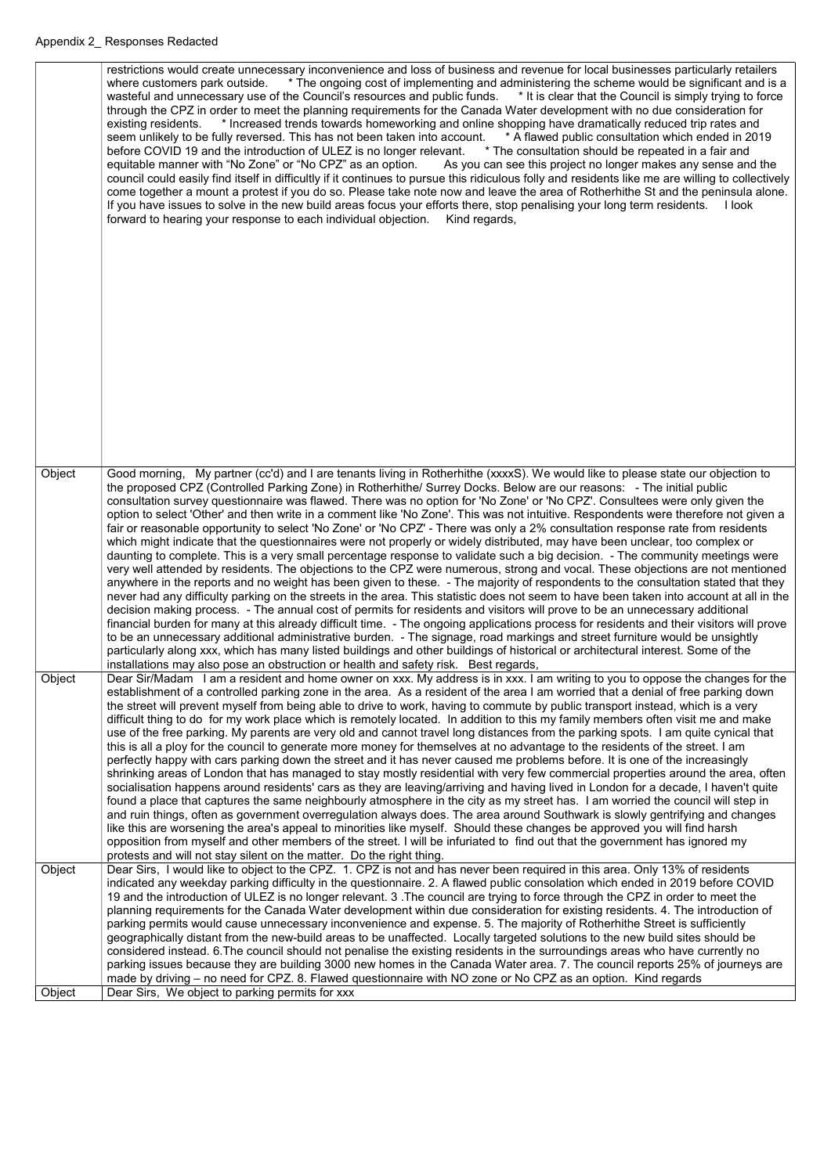|        | restrictions would create unnecessary inconvenience and loss of business and revenue for local businesses particularly retailers<br>* The ongoing cost of implementing and administering the scheme would be significant and is a<br>where customers park outside.<br>wasteful and unnecessary use of the Council's resources and public funds. * It is clear that the Council is simply trying to force<br>through the CPZ in order to meet the planning requirements for the Canada Water development with no due consideration for<br>existing residents. * Increased trends towards homeworking and online shopping have dramatically reduced trip rates and<br>seem unlikely to be fully reversed. This has not been taken into account. * A flawed public consultation which ended in 2019<br>before COVID 19 and the introduction of ULEZ is no longer relevant. * The consultation should be repeated in a fair and<br>equitable manner with "No Zone" or "No CPZ" as an option.<br>As you can see this project no longer makes any sense and the<br>council could easily find itself in difficultly if it continues to pursue this ridiculous folly and residents like me are willing to collectively<br>come together a mount a protest if you do so. Please take note now and leave the area of Rotherhithe St and the peninsula alone.<br>If you have issues to solve in the new build areas focus your efforts there, stop penalising your long term residents. I look<br>forward to hearing your response to each individual objection. Kind regards,                                                                                                                                                                                                                                                                                                                                                                                                                    |
|--------|----------------------------------------------------------------------------------------------------------------------------------------------------------------------------------------------------------------------------------------------------------------------------------------------------------------------------------------------------------------------------------------------------------------------------------------------------------------------------------------------------------------------------------------------------------------------------------------------------------------------------------------------------------------------------------------------------------------------------------------------------------------------------------------------------------------------------------------------------------------------------------------------------------------------------------------------------------------------------------------------------------------------------------------------------------------------------------------------------------------------------------------------------------------------------------------------------------------------------------------------------------------------------------------------------------------------------------------------------------------------------------------------------------------------------------------------------------------------------------------------------------------------------------------------------------------------------------------------------------------------------------------------------------------------------------------------------------------------------------------------------------------------------------------------------------------------------------------------------------------------------------------------------------------------------------------------------------------------------------------|
|        |                                                                                                                                                                                                                                                                                                                                                                                                                                                                                                                                                                                                                                                                                                                                                                                                                                                                                                                                                                                                                                                                                                                                                                                                                                                                                                                                                                                                                                                                                                                                                                                                                                                                                                                                                                                                                                                                                                                                                                                        |
| Object | Good morning, My partner (cc'd) and I are tenants living in Rotherhithe (xxxxS). We would like to please state our objection to<br>the proposed CPZ (Controlled Parking Zone) in Rotherhithe/ Surrey Docks. Below are our reasons: - The initial public<br>consultation survey questionnaire was flawed. There was no option for 'No Zone' or 'No CPZ'. Consultees were only given the<br>option to select 'Other' and then write in a comment like 'No Zone'. This was not intuitive. Respondents were therefore not given a<br>fair or reasonable opportunity to select 'No Zone' or 'No CPZ' - There was only a 2% consultation response rate from residents<br>which might indicate that the questionnaires were not properly or widely distributed, may have been unclear, too complex or<br>daunting to complete. This is a very small percentage response to validate such a big decision. - The community meetings were<br>very well attended by residents. The objections to the CPZ were numerous, strong and vocal. These objections are not mentioned<br>anywhere in the reports and no weight has been given to these. - The majority of respondents to the consultation stated that they<br>never had any difficulty parking on the streets in the area. This statistic does not seem to have been taken into account at all in the<br>decision making process. - The annual cost of permits for residents and visitors will prove to be an unnecessary additional<br>financial burden for many at this already difficult time. - The ongoing applications process for residents and their visitors will prove<br>to be an unnecessary additional administrative burden. - The signage, road markings and street furniture would be unsightly<br>particularly along xxx, which has many listed buildings and other buildings of historical or architectural interest. Some of the<br>installations may also pose an obstruction or health and safety risk. Best regards, |
| Object | Dear Sir/Madam I am a resident and home owner on xxx. My address is in xxx. I am writing to you to oppose the changes for the<br>establishment of a controlled parking zone in the area. As a resident of the area I am worried that a denial of free parking down<br>the street will prevent myself from being able to drive to work, having to commute by public transport instead, which is a very<br>difficult thing to do for my work place which is remotely located. In addition to this my family members often visit me and make<br>use of the free parking. My parents are very old and cannot travel long distances from the parking spots. I am quite cynical that<br>this is all a ploy for the council to generate more money for themselves at no advantage to the residents of the street. I am<br>perfectly happy with cars parking down the street and it has never caused me problems before. It is one of the increasingly<br>shrinking areas of London that has managed to stay mostly residential with very few commercial properties around the area, often<br>socialisation happens around residents' cars as they are leaving/arriving and having lived in London for a decade, I haven't quite<br>found a place that captures the same neighbourly atmosphere in the city as my street has. I am worried the council will step in<br>and ruin things, often as government overregulation always does. The area around Southwark is slowly gentrifying and changes<br>like this are worsening the area's appeal to minorities like myself. Should these changes be approved you will find harsh<br>opposition from myself and other members of the street. I will be infuriated to find out that the government has ignored my<br>protests and will not stay silent on the matter. Do the right thing.                                                                                                                                                        |
| Object | Dear Sirs, I would like to object to the CPZ. 1. CPZ is not and has never been required in this area. Only 13% of residents<br>indicated any weekday parking difficulty in the questionnaire. 2. A flawed public consolation which ended in 2019 before COVID<br>19 and the introduction of ULEZ is no longer relevant. 3. The council are trying to force through the CPZ in order to meet the<br>planning requirements for the Canada Water development within due consideration for existing residents. 4. The introduction of<br>parking permits would cause unnecessary inconvenience and expense. 5. The majority of Rotherhithe Street is sufficiently<br>geographically distant from the new-build areas to be unaffected. Locally targeted solutions to the new build sites should be                                                                                                                                                                                                                                                                                                                                                                                                                                                                                                                                                                                                                                                                                                                                                                                                                                                                                                                                                                                                                                                                                                                                                                                         |
|        | considered instead. 6. The council should not penalise the existing residents in the surroundings areas who have currently no<br>parking issues because they are building 3000 new homes in the Canada Water area. 7. The council reports 25% of journeys are<br>made by driving – no need for CPZ. 8. Flawed questionnaire with NO zone or No CPZ as an option. Kind regards                                                                                                                                                                                                                                                                                                                                                                                                                                                                                                                                                                                                                                                                                                                                                                                                                                                                                                                                                                                                                                                                                                                                                                                                                                                                                                                                                                                                                                                                                                                                                                                                          |
| Object | Dear Sirs, We object to parking permits for xxx                                                                                                                                                                                                                                                                                                                                                                                                                                                                                                                                                                                                                                                                                                                                                                                                                                                                                                                                                                                                                                                                                                                                                                                                                                                                                                                                                                                                                                                                                                                                                                                                                                                                                                                                                                                                                                                                                                                                        |